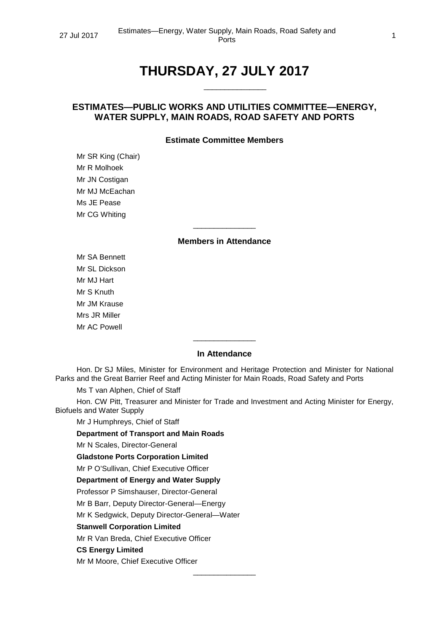# **THURSDAY, 27 JULY 2017**

\_\_\_\_\_\_\_\_\_\_\_\_\_\_\_

# **ESTIMATES—PUBLIC WORKS AND UTILITIES COMMITTEE—ENERGY, WATER SUPPLY, MAIN ROADS, ROAD SAFETY AND PORTS**

# **Estimate Committee Members**

Mr SR King (Chair) Mr R Molhoek Mr JN Costigan Mr MJ McEachan Ms JE Pease Mr CG Whiting

# **Members in Attendance**

\_\_\_\_\_\_\_\_\_\_\_\_\_\_\_

Mr SA Bennett Mr SL Dickson Mr MJ Hart Mr S Knuth Mr JM Krause Mrs JR Miller Mr AC Powell

#### **In Attendance**

\_\_\_\_\_\_\_\_\_\_\_\_\_\_\_

Hon. Dr SJ Miles, Minister for Environment and Heritage Protection and Minister for National Parks and the Great Barrier Reef and Acting Minister for Main Roads, Road Safety and Ports

Ms T van Alphen, Chief of Staff

Hon. CW Pitt, Treasurer and Minister for Trade and Investment and Acting Minister for Energy, Biofuels and Water Supply

\_\_\_\_\_\_\_\_\_\_\_\_\_\_\_

Mr J Humphreys, Chief of Staff

**Department of Transport and Main Roads**

Mr N Scales, Director-General

**Gladstone Ports Corporation Limited**

Mr P O'Sullivan, Chief Executive Officer

#### **Department of Energy and Water Supply**

Professor P Simshauser, Director-General

Mr B Barr, Deputy Director-General—Energy

Mr K Sedgwick, Deputy Director-General—Water

**Stanwell Corporation Limited**

Mr R Van Breda, Chief Executive Officer

#### **CS Energy Limited**

Mr M Moore, Chief Executive Officer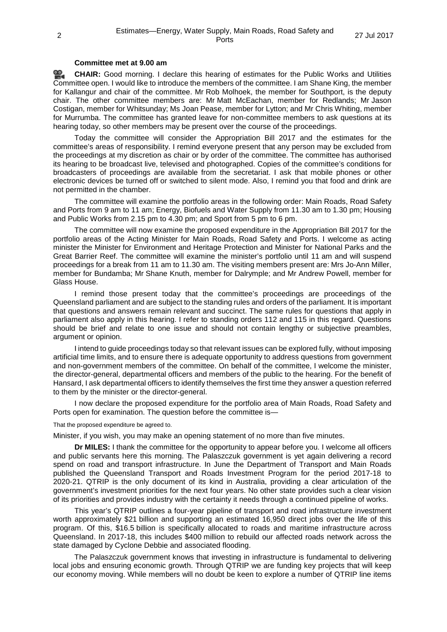# **Committee met at 9.00 am**

<u>രാ</u> **[CHAIR:](http://www.parliament.qld.gov.au/docs/find.aspx?id=0Mba20170727_090115)** Good morning. I declare this hearing of estimates for the Public Works and Utilities Committee open. I would like to introduce the members of the committee. I am Shane King, the member for Kallangur and chair of the committee. Mr Rob Molhoek, the member for Southport, is the deputy chair. The other committee members are: Mr Matt McEachan, member for Redlands; Mr Jason Costigan, member for Whitsunday; Ms Joan Pease, member for Lytton; and Mr Chris Whiting, member for Murrumba. The committee has granted leave for non-committee members to ask questions at its hearing today, so other members may be present over the course of the proceedings.

Today the committee will consider the Appropriation Bill 2017 and the estimates for the committee's areas of responsibility. I remind everyone present that any person may be excluded from the proceedings at my discretion as chair or by order of the committee. The committee has authorised its hearing to be broadcast live, televised and photographed. Copies of the committee's conditions for broadcasters of proceedings are available from the secretariat. I ask that mobile phones or other electronic devices be turned off or switched to silent mode. Also, I remind you that food and drink are not permitted in the chamber.

The committee will examine the portfolio areas in the following order: Main Roads, Road Safety and Ports from 9 am to 11 am; Energy, Biofuels and Water Supply from 11.30 am to 1.30 pm; Housing and Public Works from 2.15 pm to 4.30 pm; and Sport from 5 pm to 6 pm.

The committee will now examine the proposed expenditure in the Appropriation Bill 2017 for the portfolio areas of the Acting Minister for Main Roads, Road Safety and Ports. I welcome as acting minister the Minister for Environment and Heritage Protection and Minister for National Parks and the Great Barrier Reef. The committee will examine the minister's portfolio until 11 am and will suspend proceedings for a break from 11 am to 11.30 am. The visiting members present are: Mrs Jo-Ann Miller, member for Bundamba; Mr Shane Knuth, member for Dalrymple; and Mr Andrew Powell, member for Glass House.

I remind those present today that the committee's proceedings are proceedings of the Queensland parliament and are subject to the standing rules and orders of the parliament. It is important that questions and answers remain relevant and succinct. The same rules for questions that apply in parliament also apply in this hearing. I refer to standing orders 112 and 115 in this regard. Questions should be brief and relate to one issue and should not contain lengthy or subjective preambles, argument or opinion.

I intend to guide proceedings today so that relevant issues can be explored fully, without imposing artificial time limits, and to ensure there is adequate opportunity to address questions from government and non-government members of the committee. On behalf of the committee, I welcome the minister, the director-general, departmental officers and members of the public to the hearing. For the benefit of Hansard, I ask departmental officers to identify themselves the first time they answer a question referred to them by the minister or the director-general.

I now declare the proposed expenditure for the portfolio area of Main Roads, Road Safety and Ports open for examination. The question before the committee is—

That the proposed expenditure be agreed to.

Minister, if you wish, you may make an opening statement of no more than five minutes.

**Dr MILES:** I thank the committee for the opportunity to appear before you. I welcome all officers and public servants here this morning. The Palaszczuk government is yet again delivering a record spend on road and transport infrastructure. In June the Department of Transport and Main Roads published the Queensland Transport and Roads Investment Program for the period 2017-18 to 2020-21. QTRIP is the only document of its kind in Australia, providing a clear articulation of the government's investment priorities for the next four years. No other state provides such a clear vision of its priorities and provides industry with the certainty it needs through a continued pipeline of works.

This year's QTRIP outlines a four-year pipeline of transport and road infrastructure investment worth approximately \$21 billion and supporting an estimated 16,950 direct jobs over the life of this program. Of this, \$16.5 billion is specifically allocated to roads and maritime infrastructure across Queensland. In 2017-18, this includes \$400 million to rebuild our affected roads network across the state damaged by Cyclone Debbie and associated flooding.

The Palaszczuk government knows that investing in infrastructure is fundamental to delivering local jobs and ensuring economic growth. Through QTRIP we are funding key projects that will keep our economy moving. While members will no doubt be keen to explore a number of QTRIP line items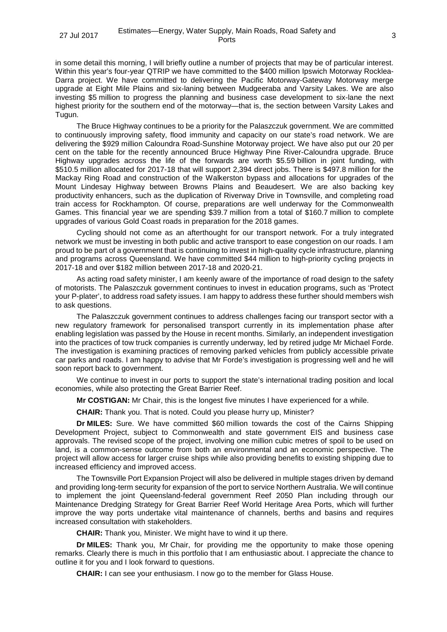in some detail this morning, I will briefly outline a number of projects that may be of particular interest. Within this year's four-year QTRIP we have committed to the \$400 million Ipswich Motorway Rocklea-Darra project. We have committed to delivering the Pacific Motorway-Gateway Motorway merge upgrade at Eight Mile Plains and six-laning between Mudgeeraba and Varsity Lakes. We are also investing \$5 million to progress the planning and business case development to six-lane the next highest priority for the southern end of the motorway—that is, the section between Varsity Lakes and Tugun.

The Bruce Highway continues to be a priority for the Palaszczuk government. We are committed to continuously improving safety, flood immunity and capacity on our state's road network. We are delivering the \$929 million Caloundra Road-Sunshine Motorway project. We have also put our 20 per cent on the table for the recently announced Bruce Highway Pine River-Caloundra upgrade. Bruce Highway upgrades across the life of the forwards are worth \$5.59 billion in joint funding, with \$510.5 million allocated for 2017-18 that will support 2,394 direct jobs. There is \$497.8 million for the Mackay Ring Road and construction of the Walkerston bypass and allocations for upgrades of the Mount Lindesay Highway between Browns Plains and Beaudesert. We are also backing key productivity enhancers, such as the duplication of Riverway Drive in Townsville, and completing road train access for Rockhampton. Of course, preparations are well underway for the Commonwealth Games. This financial year we are spending \$39.7 million from a total of \$160.7 million to complete upgrades of various Gold Coast roads in preparation for the 2018 games.

Cycling should not come as an afterthought for our transport network. For a truly integrated network we must be investing in both public and active transport to ease congestion on our roads. I am proud to be part of a government that is continuing to invest in high-quality cycle infrastructure, planning and programs across Queensland. We have committed \$44 million to high-priority cycling projects in 2017-18 and over \$182 million between 2017-18 and 2020-21.

As acting road safety minister, I am keenly aware of the importance of road design to the safety of motorists. The Palaszczuk government continues to invest in education programs, such as 'Protect your P-plater', to address road safety issues. I am happy to address these further should members wish to ask questions.

The Palaszczuk government continues to address challenges facing our transport sector with a new regulatory framework for personalised transport currently in its implementation phase after enabling legislation was passed by the House in recent months. Similarly, an independent investigation into the practices of tow truck companies is currently underway, led by retired judge Mr Michael Forde. The investigation is examining practices of removing parked vehicles from publicly accessible private car parks and roads. I am happy to advise that Mr Forde's investigation is progressing well and he will soon report back to government.

We continue to invest in our ports to support the state's international trading position and local economies, while also protecting the Great Barrier Reef.

**Mr COSTIGAN:** Mr Chair, this is the longest five minutes I have experienced for a while.

**CHAIR:** Thank you. That is noted. Could you please hurry up, Minister?

**Dr MILES:** Sure. We have committed \$60 million towards the cost of the Cairns Shipping Development Project, subject to Commonwealth and state government EIS and business case approvals. The revised scope of the project, involving one million cubic metres of spoil to be used on land, is a common-sense outcome from both an environmental and an economic perspective. The project will allow access for larger cruise ships while also providing benefits to existing shipping due to increased efficiency and improved access.

The Townsville Port Expansion Project will also be delivered in multiple stages driven by demand and providing long-term security for expansion of the port to service Northern Australia. We will continue to implement the joint Queensland-federal government Reef 2050 Plan including through our Maintenance Dredging Strategy for Great Barrier Reef World Heritage Area Ports, which will further improve the way ports undertake vital maintenance of channels, berths and basins and requires increased consultation with stakeholders.

**CHAIR:** Thank you, Minister. We might have to wind it up there.

**Dr MILES:** Thank you, Mr Chair, for providing me the opportunity to make those opening remarks. Clearly there is much in this portfolio that I am enthusiastic about. I appreciate the chance to outline it for you and I look forward to questions.

**CHAIR:** I can see your enthusiasm. I now go to the member for Glass House.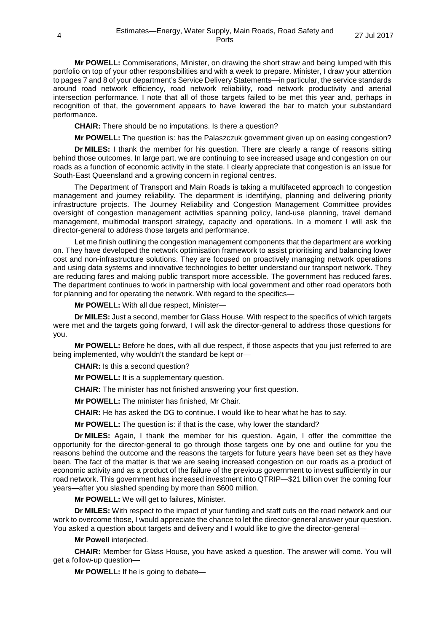**Mr POWELL:** Commiserations, Minister, on drawing the short straw and being lumped with this portfolio on top of your other responsibilities and with a week to prepare. Minister, I draw your attention to pages 7 and 8 of your department's Service Delivery Statements—in particular, the service standards around road network efficiency, road network reliability, road network productivity and arterial intersection performance. I note that all of those targets failed to be met this year and, perhaps in recognition of that, the government appears to have lowered the bar to match your substandard performance.

**CHAIR:** There should be no imputations. Is there a question?

**Mr POWELL:** The question is: has the Palaszczuk government given up on easing congestion?

**Dr MILES:** I thank the member for his question. There are clearly a range of reasons sitting behind those outcomes. In large part, we are continuing to see increased usage and congestion on our roads as a function of economic activity in the state. I clearly appreciate that congestion is an issue for South-East Queensland and a growing concern in regional centres.

The Department of Transport and Main Roads is taking a multifaceted approach to congestion management and journey reliability. The department is identifying, planning and delivering priority infrastructure projects. The Journey Reliability and Congestion Management Committee provides oversight of congestion management activities spanning policy, land-use planning, travel demand management, multimodal transport strategy, capacity and operations. In a moment I will ask the director-general to address those targets and performance.

Let me finish outlining the congestion management components that the department are working on. They have developed the network optimisation framework to assist prioritising and balancing lower cost and non-infrastructure solutions. They are focused on proactively managing network operations and using data systems and innovative technologies to better understand our transport network. They are reducing fares and making public transport more accessible. The government has reduced fares. The department continues to work in partnership with local government and other road operators both for planning and for operating the network. With regard to the specifics—

**Mr POWELL:** With all due respect, Minister—

**Dr MILES:** Just a second, member for Glass House. With respect to the specifics of which targets were met and the targets going forward, I will ask the director-general to address those questions for you.

**Mr POWELL:** Before he does, with all due respect, if those aspects that you just referred to are being implemented, why wouldn't the standard be kept or—

**CHAIR:** Is this a second question?

**Mr POWELL:** It is a supplementary question.

**CHAIR:** The minister has not finished answering your first question.

**Mr POWELL:** The minister has finished, Mr Chair.

**CHAIR:** He has asked the DG to continue. I would like to hear what he has to say.

**Mr POWELL:** The question is: if that is the case, why lower the standard?

**Dr MILES:** Again, I thank the member for his question. Again, I offer the committee the opportunity for the director-general to go through those targets one by one and outline for you the reasons behind the outcome and the reasons the targets for future years have been set as they have been. The fact of the matter is that we are seeing increased congestion on our roads as a product of economic activity and as a product of the failure of the previous government to invest sufficiently in our road network. This government has increased investment into QTRIP—\$21 billion over the coming four years—after you slashed spending by more than \$600 million.

**Mr POWELL:** We will get to failures, Minister.

**Dr MILES:** With respect to the impact of your funding and staff cuts on the road network and our work to overcome those, I would appreciate the chance to let the director-general answer your question. You asked a question about targets and delivery and I would like to give the director-general—

**Mr Powell** interjected.

**CHAIR:** Member for Glass House, you have asked a question. The answer will come. You will get a follow-up question—

**Mr POWELL:** If he is going to debate—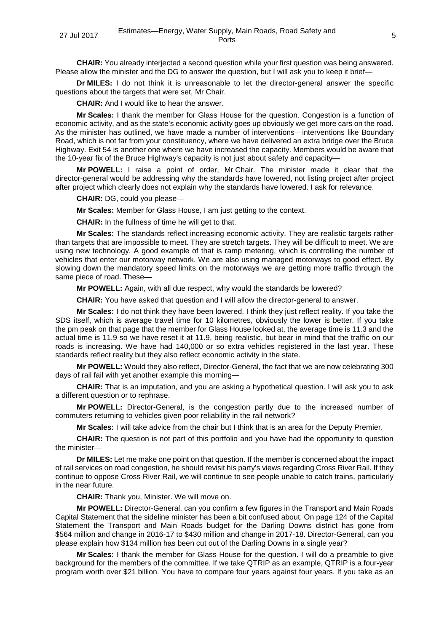**CHAIR:** You already interjected a second question while your first question was being answered. Please allow the minister and the DG to answer the question, but I will ask you to keep it brief—

**Dr MILES:** I do not think it is unreasonable to let the director-general answer the specific questions about the targets that were set, Mr Chair.

**CHAIR:** And I would like to hear the answer.

**Mr Scales:** I thank the member for Glass House for the question. Congestion is a function of economic activity, and as the state's economic activity goes up obviously we get more cars on the road. As the minister has outlined, we have made a number of interventions—interventions like Boundary Road, which is not far from your constituency, where we have delivered an extra bridge over the Bruce Highway. Exit 54 is another one where we have increased the capacity. Members would be aware that the 10-year fix of the Bruce Highway's capacity is not just about safety and capacity—

**Mr POWELL:** I raise a point of order, Mr Chair. The minister made it clear that the director-general would be addressing why the standards have lowered, not listing project after project after project which clearly does not explain why the standards have lowered. I ask for relevance.

**CHAIR:** DG, could you please—

**Mr Scales:** Member for Glass House, I am just getting to the context.

**CHAIR:** In the fullness of time he will get to that.

**Mr Scales:** The standards reflect increasing economic activity. They are realistic targets rather than targets that are impossible to meet. They are stretch targets. They will be difficult to meet. We are using new technology. A good example of that is ramp metering, which is controlling the number of vehicles that enter our motorway network. We are also using managed motorways to good effect. By slowing down the mandatory speed limits on the motorways we are getting more traffic through the same piece of road. These—

**Mr POWELL:** Again, with all due respect, why would the standards be lowered?

**CHAIR:** You have asked that question and I will allow the director-general to answer.

**Mr Scales:** I do not think they have been lowered. I think they just reflect reality. If you take the SDS itself, which is average travel time for 10 kilometres, obviously the lower is better. If you take the pm peak on that page that the member for Glass House looked at, the average time is 11.3 and the actual time is 11.9 so we have reset it at 11.9, being realistic, but bear in mind that the traffic on our roads is increasing. We have had 140,000 or so extra vehicles registered in the last year. These standards reflect reality but they also reflect economic activity in the state.

**Mr POWELL:** Would they also reflect, Director-General, the fact that we are now celebrating 300 days of rail fail with yet another example this morning—

**CHAIR:** That is an imputation, and you are asking a hypothetical question. I will ask you to ask a different question or to rephrase.

**Mr POWELL:** Director-General, is the congestion partly due to the increased number of commuters returning to vehicles given poor reliability in the rail network?

**Mr Scales:** I will take advice from the chair but I think that is an area for the Deputy Premier.

**CHAIR:** The question is not part of this portfolio and you have had the opportunity to question the minister—

**Dr MILES:** Let me make one point on that question. If the member is concerned about the impact of rail services on road congestion, he should revisit his party's views regarding Cross River Rail. If they continue to oppose Cross River Rail, we will continue to see people unable to catch trains, particularly in the near future.

**CHAIR:** Thank you, Minister. We will move on.

**Mr POWELL:** Director-General, can you confirm a few figures in the Transport and Main Roads Capital Statement that the sideline minister has been a bit confused about. On page 124 of the Capital Statement the Transport and Main Roads budget for the Darling Downs district has gone from \$564 million and change in 2016-17 to \$430 million and change in 2017-18. Director-General, can you please explain how \$134 million has been cut out of the Darling Downs in a single year?

**Mr Scales:** I thank the member for Glass House for the question. I will do a preamble to give background for the members of the committee. If we take QTRIP as an example, QTRIP is a four-year program worth over \$21 billion. You have to compare four years against four years. If you take as an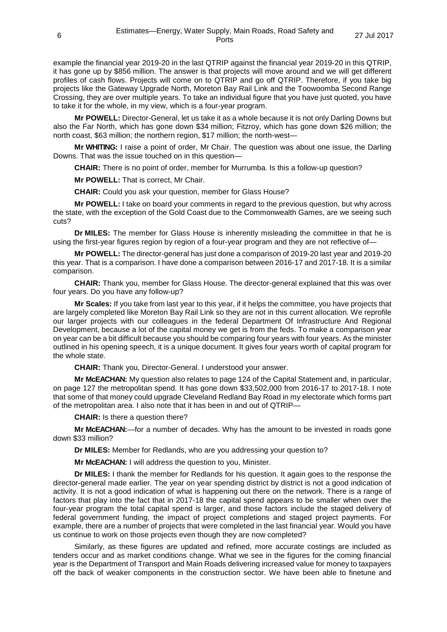example the financial year 2019-20 in the last QTRIP against the financial year 2019-20 in this QTRIP, it has gone up by \$856 million. The answer is that projects will move around and we will get different profiles of cash flows. Projects will come on to QTRIP and go off QTRIP. Therefore, if you take big projects like the Gateway Upgrade North, Moreton Bay Rail Link and the Toowoomba Second Range Crossing, they are over multiple years. To take an individual figure that you have just quoted, you have to take it for the whole, in my view, which is a four-year program.

**Mr POWELL:** Director-General, let us take it as a whole because it is not only Darling Downs but also the Far North, which has gone down \$34 million; Fitzroy, which has gone down \$26 million; the north coast, \$63 million; the northern region, \$17 million; the north-west—

**Mr WHITING:** I raise a point of order, Mr Chair. The question was about one issue, the Darling Downs. That was the issue touched on in this question—

**CHAIR:** There is no point of order, member for Murrumba. Is this a follow-up question?

**Mr POWELL:** That is correct, Mr Chair.

**CHAIR:** Could you ask your question, member for Glass House?

**Mr POWELL:** I take on board your comments in regard to the previous question, but why across the state, with the exception of the Gold Coast due to the Commonwealth Games, are we seeing such cuts?

**Dr MILES:** The member for Glass House is inherently misleading the committee in that he is using the first-year figures region by region of a four-year program and they are not reflective of-

**Mr POWELL:** The director-general has just done a comparison of 2019-20 last year and 2019-20 this year. That is a comparison. I have done a comparison between 2016-17 and 2017-18. It is a similar comparison.

**CHAIR:** Thank you, member for Glass House. The director-general explained that this was over four years. Do you have any follow-up?

**Mr Scales:** If you take from last year to this year, if it helps the committee, you have projects that are largely completed like Moreton Bay Rail Link so they are not in this current allocation. We reprofile our larger projects with our colleagues in the federal Department Of Infrastructure And Regional Development, because a lot of the capital money we get is from the feds. To make a comparison year on year can be a bit difficult because you should be comparing four years with four years. As the minister outlined in his opening speech, it is a unique document. It gives four years worth of capital program for the whole state.

**CHAIR:** Thank you, Director-General. I understood your answer.

**Mr McEACHAN:** My question also relates to page 124 of the Capital Statement and, in particular, on page 127 the metropolitan spend. It has gone down \$33,502,000 from 2016-17 to 2017-18. I note that some of that money could upgrade Cleveland Redland Bay Road in my electorate which forms part of the metropolitan area. I also note that it has been in and out of QTRIP—

**CHAIR:** Is there a question there?

**Mr McEACHAN:**—for a number of decades. Why has the amount to be invested in roads gone down \$33 million?

**Dr MILES:** Member for Redlands, who are you addressing your question to?

**Mr McEACHAN:** I will address the question to you, Minister.

**Dr MILES:** I thank the member for Redlands for his question. It again goes to the response the director-general made earlier. The year on year spending district by district is not a good indication of activity. It is not a good indication of what is happening out there on the network. There is a range of factors that play into the fact that in 2017-18 the capital spend appears to be smaller when over the four-year program the total capital spend is larger, and those factors include the staged delivery of federal government funding, the impact of project completions and staged project payments. For example, there are a number of projects that were completed in the last financial year. Would you have us continue to work on those projects even though they are now completed?

Similarly, as these figures are updated and refined, more accurate costings are included as tenders occur and as market conditions change. What we see in the figures for the coming financial year is the Department of Transport and Main Roads delivering increased value for money to taxpayers off the back of weaker components in the construction sector. We have been able to finetune and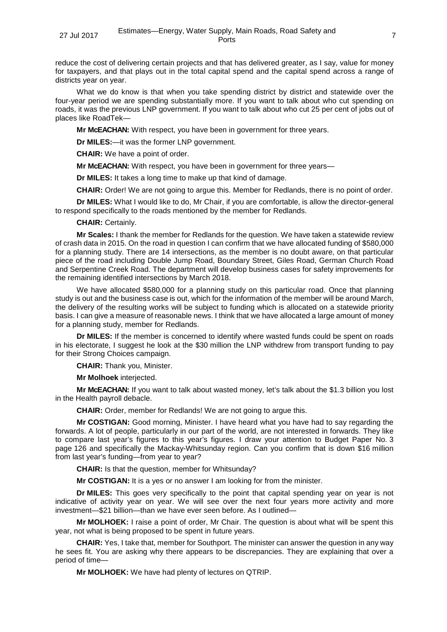reduce the cost of delivering certain projects and that has delivered greater, as I say, value for money for taxpayers, and that plays out in the total capital spend and the capital spend across a range of districts year on year.

What we do know is that when you take spending district by district and statewide over the four-year period we are spending substantially more. If you want to talk about who cut spending on roads, it was the previous LNP government. If you want to talk about who cut 25 per cent of jobs out of places like RoadTek—

**Mr McEACHAN:** With respect, you have been in government for three years.

**Dr MILES:**—it was the former LNP government.

**CHAIR:** We have a point of order.

**Mr McEACHAN:** With respect, you have been in government for three years—

**Dr MILES:** It takes a long time to make up that kind of damage.

**CHAIR:** Order! We are not going to argue this. Member for Redlands, there is no point of order.

**Dr MILES:** What I would like to do, Mr Chair, if you are comfortable, is allow the director-general to respond specifically to the roads mentioned by the member for Redlands.

**CHAIR:** Certainly.

**Mr Scales:** I thank the member for Redlands for the question. We have taken a statewide review of crash data in 2015. On the road in question I can confirm that we have allocated funding of \$580,000 for a planning study. There are 14 intersections, as the member is no doubt aware, on that particular piece of the road including Double Jump Road, Boundary Street, Giles Road, German Church Road and Serpentine Creek Road. The department will develop business cases for safety improvements for the remaining identified intersections by March 2018.

We have allocated \$580,000 for a planning study on this particular road. Once that planning study is out and the business case is out, which for the information of the member will be around March, the delivery of the resulting works will be subject to funding which is allocated on a statewide priority basis. I can give a measure of reasonable news. I think that we have allocated a large amount of money for a planning study, member for Redlands.

**Dr MILES:** If the member is concerned to identify where wasted funds could be spent on roads in his electorate, I suggest he look at the \$30 million the LNP withdrew from transport funding to pay for their Strong Choices campaign.

**CHAIR:** Thank you, Minister.

**Mr Molhoek** interjected.

**Mr McEACHAN:** If you want to talk about wasted money, let's talk about the \$1.3 billion you lost in the Health payroll debacle.

**CHAIR:** Order, member for Redlands! We are not going to argue this.

**Mr COSTIGAN:** Good morning, Minister. I have heard what you have had to say regarding the forwards. A lot of people, particularly in our part of the world, are not interested in forwards. They like to compare last year's figures to this year's figures. I draw your attention to Budget Paper No. 3 page 126 and specifically the Mackay-Whitsunday region. Can you confirm that is down \$16 million from last year's funding—from year to year?

**CHAIR:** Is that the question, member for Whitsunday?

**Mr COSTIGAN:** It is a yes or no answer I am looking for from the minister.

**Dr MILES:** This goes very specifically to the point that capital spending year on year is not indicative of activity year on year. We will see over the next four years more activity and more investment—\$21 billion—than we have ever seen before. As I outlined—

**Mr MOLHOEK:** I raise a point of order, Mr Chair. The question is about what will be spent this year, not what is being proposed to be spent in future years.

**CHAIR:** Yes, I take that, member for Southport. The minister can answer the question in any way he sees fit. You are asking why there appears to be discrepancies. They are explaining that over a period of time—

**Mr MOLHOEK:** We have had plenty of lectures on QTRIP.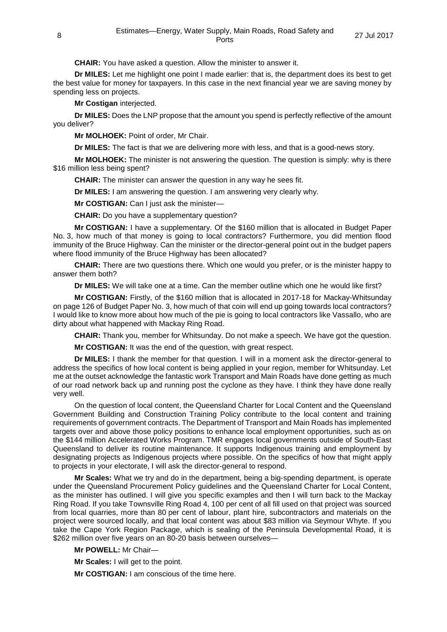**CHAIR:** You have asked a question. Allow the minister to answer it.

**Dr MILES:** Let me highlight one point I made earlier: that is, the department does its best to get the best value for money for taxpayers. In this case in the next financial year we are saving money by spending less on projects.

**Mr Costigan** interjected.

**Dr MILES:** Does the LNP propose that the amount you spend is perfectly reflective of the amount you deliver?

**Mr MOLHOEK:** Point of order, Mr Chair.

**Dr MILES:** The fact is that we are delivering more with less, and that is a good-news story.

**Mr MOLHOEK:** The minister is not answering the question. The question is simply: why is there \$16 million less being spent?

**CHAIR:** The minister can answer the question in any way he sees fit.

**Dr MILES:** I am answering the question. I am answering very clearly why.

**Mr COSTIGAN:** Can I just ask the minister—

**CHAIR:** Do you have a supplementary question?

**Mr COSTIGAN:** I have a supplementary. Of the \$160 million that is allocated in Budget Paper No. 3, how much of that money is going to local contractors? Furthermore, you did mention flood immunity of the Bruce Highway. Can the minister or the director-general point out in the budget papers where flood immunity of the Bruce Highway has been allocated?

**CHAIR:** There are two questions there. Which one would you prefer, or is the minister happy to answer them both?

**Dr MILES:** We will take one at a time. Can the member outline which one he would like first?

**Mr COSTIGAN:** Firstly, of the \$160 million that is allocated in 2017-18 for Mackay-Whitsunday on page 126 of Budget Paper No. 3, how much of that coin will end up going towards local contractors? I would like to know more about how much of the pie is going to local contractors like Vassallo, who are dirty about what happened with Mackay Ring Road.

**CHAIR:** Thank you, member for Whitsunday. Do not make a speech. We have got the question.

**Mr COSTIGAN:** It was the end of the question, with great respect.

**Dr MILES:** I thank the member for that question. I will in a moment ask the director-general to address the specifics of how local content is being applied in your region, member for Whitsunday. Let me at the outset acknowledge the fantastic work Transport and Main Roads have done getting as much of our road network back up and running post the cyclone as they have. I think they have done really very well.

On the question of local content, the Queensland Charter for Local Content and the Queensland Government Building and Construction Training Policy contribute to the local content and training requirements of government contracts. The Department of Transport and Main Roads has implemented targets over and above those policy positions to enhance local employment opportunities, such as on the \$144 million Accelerated Works Program. TMR engages local governments outside of South-East Queensland to deliver its routine maintenance. It supports Indigenous training and employment by designating projects as Indigenous projects where possible. On the specifics of how that might apply to projects in your electorate, I will ask the director-general to respond.

**Mr Scales:** What we try and do in the department, being a big-spending department, is operate under the Queensland Procurement Policy guidelines and the Queensland Charter for Local Content, as the minister has outlined. I will give you specific examples and then I will turn back to the Mackay Ring Road. If you take Townsville Ring Road 4, 100 per cent of all fill used on that project was sourced from local quarries, more than 80 per cent of labour, plant hire, subcontractors and materials on the project were sourced locally, and that local content was about \$83 million via Seymour Whyte. If you take the Cape York Region Package, which is sealing of the Peninsula Developmental Road, it is \$262 million over five years on an 80-20 basis between ourselves—

**Mr POWELL:** Mr Chair—

**Mr Scales:** I will get to the point.

**Mr COSTIGAN:** I am conscious of the time here.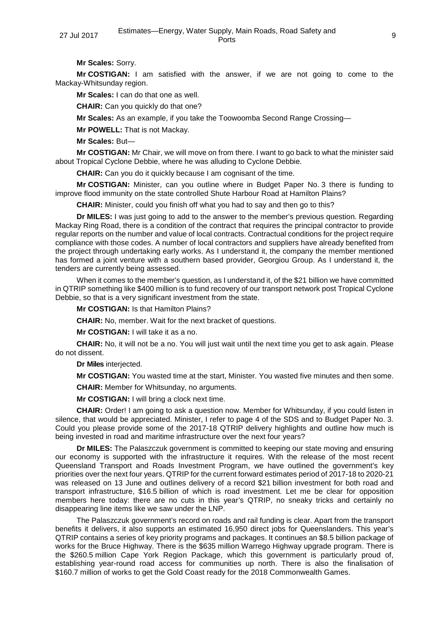**Mr Scales:** Sorry.

**Mr COSTIGAN:** I am satisfied with the answer, if we are not going to come to the Mackay-Whitsunday region.

**Mr Scales:** I can do that one as well.

**CHAIR:** Can you quickly do that one?

**Mr Scales:** As an example, if you take the Toowoomba Second Range Crossing—

**Mr POWELL:** That is not Mackay.

**Mr Scales:** But—

**Mr COSTIGAN:** Mr Chair, we will move on from there. I want to go back to what the minister said about Tropical Cyclone Debbie, where he was alluding to Cyclone Debbie.

**CHAIR:** Can you do it quickly because I am cognisant of the time.

**Mr COSTIGAN:** Minister, can you outline where in Budget Paper No. 3 there is funding to improve flood immunity on the state controlled Shute Harbour Road at Hamilton Plains?

**CHAIR:** Minister, could you finish off what you had to say and then go to this?

**Dr MILES:** I was just going to add to the answer to the member's previous question. Regarding Mackay Ring Road, there is a condition of the contract that requires the principal contractor to provide regular reports on the number and value of local contracts. Contractual conditions for the project require compliance with those codes. A number of local contractors and suppliers have already benefited from the project through undertaking early works. As I understand it, the company the member mentioned has formed a joint venture with a southern based provider, Georgiou Group. As I understand it, the tenders are currently being assessed.

When it comes to the member's question, as I understand it, of the \$21 billion we have committed in QTRIP something like \$400 million is to fund recovery of our transport network post Tropical Cyclone Debbie, so that is a very significant investment from the state.

**Mr COSTIGAN:** Is that Hamilton Plains?

**CHAIR:** No, member. Wait for the next bracket of questions.

**Mr COSTIGAN:** I will take it as a no.

**CHAIR:** No, it will not be a no. You will just wait until the next time you get to ask again. Please do not dissent.

**Dr Miles** interjected.

**Mr COSTIGAN:** You wasted time at the start, Minister. You wasted five minutes and then some.

**CHAIR:** Member for Whitsunday, no arguments.

**Mr COSTIGAN:** I will bring a clock next time.

**CHAIR:** Order! I am going to ask a question now. Member for Whitsunday, if you could listen in silence, that would be appreciated. Minister, I refer to page 4 of the SDS and to Budget Paper No. 3. Could you please provide some of the 2017-18 QTRIP delivery highlights and outline how much is being invested in road and maritime infrastructure over the next four years?

**Dr MILES:** The Palaszczuk government is committed to keeping our state moving and ensuring our economy is supported with the infrastructure it requires. With the release of the most recent Queensland Transport and Roads Investment Program, we have outlined the government's key priorities over the next four years. QTRIP for the current forward estimates period of 2017-18 to 2020-21 was released on 13 June and outlines delivery of a record \$21 billion investment for both road and transport infrastructure, \$16.5 billion of which is road investment. Let me be clear for opposition members here today: there are no cuts in this year's QTRIP, no sneaky tricks and certainly no disappearing line items like we saw under the LNP.

The Palaszczuk government's record on roads and rail funding is clear. Apart from the transport benefits it delivers, it also supports an estimated 16,950 direct jobs for Queenslanders. This year's QTRIP contains a series of key priority programs and packages. It continues an \$8.5 billion package of works for the Bruce Highway. There is the \$635 million Warrego Highway upgrade program. There is the \$260.5 million Cape York Region Package, which this government is particularly proud of, establishing year-round road access for communities up north. There is also the finalisation of \$160.7 million of works to get the Gold Coast ready for the 2018 Commonwealth Games.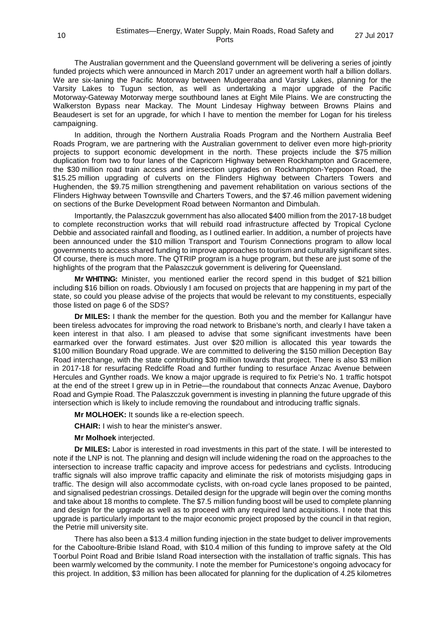The Australian government and the Queensland government will be delivering a series of jointly funded projects which were announced in March 2017 under an agreement worth half a billion dollars. We are six-laning the Pacific Motorway between Mudgeeraba and Varsity Lakes, planning for the Varsity Lakes to Tugun section, as well as undertaking a major upgrade of the Pacific Motorway-Gateway Motorway merge southbound lanes at Eight Mile Plains. We are constructing the Walkerston Bypass near Mackay. The Mount Lindesay Highway between Browns Plains and Beaudesert is set for an upgrade, for which I have to mention the member for Logan for his tireless campaigning.

In addition, through the Northern Australia Roads Program and the Northern Australia Beef Roads Program, we are partnering with the Australian government to deliver even more high-priority projects to support economic development in the north. These projects include the \$75 million duplication from two to four lanes of the Capricorn Highway between Rockhampton and Gracemere, the \$30 million road train access and intersection upgrades on Rockhampton-Yeppoon Road, the \$15.25 million upgrading of culverts on the Flinders Highway between Charters Towers and Hughenden, the \$9.75 million strengthening and pavement rehabilitation on various sections of the Flinders Highway between Townsville and Charters Towers, and the \$7.46 million pavement widening on sections of the Burke Development Road between Normanton and Dimbulah.

Importantly, the Palaszczuk government has also allocated \$400 million from the 2017-18 budget to complete reconstruction works that will rebuild road infrastructure affected by Tropical Cyclone Debbie and associated rainfall and flooding, as I outlined earlier. In addition, a number of projects have been announced under the \$10 million Transport and Tourism Connections program to allow local governments to access shared funding to improve approaches to tourism and culturally significant sites. Of course, there is much more. The QTRIP program is a huge program, but these are just some of the highlights of the program that the Palaszczuk government is delivering for Queensland.

**Mr WHITING:** Minister, you mentioned earlier the record spend in this budget of \$21 billion including \$16 billion on roads. Obviously I am focused on projects that are happening in my part of the state, so could you please advise of the projects that would be relevant to my constituents, especially those listed on page 6 of the SDS?

**Dr MILES:** I thank the member for the question. Both you and the member for Kallangur have been tireless advocates for improving the road network to Brisbane's north, and clearly I have taken a keen interest in that also. I am pleased to advise that some significant investments have been earmarked over the forward estimates. Just over \$20 million is allocated this year towards the \$100 million Boundary Road upgrade. We are committed to delivering the \$150 million Deception Bay Road interchange, with the state contributing \$30 million towards that project. There is also \$3 million in 2017-18 for resurfacing Redcliffe Road and further funding to resurface Anzac Avenue between Hercules and Gynther roads. We know a major upgrade is required to fix Petrie's No. 1 traffic hotspot at the end of the street I grew up in in Petrie—the roundabout that connects Anzac Avenue, Dayboro Road and Gympie Road. The Palaszczuk government is investing in planning the future upgrade of this intersection which is likely to include removing the roundabout and introducing traffic signals.

**Mr MOLHOEK:** It sounds like a re-election speech.

**CHAIR:** I wish to hear the minister's answer.

## **Mr Molhoek** interjected.

**Dr MILES:** Labor is interested in road investments in this part of the state. I will be interested to note if the LNP is not. The planning and design will include widening the road on the approaches to the intersection to increase traffic capacity and improve access for pedestrians and cyclists. Introducing traffic signals will also improve traffic capacity and eliminate the risk of motorists misjudging gaps in traffic. The design will also accommodate cyclists, with on-road cycle lanes proposed to be painted, and signalised pedestrian crossings. Detailed design for the upgrade will begin over the coming months and take about 18 months to complete. The \$7.5 million funding boost will be used to complete planning and design for the upgrade as well as to proceed with any required land acquisitions. I note that this upgrade is particularly important to the major economic project proposed by the council in that region, the Petrie mill university site.

There has also been a \$13.4 million funding injection in the state budget to deliver improvements for the Caboolture-Bribie Island Road, with \$10.4 million of this funding to improve safety at the Old Toorbul Point Road and Bribie Island Road intersection with the installation of traffic signals. This has been warmly welcomed by the community. I note the member for Pumicestone's ongoing advocacy for this project. In addition, \$3 million has been allocated for planning for the duplication of 4.25 kilometres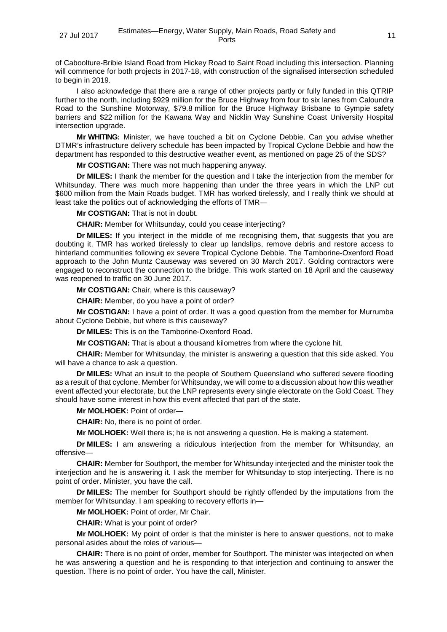of Caboolture-Bribie Island Road from Hickey Road to Saint Road including this intersection. Planning will commence for both projects in 2017-18, with construction of the signalised intersection scheduled to begin in 2019.

I also acknowledge that there are a range of other projects partly or fully funded in this QTRIP further to the north, including \$929 million for the Bruce Highway from four to six lanes from Caloundra Road to the Sunshine Motorway, \$79.8 million for the Bruce Highway Brisbane to Gympie safety barriers and \$22 million for the Kawana Way and Nicklin Way Sunshine Coast University Hospital intersection upgrade.

**Mr WHITING:** Minister, we have touched a bit on Cyclone Debbie. Can you advise whether DTMR's infrastructure delivery schedule has been impacted by Tropical Cyclone Debbie and how the department has responded to this destructive weather event, as mentioned on page 25 of the SDS?

**Mr COSTIGAN:** There was not much happening anyway.

**Dr MILES:** I thank the member for the question and I take the interjection from the member for Whitsunday. There was much more happening than under the three years in which the LNP cut \$600 million from the Main Roads budget. TMR has worked tirelessly, and I really think we should at least take the politics out of acknowledging the efforts of TMR—

**Mr COSTIGAN:** That is not in doubt.

**CHAIR:** Member for Whitsunday, could you cease interjecting?

**Dr MILES:** If you interject in the middle of me recognising them, that suggests that you are doubting it. TMR has worked tirelessly to clear up landslips, remove debris and restore access to hinterland communities following ex severe Tropical Cyclone Debbie. The Tamborine-Oxenford Road approach to the John Muntz Causeway was severed on 30 March 2017. Golding contractors were engaged to reconstruct the connection to the bridge. This work started on 18 April and the causeway was reopened to traffic on 30 June 2017.

**Mr COSTIGAN:** Chair, where is this causeway?

**CHAIR:** Member, do you have a point of order?

**Mr COSTIGAN:** I have a point of order. It was a good question from the member for Murrumba about Cyclone Debbie, but where is this causeway?

**Dr MILES:** This is on the Tamborine-Oxenford Road.

**Mr COSTIGAN:** That is about a thousand kilometres from where the cyclone hit.

**CHAIR:** Member for Whitsunday, the minister is answering a question that this side asked. You will have a chance to ask a question.

**Dr MILES:** What an insult to the people of Southern Queensland who suffered severe flooding as a result of that cyclone. Member for Whitsunday, we will come to a discussion about how this weather event affected your electorate, but the LNP represents every single electorate on the Gold Coast. They should have some interest in how this event affected that part of the state.

## **Mr MOLHOEK:** Point of order—

**CHAIR:** No, there is no point of order.

**Mr MOLHOEK:** Well there is; he is not answering a question. He is making a statement.

**Dr MILES:** I am answering a ridiculous interjection from the member for Whitsunday, an offensive—

**CHAIR:** Member for Southport, the member for Whitsunday interjected and the minister took the interjection and he is answering it. I ask the member for Whitsunday to stop interjecting. There is no point of order. Minister, you have the call.

**Dr MILES:** The member for Southport should be rightly offended by the imputations from the member for Whitsunday. I am speaking to recovery efforts in—

**Mr MOLHOEK:** Point of order, Mr Chair.

**CHAIR:** What is your point of order?

**Mr MOLHOEK:** My point of order is that the minister is here to answer questions, not to make personal asides about the roles of various—

**CHAIR:** There is no point of order, member for Southport. The minister was interjected on when he was answering a question and he is responding to that interjection and continuing to answer the question. There is no point of order. You have the call, Minister.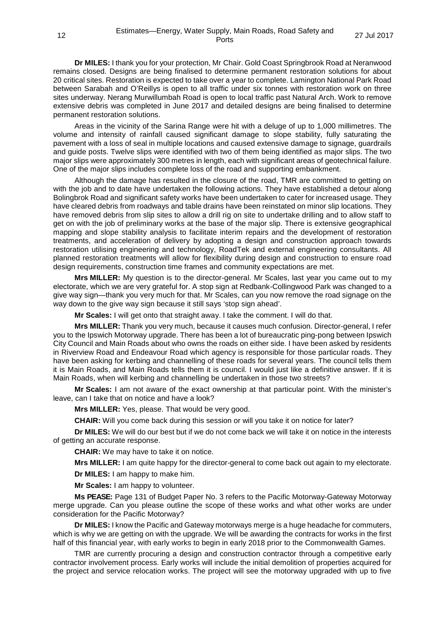**Dr MILES:** I thank you for your protection, Mr Chair. Gold Coast Springbrook Road at Neranwood remains closed. Designs are being finalised to determine permanent restoration solutions for about 20 critical sites. Restoration is expected to take over a year to complete. Lamington National Park Road between Sarabah and O'Reillys is open to all traffic under six tonnes with restoration work on three sites underway. Nerang Murwillumbah Road is open to local traffic past Natural Arch. Work to remove extensive debris was completed in June 2017 and detailed designs are being finalised to determine permanent restoration solutions.

Areas in the vicinity of the Sarina Range were hit with a deluge of up to 1,000 millimetres. The volume and intensity of rainfall caused significant damage to slope stability, fully saturating the pavement with a loss of seal in multiple locations and caused extensive damage to signage, guardrails and guide posts. Twelve slips were identified with two of them being identified as major slips. The two major slips were approximately 300 metres in length, each with significant areas of geotechnical failure. One of the major slips includes complete loss of the road and supporting embankment.

Although the damage has resulted in the closure of the road, TMR are committed to getting on with the job and to date have undertaken the following actions. They have established a detour along Bolingbrok Road and significant safety works have been undertaken to cater for increased usage. They have cleared debris from roadways and table drains have been reinstated on minor slip locations. They have removed debris from slip sites to allow a drill rig on site to undertake drilling and to allow staff to get on with the job of preliminary works at the base of the major slip. There is extensive geographical mapping and slope stability analysis to facilitate interim repairs and the development of restoration treatments, and acceleration of delivery by adopting a design and construction approach towards restoration utilising engineering and technology, RoadTek and external engineering consultants. All planned restoration treatments will allow for flexibility during design and construction to ensure road design requirements, construction time frames and community expectations are met.

**Mrs MILLER:** My question is to the director-general. Mr Scales, last year you came out to my electorate, which we are very grateful for. A stop sign at Redbank-Collingwood Park was changed to a give way sign—thank you very much for that. Mr Scales, can you now remove the road signage on the way down to the give way sign because it still says 'stop sign ahead'.

**Mr Scales:** I will get onto that straight away. I take the comment. I will do that.

**Mrs MILLER:** Thank you very much, because it causes much confusion. Director-general, I refer you to the Ipswich Motorway upgrade. There has been a lot of bureaucratic ping-pong between Ipswich City Council and Main Roads about who owns the roads on either side. I have been asked by residents in Riverview Road and Endeavour Road which agency is responsible for those particular roads. They have been asking for kerbing and channelling of these roads for several years. The council tells them it is Main Roads, and Main Roads tells them it is council. I would just like a definitive answer. If it is Main Roads, when will kerbing and channelling be undertaken in those two streets?

**Mr Scales:** I am not aware of the exact ownership at that particular point. With the minister's leave, can I take that on notice and have a look?

**Mrs MILLER:** Yes, please. That would be very good.

**CHAIR:** Will you come back during this session or will you take it on notice for later?

**Dr MILES:** We will do our best but if we do not come back we will take it on notice in the interests of getting an accurate response.

**CHAIR:** We may have to take it on notice.

**Mrs MILLER:** I am quite happy for the director-general to come back out again to my electorate.

**Dr MILES:** I am happy to make him.

**Mr Scales:** I am happy to volunteer.

**Ms PEASE:** Page 131 of Budget Paper No. 3 refers to the Pacific Motorway-Gateway Motorway merge upgrade. Can you please outline the scope of these works and what other works are under consideration for the Pacific Motorway?

**Dr MILES:** I know the Pacific and Gateway motorways merge is a huge headache for commuters, which is why we are getting on with the upgrade. We will be awarding the contracts for works in the first half of this financial year, with early works to begin in early 2018 prior to the Commonwealth Games.

TMR are currently procuring a design and construction contractor through a competitive early contractor involvement process. Early works will include the initial demolition of properties acquired for the project and service relocation works. The project will see the motorway upgraded with up to five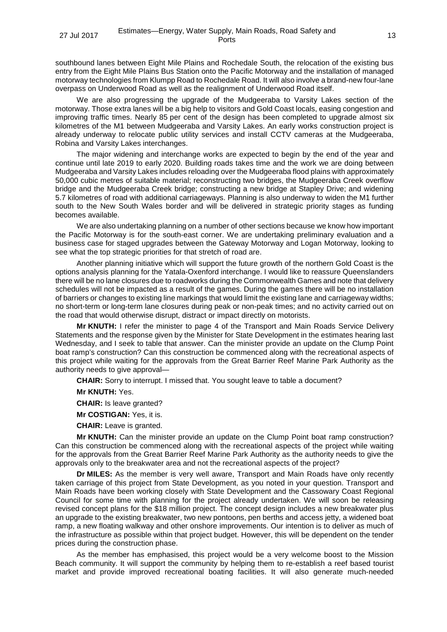southbound lanes between Eight Mile Plains and Rochedale South, the relocation of the existing bus entry from the Eight Mile Plains Bus Station onto the Pacific Motorway and the installation of managed motorway technologies from Klumpp Road to Rochedale Road. It will also involve a brand-new four-lane overpass on Underwood Road as well as the realignment of Underwood Road itself.

We are also progressing the upgrade of the Mudgeeraba to Varsity Lakes section of the motorway. Those extra lanes will be a big help to visitors and Gold Coast locals, easing congestion and improving traffic times. Nearly 85 per cent of the design has been completed to upgrade almost six kilometres of the M1 between Mudgeeraba and Varsity Lakes. An early works construction project is already underway to relocate public utility services and install CCTV cameras at the Mudgeeraba, Robina and Varsity Lakes interchanges.

The major widening and interchange works are expected to begin by the end of the year and continue until late 2019 to early 2020. Building roads takes time and the work we are doing between Mudgeeraba and Varsity Lakes includes reloading over the Mudgeeraba flood plains with approximately 50,000 cubic metres of suitable material; reconstructing two bridges, the Mudgeeraba Creek overflow bridge and the Mudgeeraba Creek bridge; constructing a new bridge at Stapley Drive; and widening 5.7 kilometres of road with additional carriageways. Planning is also underway to widen the M1 further south to the New South Wales border and will be delivered in strategic priority stages as funding becomes available.

We are also undertaking planning on a number of other sections because we know how important the Pacific Motorway is for the south-east corner. We are undertaking preliminary evaluation and a business case for staged upgrades between the Gateway Motorway and Logan Motorway, looking to see what the top strategic priorities for that stretch of road are.

Another planning initiative which will support the future growth of the northern Gold Coast is the options analysis planning for the Yatala-Oxenford interchange. I would like to reassure Queenslanders there will be no lane closures due to roadworks during the Commonwealth Games and note that delivery schedules will not be impacted as a result of the games. During the games there will be no installation of barriers or changes to existing line markings that would limit the existing lane and carriageway widths; no short-term or long-term lane closures during peak or non-peak times; and no activity carried out on the road that would otherwise disrupt, distract or impact directly on motorists.

**Mr KNUTH:** I refer the minister to page 4 of the Transport and Main Roads Service Delivery Statements and the response given by the Minister for State Development in the estimates hearing last Wednesday, and I seek to table that answer. Can the minister provide an update on the Clump Point boat ramp's construction? Can this construction be commenced along with the recreational aspects of this project while waiting for the approvals from the Great Barrier Reef Marine Park Authority as the authority needs to give approval—

**CHAIR:** Sorry to interrupt. I missed that. You sought leave to table a document?

**Mr KNUTH:** Yes.

**CHAIR:** Is leave granted?

**Mr COSTIGAN:** Yes, it is.

**CHAIR:** Leave is granted.

**Mr KNUTH:** Can the minister provide an update on the Clump Point boat ramp construction? Can this construction be commenced along with the recreational aspects of the project while waiting for the approvals from the Great Barrier Reef Marine Park Authority as the authority needs to give the approvals only to the breakwater area and not the recreational aspects of the project?

**Dr MILES:** As the member is very well aware, Transport and Main Roads have only recently taken carriage of this project from State Development, as you noted in your question. Transport and Main Roads have been working closely with State Development and the Cassowary Coast Regional Council for some time with planning for the project already undertaken. We will soon be releasing revised concept plans for the \$18 million project. The concept design includes a new breakwater plus an upgrade to the existing breakwater, two new pontoons, pen berths and access jetty, a widened boat ramp, a new floating walkway and other onshore improvements. Our intention is to deliver as much of the infrastructure as possible within that project budget. However, this will be dependent on the tender prices during the construction phase.

As the member has emphasised, this project would be a very welcome boost to the Mission Beach community. It will support the community by helping them to re-establish a reef based tourist market and provide improved recreational boating facilities. It will also generate much-needed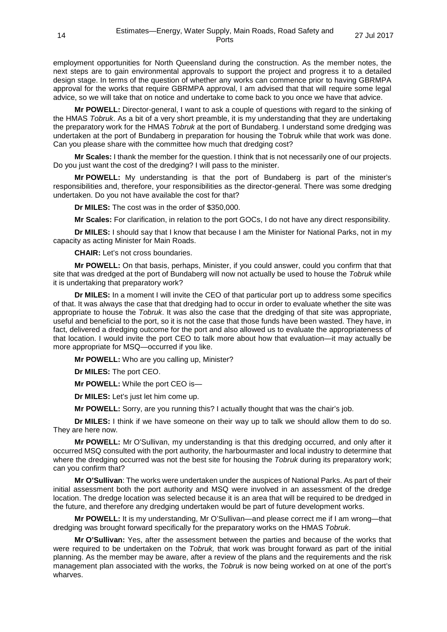employment opportunities for North Queensland during the construction. As the member notes, the next steps are to gain environmental approvals to support the project and progress it to a detailed design stage. In terms of the question of whether any works can commence prior to having GBRMPA approval for the works that require GBRMPA approval, I am advised that that will require some legal advice, so we will take that on notice and undertake to come back to you once we have that advice.

**Mr POWELL:** Director-general, I want to ask a couple of questions with regard to the sinking of the HMAS *Tobruk*. As a bit of a very short preamble, it is my understanding that they are undertaking the preparatory work for the HMAS *Tobruk* at the port of Bundaberg. I understand some dredging was undertaken at the port of Bundaberg in preparation for housing the Tobruk while that work was done. Can you please share with the committee how much that dredging cost?

**Mr Scales:** I thank the member for the question. I think that is not necessarily one of our projects. Do you just want the cost of the dredging? I will pass to the minister.

**Mr POWELL:** My understanding is that the port of Bundaberg is part of the minister's responsibilities and, therefore, your responsibilities as the director-general. There was some dredging undertaken. Do you not have available the cost for that?

**Dr MILES:** The cost was in the order of \$350,000.

**Mr Scales:** For clarification, in relation to the port GOCs, I do not have any direct responsibility.

**Dr MILES:** I should say that I know that because I am the Minister for National Parks, not in my capacity as acting Minister for Main Roads.

**CHAIR:** Let's not cross boundaries.

**Mr POWELL:** On that basis, perhaps, Minister, if you could answer, could you confirm that that site that was dredged at the port of Bundaberg will now not actually be used to house the *Tobruk* while it is undertaking that preparatory work?

**Dr MILES:** In a moment I will invite the CEO of that particular port up to address some specifics of that. It was always the case that that dredging had to occur in order to evaluate whether the site was appropriate to house the *Tobruk*. It was also the case that the dredging of that site was appropriate, useful and beneficial to the port, so it is not the case that those funds have been wasted. They have, in fact, delivered a dredging outcome for the port and also allowed us to evaluate the appropriateness of that location. I would invite the port CEO to talk more about how that evaluation—it may actually be more appropriate for MSQ—occurred if you like.

**Mr POWELL:** Who are you calling up, Minister?

**Dr MILES:** The port CEO.

**Mr POWELL:** While the port CEO is—

**Dr MILES:** Let's just let him come up.

**Mr POWELL:** Sorry, are you running this? I actually thought that was the chair's job.

**Dr MILES:** I think if we have someone on their way up to talk we should allow them to do so. They are here now.

**Mr POWELL:** Mr O'Sullivan, my understanding is that this dredging occurred, and only after it occurred MSQ consulted with the port authority, the harbourmaster and local industry to determine that where the dredging occurred was not the best site for housing the *Tobruk* during its preparatory work; can you confirm that?

**Mr O'Sullivan**: The works were undertaken under the auspices of National Parks. As part of their initial assessment both the port authority and MSQ were involved in an assessment of the dredge location. The dredge location was selected because it is an area that will be required to be dredged in the future, and therefore any dredging undertaken would be part of future development works.

**Mr POWELL:** It is my understanding, Mr O'Sullivan—and please correct me if I am wrong—that dredging was brought forward specifically for the preparatory works on the HMAS *Tobruk*.

**Mr O'Sullivan:** Yes, after the assessment between the parties and because of the works that were required to be undertaken on the *Tobruk,* that work was brought forward as part of the initial planning. As the member may be aware, after a review of the plans and the requirements and the risk management plan associated with the works, the *Tobruk* is now being worked on at one of the port's wharves.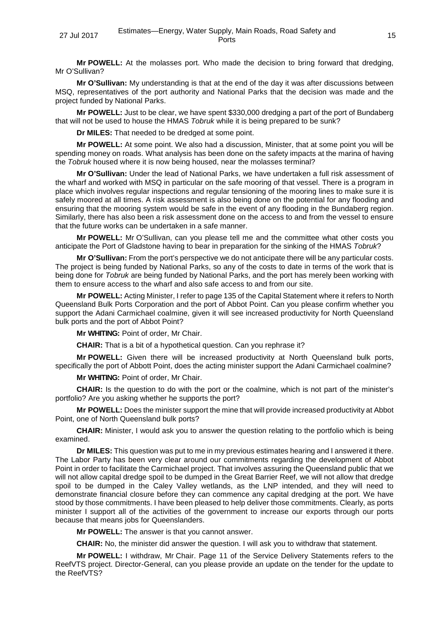**Mr POWELL:** At the molasses port. Who made the decision to bring forward that dredging, Mr O'Sullivan?

**Mr O'Sullivan:** My understanding is that at the end of the day it was after discussions between MSQ, representatives of the port authority and National Parks that the decision was made and the project funded by National Parks.

**Mr POWELL:** Just to be clear, we have spent \$330,000 dredging a part of the port of Bundaberg that will not be used to house the HMAS *Tobruk* while it is being prepared to be sunk?

**Dr MILES:** That needed to be dredged at some point.

**Mr POWELL:** At some point. We also had a discussion, Minister, that at some point you will be spending money on roads. What analysis has been done on the safety impacts at the marina of having the *Tobruk* housed where it is now being housed, near the molasses terminal?

**Mr O'Sullivan:** Under the lead of National Parks, we have undertaken a full risk assessment of the wharf and worked with MSQ in particular on the safe mooring of that vessel. There is a program in place which involves regular inspections and regular tensioning of the mooring lines to make sure it is safely moored at all times. A risk assessment is also being done on the potential for any flooding and ensuring that the mooring system would be safe in the event of any flooding in the Bundaberg region. Similarly, there has also been a risk assessment done on the access to and from the vessel to ensure that the future works can be undertaken in a safe manner.

**Mr POWELL:** Mr O'Sullivan, can you please tell me and the committee what other costs you anticipate the Port of Gladstone having to bear in preparation for the sinking of the HMAS *Tobruk*?

**Mr O'Sullivan:** From the port's perspective we do not anticipate there will be any particular costs. The project is being funded by National Parks, so any of the costs to date in terms of the work that is being done for *Tobruk* are being funded by National Parks, and the port has merely been working with them to ensure access to the wharf and also safe access to and from our site.

**Mr POWELL:** Acting Minister, I refer to page 135 of the Capital Statement where it refers to North Queensland Bulk Ports Corporation and the port of Abbot Point. Can you please confirm whether you support the Adani Carmichael coalmine, given it will see increased productivity for North Queensland bulk ports and the port of Abbot Point?

**Mr WHITING:** Point of order, Mr Chair.

**CHAIR:** That is a bit of a hypothetical question. Can you rephrase it?

**Mr POWELL:** Given there will be increased productivity at North Queensland bulk ports, specifically the port of Abbott Point, does the acting minister support the Adani Carmichael coalmine?

**Mr WHITING:** Point of order, Mr Chair.

**CHAIR:** Is the question to do with the port or the coalmine, which is not part of the minister's portfolio? Are you asking whether he supports the port?

**Mr POWELL:** Does the minister support the mine that will provide increased productivity at Abbot Point, one of North Queensland bulk ports?

**CHAIR:** Minister, I would ask you to answer the question relating to the portfolio which is being examined.

**Dr MILES:** This question was put to me in my previous estimates hearing and I answered it there. The Labor Party has been very clear around our commitments regarding the development of Abbot Point in order to facilitate the Carmichael project. That involves assuring the Queensland public that we will not allow capital dredge spoil to be dumped in the Great Barrier Reef, we will not allow that dredge spoil to be dumped in the Caley Valley wetlands, as the LNP intended, and they will need to demonstrate financial closure before they can commence any capital dredging at the port. We have stood by those commitments. I have been pleased to help deliver those commitments. Clearly, as ports minister I support all of the activities of the government to increase our exports through our ports because that means jobs for Queenslanders.

**Mr POWELL:** The answer is that you cannot answer.

**CHAIR:** No, the minister did answer the question. I will ask you to withdraw that statement.

**Mr POWELL:** I withdraw, Mr Chair. Page 11 of the Service Delivery Statements refers to the ReefVTS project. Director-General, can you please provide an update on the tender for the update to the ReefVTS?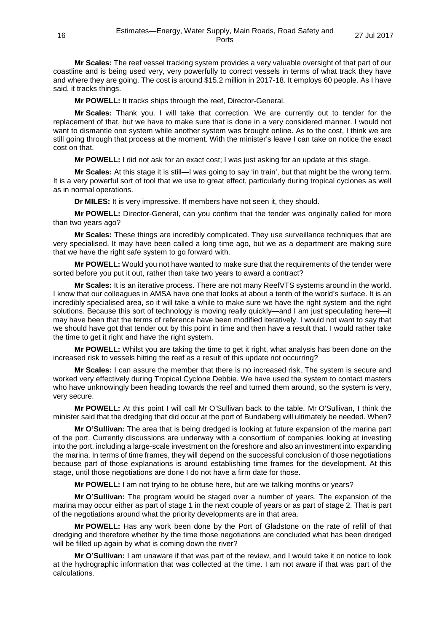**Mr Scales:** The reef vessel tracking system provides a very valuable oversight of that part of our coastline and is being used very, very powerfully to correct vessels in terms of what track they have and where they are going. The cost is around \$15.2 million in 2017-18. It employs 60 people. As I have said, it tracks things.

**Mr POWELL:** It tracks ships through the reef, Director-General.

**Mr Scales:** Thank you. I will take that correction. We are currently out to tender for the replacement of that, but we have to make sure that is done in a very considered manner. I would not want to dismantle one system while another system was brought online. As to the cost, I think we are still going through that process at the moment. With the minister's leave I can take on notice the exact cost on that.

**Mr POWELL:** I did not ask for an exact cost; I was just asking for an update at this stage.

**Mr Scales:** At this stage it is still—I was going to say 'in train', but that might be the wrong term. It is a very powerful sort of tool that we use to great effect, particularly during tropical cyclones as well as in normal operations.

**Dr MILES:** It is very impressive. If members have not seen it, they should.

**Mr POWELL:** Director-General, can you confirm that the tender was originally called for more than two years ago?

**Mr Scales:** These things are incredibly complicated. They use surveillance techniques that are very specialised. It may have been called a long time ago, but we as a department are making sure that we have the right safe system to go forward with.

**Mr POWELL:** Would you not have wanted to make sure that the requirements of the tender were sorted before you put it out, rather than take two years to award a contract?

**Mr Scales:** It is an iterative process. There are not many ReefVTS systems around in the world. I know that our colleagues in AMSA have one that looks at about a tenth of the world's surface. It is an incredibly specialised area, so it will take a while to make sure we have the right system and the right solutions. Because this sort of technology is moving really quickly—and I am just speculating here—it may have been that the terms of reference have been modified iteratively. I would not want to say that we should have got that tender out by this point in time and then have a result that. I would rather take the time to get it right and have the right system.

**Mr POWELL:** Whilst you are taking the time to get it right, what analysis has been done on the increased risk to vessels hitting the reef as a result of this update not occurring?

**Mr Scales:** I can assure the member that there is no increased risk. The system is secure and worked very effectively during Tropical Cyclone Debbie. We have used the system to contact masters who have unknowingly been heading towards the reef and turned them around, so the system is very, very secure.

**Mr POWELL:** At this point I will call Mr O'Sullivan back to the table. Mr O'Sullivan, I think the minister said that the dredging that did occur at the port of Bundaberg will ultimately be needed. When?

**Mr O'Sullivan:** The area that is being dredged is looking at future expansion of the marina part of the port. Currently discussions are underway with a consortium of companies looking at investing into the port, including a large-scale investment on the foreshore and also an investment into expanding the marina. In terms of time frames, they will depend on the successful conclusion of those negotiations because part of those explanations is around establishing time frames for the development. At this stage, until those negotiations are done I do not have a firm date for those.

**Mr POWELL:** I am not trying to be obtuse here, but are we talking months or years?

**Mr O'Sullivan:** The program would be staged over a number of years. The expansion of the marina may occur either as part of stage 1 in the next couple of years or as part of stage 2. That is part of the negotiations around what the priority developments are in that area.

**Mr POWELL:** Has any work been done by the Port of Gladstone on the rate of refill of that dredging and therefore whether by the time those negotiations are concluded what has been dredged will be filled up again by what is coming down the river?

**Mr O'Sullivan:** I am unaware if that was part of the review, and I would take it on notice to look at the hydrographic information that was collected at the time. I am not aware if that was part of the calculations.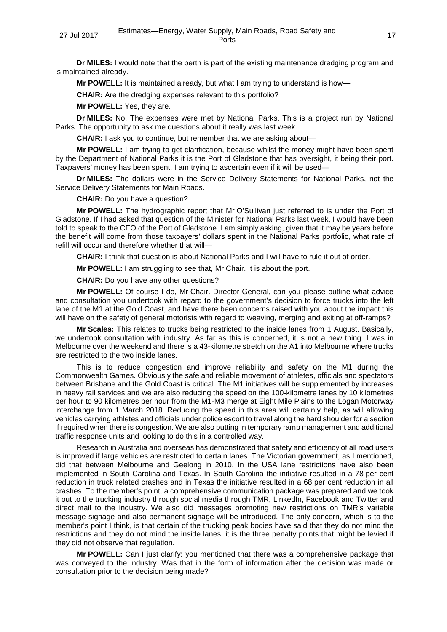**Dr MILES:** I would note that the berth is part of the existing maintenance dredging program and is maintained already.

**Mr POWELL:** It is maintained already, but what I am trying to understand is how—

**CHAIR:** Are the dredging expenses relevant to this portfolio?

**Mr POWELL:** Yes, they are.

**Dr MILES:** No. The expenses were met by National Parks. This is a project run by National Parks. The opportunity to ask me questions about it really was last week.

**CHAIR:** I ask you to continue, but remember that we are asking about—

**Mr POWELL:** I am trying to get clarification, because whilst the money might have been spent by the Department of National Parks it is the Port of Gladstone that has oversight, it being their port. Taxpayers' money has been spent. I am trying to ascertain even if it will be used—

**Dr MILES:** The dollars were in the Service Delivery Statements for National Parks, not the Service Delivery Statements for Main Roads.

**CHAIR:** Do you have a question?

**Mr POWELL:** The hydrographic report that Mr O'Sullivan just referred to is under the Port of Gladstone. If I had asked that question of the Minister for National Parks last week, I would have been told to speak to the CEO of the Port of Gladstone. I am simply asking, given that it may be years before the benefit will come from those taxpayers' dollars spent in the National Parks portfolio, what rate of refill will occur and therefore whether that will—

**CHAIR:** I think that question is about National Parks and I will have to rule it out of order.

**Mr POWELL:** I am struggling to see that, Mr Chair. It is about the port.

**CHAIR:** Do you have any other questions?

**Mr POWELL:** Of course I do, Mr Chair. Director-General, can you please outline what advice and consultation you undertook with regard to the government's decision to force trucks into the left lane of the M1 at the Gold Coast, and have there been concerns raised with you about the impact this will have on the safety of general motorists with regard to weaving, merging and exiting at off-ramps?

**Mr Scales:** This relates to trucks being restricted to the inside lanes from 1 August. Basically, we undertook consultation with industry. As far as this is concerned, it is not a new thing. I was in Melbourne over the weekend and there is a 43-kilometre stretch on the A1 into Melbourne where trucks are restricted to the two inside lanes.

This is to reduce congestion and improve reliability and safety on the M1 during the Commonwealth Games. Obviously the safe and reliable movement of athletes, officials and spectators between Brisbane and the Gold Coast is critical. The M1 initiatives will be supplemented by increases in heavy rail services and we are also reducing the speed on the 100-kilometre lanes by 10 kilometres per hour to 90 kilometres per hour from the M1-M3 merge at Eight Mile Plains to the Logan Motorway interchange from 1 March 2018. Reducing the speed in this area will certainly help, as will allowing vehicles carrying athletes and officials under police escort to travel along the hard shoulder for a section if required when there is congestion. We are also putting in temporary ramp management and additional traffic response units and looking to do this in a controlled way.

Research in Australia and overseas has demonstrated that safety and efficiency of all road users is improved if large vehicles are restricted to certain lanes. The Victorian government, as I mentioned, did that between Melbourne and Geelong in 2010. In the USA lane restrictions have also been implemented in South Carolina and Texas. In South Carolina the initiative resulted in a 78 per cent reduction in truck related crashes and in Texas the initiative resulted in a 68 per cent reduction in all crashes. To the member's point, a comprehensive communication package was prepared and we took it out to the trucking industry through social media through TMR, LinkedIn, Facebook and Twitter and direct mail to the industry. We also did messages promoting new restrictions on TMR's variable message signage and also permanent signage will be introduced. The only concern, which is to the member's point I think, is that certain of the trucking peak bodies have said that they do not mind the restrictions and they do not mind the inside lanes; it is the three penalty points that might be levied if they did not observe that regulation.

**Mr POWELL:** Can I just clarify: you mentioned that there was a comprehensive package that was conveyed to the industry. Was that in the form of information after the decision was made or consultation prior to the decision being made?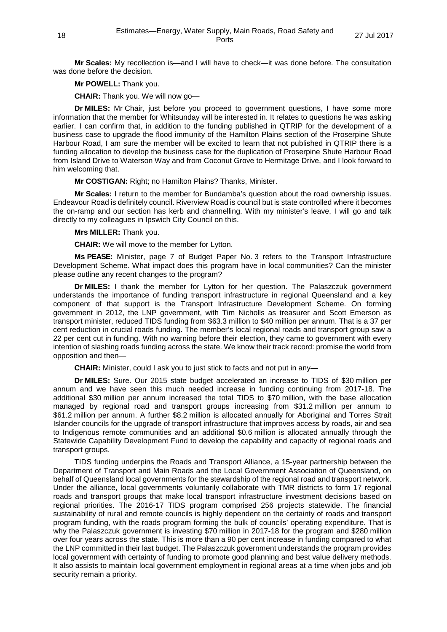**Mr Scales:** My recollection is—and I will have to check—it was done before. The consultation was done before the decision.

**Mr POWELL:** Thank you.

**CHAIR:** Thank you. We will now go—

**Dr MILES:** Mr Chair, just before you proceed to government questions, I have some more information that the member for Whitsunday will be interested in. It relates to questions he was asking earlier. I can confirm that, in addition to the funding published in QTRIP for the development of a business case to upgrade the flood immunity of the Hamilton Plains section of the Proserpine Shute Harbour Road, I am sure the member will be excited to learn that not published in QTRIP there is a funding allocation to develop the business case for the duplication of Proserpine Shute Harbour Road from Island Drive to Waterson Way and from Coconut Grove to Hermitage Drive, and I look forward to him welcoming that.

**Mr COSTIGAN:** Right; no Hamilton Plains? Thanks, Minister.

**Mr Scales:** I return to the member for Bundamba's question about the road ownership issues. Endeavour Road is definitely council. Riverview Road is council but is state controlled where it becomes the on-ramp and our section has kerb and channelling. With my minister's leave, I will go and talk directly to my colleagues in Ipswich City Council on this.

**Mrs MILLER:** Thank you.

**CHAIR:** We will move to the member for Lytton.

**Ms PEASE:** Minister, page 7 of Budget Paper No. 3 refers to the Transport Infrastructure Development Scheme. What impact does this program have in local communities? Can the minister please outline any recent changes to the program?

**Dr MILES:** I thank the member for Lytton for her question. The Palaszczuk government understands the importance of funding transport infrastructure in regional Queensland and a key component of that support is the Transport Infrastructure Development Scheme. On forming government in 2012, the LNP government, with Tim Nicholls as treasurer and Scott Emerson as transport minister, reduced TIDS funding from \$63.3 million to \$40 million per annum. That is a 37 per cent reduction in crucial roads funding. The member's local regional roads and transport group saw a 22 per cent cut in funding. With no warning before their election, they came to government with every intention of slashing roads funding across the state. We know their track record: promise the world from opposition and then—

**CHAIR:** Minister, could I ask you to just stick to facts and not put in any—

**Dr MILES:** Sure. Our 2015 state budget accelerated an increase to TIDS of \$30 million per annum and we have seen this much needed increase in funding continuing from 2017-18. The additional \$30 million per annum increased the total TIDS to \$70 million, with the base allocation managed by regional road and transport groups increasing from \$31.2 million per annum to \$61.2 million per annum. A further \$8.2 million is allocated annually for Aboriginal and Torres Strait Islander councils for the upgrade of transport infrastructure that improves access by roads, air and sea to Indigenous remote communities and an additional \$0.6 million is allocated annually through the Statewide Capability Development Fund to develop the capability and capacity of regional roads and transport groups.

TIDS funding underpins the Roads and Transport Alliance, a 15-year partnership between the Department of Transport and Main Roads and the Local Government Association of Queensland, on behalf of Queensland local governments for the stewardship of the regional road and transport network. Under the alliance, local governments voluntarily collaborate with TMR districts to form 17 regional roads and transport groups that make local transport infrastructure investment decisions based on regional priorities. The 2016-17 TIDS program comprised 256 projects statewide. The financial sustainability of rural and remote councils is highly dependent on the certainty of roads and transport program funding, with the roads program forming the bulk of councils' operating expenditure. That is why the Palaszczuk government is investing \$70 million in 2017-18 for the program and \$280 million over four years across the state. This is more than a 90 per cent increase in funding compared to what the LNP committed in their last budget. The Palaszczuk government understands the program provides local government with certainty of funding to promote good planning and best value delivery methods. It also assists to maintain local government employment in regional areas at a time when jobs and job security remain a priority.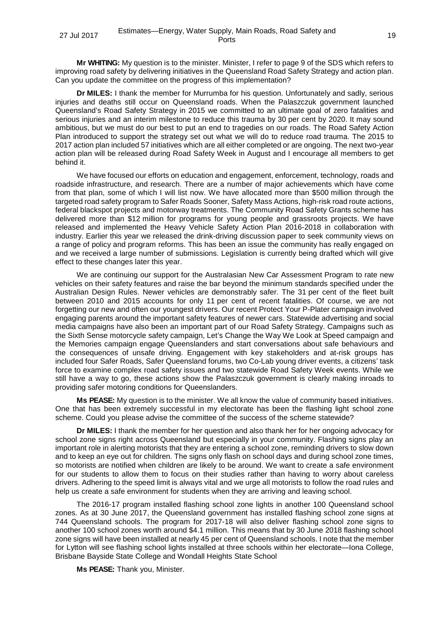**Mr WHITING:** My question is to the minister. Minister, I refer to page 9 of the SDS which refers to improving road safety by delivering initiatives in the Queensland Road Safety Strategy and action plan. Can you update the committee on the progress of this implementation?

**Dr MILES:** I thank the member for Murrumba for his question. Unfortunately and sadly, serious injuries and deaths still occur on Queensland roads. When the Palaszczuk government launched Queensland's Road Safety Strategy in 2015 we committed to an ultimate goal of zero fatalities and serious injuries and an interim milestone to reduce this trauma by 30 per cent by 2020. It may sound ambitious, but we must do our best to put an end to tragedies on our roads. The Road Safety Action Plan introduced to support the strategy set out what we will do to reduce road trauma. The 2015 to 2017 action plan included 57 initiatives which are all either completed or are ongoing. The next two-year action plan will be released during Road Safety Week in August and I encourage all members to get behind it.

We have focused our efforts on education and engagement, enforcement, technology, roads and roadside infrastructure, and research. There are a number of major achievements which have come from that plan, some of which I will list now. We have allocated more than \$500 million through the targeted road safety program to Safer Roads Sooner, Safety Mass Actions, high-risk road route actions, federal blackspot projects and motorway treatments. The Community Road Safety Grants scheme has delivered more than \$12 million for programs for young people and grassroots projects. We have released and implemented the Heavy Vehicle Safety Action Plan 2016-2018 in collaboration with industry. Earlier this year we released the drink-driving discussion paper to seek community views on a range of policy and program reforms. This has been an issue the community has really engaged on and we received a large number of submissions. Legislation is currently being drafted which will give effect to these changes later this year.

We are continuing our support for the Australasian New Car Assessment Program to rate new vehicles on their safety features and raise the bar beyond the minimum standards specified under the Australian Design Rules. Newer vehicles are demonstrably safer. The 31 per cent of the fleet built between 2010 and 2015 accounts for only 11 per cent of recent fatalities. Of course, we are not forgetting our new and often our youngest drivers. Our recent Protect Your P-Plater campaign involved engaging parents around the important safety features of newer cars. Statewide advertising and social media campaigns have also been an important part of our Road Safety Strategy. Campaigns such as the Sixth Sense motorcycle safety campaign, Let's Change the Way We Look at Speed campaign and the Memories campaign engage Queenslanders and start conversations about safe behaviours and the consequences of unsafe driving. Engagement with key stakeholders and at-risk groups has included four Safer Roads, Safer Queensland forums, two Co-Lab young driver events, a citizens' task force to examine complex road safety issues and two statewide Road Safety Week events. While we still have a way to go, these actions show the Palaszczuk government is clearly making inroads to providing safer motoring conditions for Queenslanders.

**Ms PEASE:** My question is to the minister. We all know the value of community based initiatives. One that has been extremely successful in my electorate has been the flashing light school zone scheme. Could you please advise the committee of the success of the scheme statewide?

**Dr MILES:** I thank the member for her question and also thank her for her ongoing advocacy for school zone signs right across Queensland but especially in your community. Flashing signs play an important role in alerting motorists that they are entering a school zone, reminding drivers to slow down and to keep an eye out for children. The signs only flash on school days and during school zone times, so motorists are notified when children are likely to be around. We want to create a safe environment for our students to allow them to focus on their studies rather than having to worry about careless drivers. Adhering to the speed limit is always vital and we urge all motorists to follow the road rules and help us create a safe environment for students when they are arriving and leaving school.

The 2016-17 program installed flashing school zone lights in another 100 Queensland school zones. As at 30 June 2017, the Queensland government has installed flashing school zone signs at 744 Queensland schools. The program for 2017-18 will also deliver flashing school zone signs to another 100 school zones worth around \$4.1 million. This means that by 30 June 2018 flashing school zone signs will have been installed at nearly 45 per cent of Queensland schools. I note that the member for Lytton will see flashing school lights installed at three schools within her electorate—Iona College, Brisbane Bayside State College and Wondall Heights State School

**Ms PEASE:** Thank you, Minister.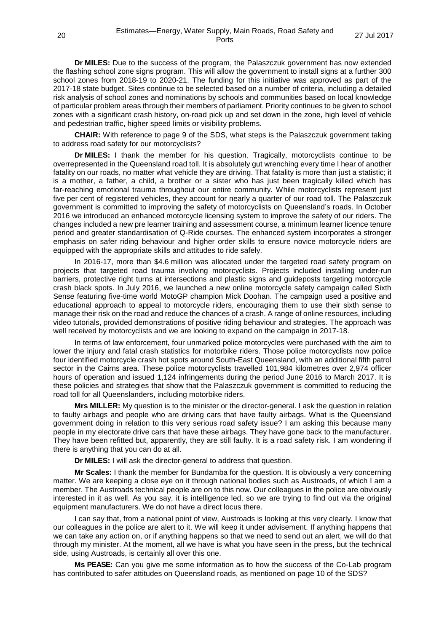**Dr MILES:** Due to the success of the program, the Palaszczuk government has now extended the flashing school zone signs program. This will allow the government to install signs at a further 300 school zones from 2018-19 to 2020-21. The funding for this initiative was approved as part of the 2017-18 state budget. Sites continue to be selected based on a number of criteria, including a detailed risk analysis of school zones and nominations by schools and communities based on local knowledge of particular problem areas through their members of parliament. Priority continues to be given to school zones with a significant crash history, on-road pick up and set down in the zone, high level of vehicle and pedestrian traffic, higher speed limits or visibility problems.

**CHAIR:** With reference to page 9 of the SDS, what steps is the Palaszczuk government taking to address road safety for our motorcyclists?

**Dr MILES:** I thank the member for his question. Tragically, motorcyclists continue to be overrepresented in the Queensland road toll. It is absolutely gut wrenching every time I hear of another fatality on our roads, no matter what vehicle they are driving. That fatality is more than just a statistic; it is a mother, a father, a child, a brother or a sister who has just been tragically killed which has far-reaching emotional trauma throughout our entire community. While motorcyclists represent just five per cent of registered vehicles, they account for nearly a quarter of our road toll. The Palaszczuk government is committed to improving the safety of motorcyclists on Queensland's roads. In October 2016 we introduced an enhanced motorcycle licensing system to improve the safety of our riders. The changes included a new pre learner training and assessment course, a minimum learner licence tenure period and greater standardisation of Q-Ride courses. The enhanced system incorporates a stronger emphasis on safer riding behaviour and higher order skills to ensure novice motorcycle riders are equipped with the appropriate skills and attitudes to ride safely.

In 2016-17, more than \$4.6 million was allocated under the targeted road safety program on projects that targeted road trauma involving motorcyclists. Projects included installing under-run barriers, protective right turns at intersections and plastic signs and guideposts targeting motorcycle crash black spots. In July 2016, we launched a new online motorcycle safety campaign called Sixth Sense featuring five-time world MotoGP champion Mick Doohan. The campaign used a positive and educational approach to appeal to motorcycle riders, encouraging them to use their sixth sense to manage their risk on the road and reduce the chances of a crash. A range of online resources, including video tutorials, provided demonstrations of positive riding behaviour and strategies. The approach was well received by motorcyclists and we are looking to expand on the campaign in 2017-18.

In terms of law enforcement, four unmarked police motorcycles were purchased with the aim to lower the injury and fatal crash statistics for motorbike riders. Those police motorcyclists now police four identified motorcycle crash hot spots around South-East Queensland, with an additional fifth patrol sector in the Cairns area. These police motorcyclists travelled 101,984 kilometres over 2,974 officer hours of operation and issued 1,124 infringements during the period June 2016 to March 2017. It is these policies and strategies that show that the Palaszczuk government is committed to reducing the road toll for all Queenslanders, including motorbike riders.

**Mrs MILLER:** My question is to the minister or the director-general. I ask the question in relation to faulty airbags and people who are driving cars that have faulty airbags. What is the Queensland government doing in relation to this very serious road safety issue? I am asking this because many people in my electorate drive cars that have these airbags. They have gone back to the manufacturer. They have been refitted but, apparently, they are still faulty. It is a road safety risk. I am wondering if there is anything that you can do at all.

**Dr MILES:** I will ask the director-general to address that question.

**Mr Scales:** I thank the member for Bundamba for the question. It is obviously a very concerning matter. We are keeping a close eye on it through national bodies such as Austroads, of which I am a member. The Austroads technical people are on to this now. Our colleagues in the police are obviously interested in it as well. As you say, it is intelligence led, so we are trying to find out via the original equipment manufacturers. We do not have a direct locus there.

I can say that, from a national point of view, Austroads is looking at this very clearly. I know that our colleagues in the police are alert to it. We will keep it under advisement. If anything happens that we can take any action on, or if anything happens so that we need to send out an alert, we will do that through my minister. At the moment, all we have is what you have seen in the press, but the technical side, using Austroads, is certainly all over this one.

**Ms PEASE:** Can you give me some information as to how the success of the Co-Lab program has contributed to safer attitudes on Queensland roads, as mentioned on page 10 of the SDS?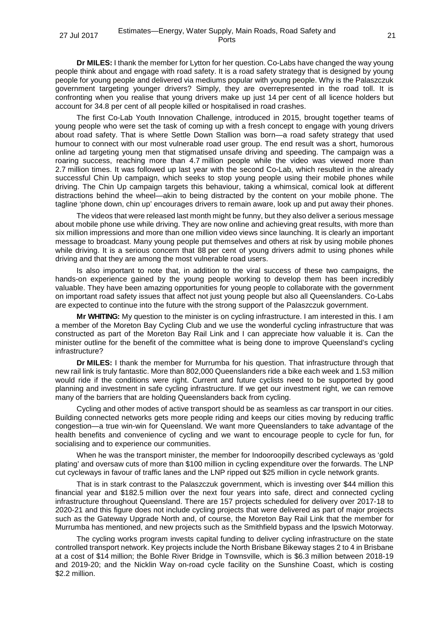**Dr MILES:** I thank the member for Lytton for her question. Co-Labs have changed the way young people think about and engage with road safety. It is a road safety strategy that is designed by young people for young people and delivered via mediums popular with young people. Why is the Palaszczuk government targeting younger drivers? Simply, they are overrepresented in the road toll. It is confronting when you realise that young drivers make up just 14 per cent of all licence holders but account for 34.8 per cent of all people killed or hospitalised in road crashes.

The first Co-Lab Youth Innovation Challenge, introduced in 2015, brought together teams of young people who were set the task of coming up with a fresh concept to engage with young drivers about road safety. That is where Settle Down Stallion was born—a road safety strategy that used humour to connect with our most vulnerable road user group. The end result was a short, humorous online ad targeting young men that stigmatised unsafe driving and speeding. The campaign was a roaring success, reaching more than 4.7 million people while the video was viewed more than 2.7 million times. It was followed up last year with the second Co-Lab, which resulted in the already successful Chin Up campaign, which seeks to stop young people using their mobile phones while driving. The Chin Up campaign targets this behaviour, taking a whimsical, comical look at different distractions behind the wheel—akin to being distracted by the content on your mobile phone. The tagline 'phone down, chin up' encourages drivers to remain aware, look up and put away their phones.

The videos that were released last month might be funny, but they also deliver a serious message about mobile phone use while driving. They are now online and achieving great results, with more than six million impressions and more than one million video views since launching. It is clearly an important message to broadcast. Many young people put themselves and others at risk by using mobile phones while driving. It is a serious concern that 88 per cent of young drivers admit to using phones while driving and that they are among the most vulnerable road users.

Is also important to note that, in addition to the viral success of these two campaigns, the hands-on experience gained by the young people working to develop them has been incredibly valuable. They have been amazing opportunities for young people to collaborate with the government on important road safety issues that affect not just young people but also all Queenslanders. Co-Labs are expected to continue into the future with the strong support of the Palaszczuk government.

**Mr WHITING:** My question to the minister is on cycling infrastructure. I am interested in this. I am a member of the Moreton Bay Cycling Club and we use the wonderful cycling infrastructure that was constructed as part of the Moreton Bay Rail Link and I can appreciate how valuable it is. Can the minister outline for the benefit of the committee what is being done to improve Queensland's cycling infrastructure?

**Dr MILES:** I thank the member for Murrumba for his question. That infrastructure through that new rail link is truly fantastic. More than 802,000 Queenslanders ride a bike each week and 1.53 million would ride if the conditions were right. Current and future cyclists need to be supported by good planning and investment in safe cycling infrastructure. If we get our investment right, we can remove many of the barriers that are holding Queenslanders back from cycling.

Cycling and other modes of active transport should be as seamless as car transport in our cities. Building connected networks gets more people riding and keeps our cities moving by reducing traffic congestion—a true win-win for Queensland. We want more Queenslanders to take advantage of the health benefits and convenience of cycling and we want to encourage people to cycle for fun, for socialising and to experience our communities.

When he was the transport minister, the member for Indooroopilly described cycleways as 'gold plating' and oversaw cuts of more than \$100 million in cycling expenditure over the forwards. The LNP cut cycleways in favour of traffic lanes and the LNP ripped out \$25 million in cycle network grants.

That is in stark contrast to the Palaszczuk government, which is investing over \$44 million this financial year and \$182.5 million over the next four years into safe, direct and connected cycling infrastructure throughout Queensland. There are 157 projects scheduled for delivery over 2017-18 to 2020-21 and this figure does not include cycling projects that were delivered as part of major projects such as the Gateway Upgrade North and, of course, the Moreton Bay Rail Link that the member for Murrumba has mentioned, and new projects such as the Smithfield bypass and the Ipswich Motorway.

The cycling works program invests capital funding to deliver cycling infrastructure on the state controlled transport network. Key projects include the North Brisbane Bikeway stages 2 to 4 in Brisbane at a cost of \$14 million; the Bohle River Bridge in Townsville, which is \$6.3 million between 2018-19 and 2019-20; and the Nicklin Way on-road cycle facility on the Sunshine Coast, which is costing \$2.2 million.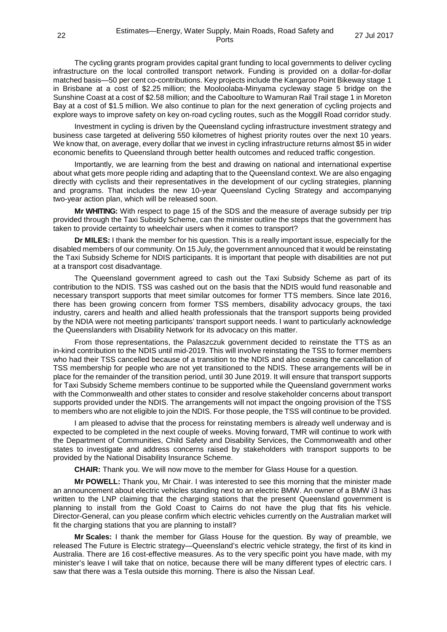The cycling grants program provides capital grant funding to local governments to deliver cycling infrastructure on the local controlled transport network. Funding is provided on a dollar-for-dollar matched basis—50 per cent co-contributions. Key projects include the Kangaroo Point Bikeway stage 1 in Brisbane at a cost of \$2.25 million; the Mooloolaba-Minyama cycleway stage 5 bridge on the Sunshine Coast at a cost of \$2.58 million; and the Caboolture to Wamuran Rail Trail stage 1 in Moreton Bay at a cost of \$1.5 million. We also continue to plan for the next generation of cycling projects and explore ways to improve safety on key on-road cycling routes, such as the Moggill Road corridor study.

Investment in cycling is driven by the Queensland cycling infrastructure investment strategy and business case targeted at delivering 550 kilometres of highest priority routes over the next 10 years. We know that, on average, every dollar that we invest in cycling infrastructure returns almost \$5 in wider economic benefits to Queensland through better health outcomes and reduced traffic congestion.

Importantly, we are learning from the best and drawing on national and international expertise about what gets more people riding and adapting that to the Queensland context. We are also engaging directly with cyclists and their representatives in the development of our cycling strategies, planning and programs. That includes the new 10-year Queensland Cycling Strategy and accompanying two-year action plan, which will be released soon.

**Mr WHITING:** With respect to page 15 of the SDS and the measure of average subsidy per trip provided through the Taxi Subsidy Scheme, can the minister outline the steps that the government has taken to provide certainty to wheelchair users when it comes to transport?

**Dr MILES:** I thank the member for his question. This is a really important issue, especially for the disabled members of our community. On 15 July, the government announced that it would be reinstating the Taxi Subsidy Scheme for NDIS participants. It is important that people with disabilities are not put at a transport cost disadvantage.

The Queensland government agreed to cash out the Taxi Subsidy Scheme as part of its contribution to the NDIS. TSS was cashed out on the basis that the NDIS would fund reasonable and necessary transport supports that meet similar outcomes for former TTS members. Since late 2016, there has been growing concern from former TSS members, disability advocacy groups, the taxi industry, carers and health and allied health professionals that the transport supports being provided by the NDIA were not meeting participants' transport support needs. I want to particularly acknowledge the Queenslanders with Disability Network for its advocacy on this matter.

From those representations, the Palaszczuk government decided to reinstate the TTS as an in-kind contribution to the NDIS until mid-2019. This will involve reinstating the TSS to former members who had their TSS cancelled because of a transition to the NDIS and also ceasing the cancellation of TSS membership for people who are not yet transitioned to the NDIS. These arrangements will be in place for the remainder of the transition period, until 30 June 2019. It will ensure that transport supports for Taxi Subsidy Scheme members continue to be supported while the Queensland government works with the Commonwealth and other states to consider and resolve stakeholder concerns about transport supports provided under the NDIS. The arrangements will not impact the ongoing provision of the TSS to members who are not eligible to join the NDIS. For those people, the TSS will continue to be provided.

I am pleased to advise that the process for reinstating members is already well underway and is expected to be completed in the next couple of weeks. Moving forward, TMR will continue to work with the Department of Communities, Child Safety and Disability Services, the Commonwealth and other states to investigate and address concerns raised by stakeholders with transport supports to be provided by the National Disability Insurance Scheme.

**CHAIR:** Thank you. We will now move to the member for Glass House for a question.

**Mr POWELL:** Thank you, Mr Chair. I was interested to see this morning that the minister made an announcement about electric vehicles standing next to an electric BMW. An owner of a BMW i3 has written to the LNP claiming that the charging stations that the present Queensland government is planning to install from the Gold Coast to Cairns do not have the plug that fits his vehicle. Director-General, can you please confirm which electric vehicles currently on the Australian market will fit the charging stations that you are planning to install?

**Mr Scales:** I thank the member for Glass House for the question. By way of preamble, we released The Future is Electric strategy—Queensland's electric vehicle strategy, the first of its kind in Australia. There are 16 cost-effective measures. As to the very specific point you have made, with my minister's leave I will take that on notice, because there will be many different types of electric cars. I saw that there was a Tesla outside this morning. There is also the Nissan Leaf.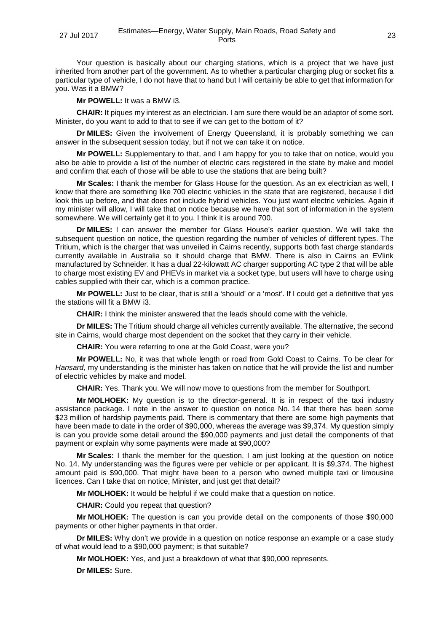Your question is basically about our charging stations, which is a project that we have just inherited from another part of the government. As to whether a particular charging plug or socket fits a particular type of vehicle, I do not have that to hand but I will certainly be able to get that information for you. Was it a BMW?

**Mr POWELL:** It was a BMW i3.

**CHAIR:** It piques my interest as an electrician. I am sure there would be an adaptor of some sort. Minister, do you want to add to that to see if we can get to the bottom of it?

**Dr MILES:** Given the involvement of Energy Queensland, it is probably something we can answer in the subsequent session today, but if not we can take it on notice.

**Mr POWELL:** Supplementary to that, and I am happy for you to take that on notice, would you also be able to provide a list of the number of electric cars registered in the state by make and model and confirm that each of those will be able to use the stations that are being built?

**Mr Scales:** I thank the member for Glass House for the question. As an ex electrician as well, I know that there are something like 700 electric vehicles in the state that are registered, because I did look this up before, and that does not include hybrid vehicles. You just want electric vehicles. Again if my minister will allow, I will take that on notice because we have that sort of information in the system somewhere. We will certainly get it to you. I think it is around 700.

**Dr MILES:** I can answer the member for Glass House's earlier question. We will take the subsequent question on notice, the question regarding the number of vehicles of different types. The Tritium, which is the charger that was unveiled in Cairns recently, supports both fast charge standards currently available in Australia so it should charge that BMW. There is also in Cairns an EVlink manufactured by Schneider. It has a dual 22-kilowatt AC charger supporting AC type 2 that will be able to charge most existing EV and PHEVs in market via a socket type, but users will have to charge using cables supplied with their car, which is a common practice.

**Mr POWELL:** Just to be clear, that is still a 'should' or a 'most'. If I could get a definitive that yes the stations will fit a BMW i3.

**CHAIR:** I think the minister answered that the leads should come with the vehicle.

**Dr MILES:** The Tritium should charge all vehicles currently available. The alternative, the second site in Cairns, would charge most dependent on the socket that they carry in their vehicle.

**CHAIR:** You were referring to one at the Gold Coast, were you?

**Mr POWELL:** No, it was that whole length or road from Gold Coast to Cairns. To be clear for *Hansard*, my understanding is the minister has taken on notice that he will provide the list and number of electric vehicles by make and model.

**CHAIR:** Yes. Thank you. We will now move to questions from the member for Southport.

**Mr MOLHOEK:** My question is to the director-general. It is in respect of the taxi industry assistance package. I note in the answer to question on notice No. 14 that there has been some \$23 million of hardship payments paid. There is commentary that there are some high payments that have been made to date in the order of \$90,000, whereas the average was \$9,374. My question simply is can you provide some detail around the \$90,000 payments and just detail the components of that payment or explain why some payments were made at \$90,000?

**Mr Scales:** I thank the member for the question. I am just looking at the question on notice No. 14. My understanding was the figures were per vehicle or per applicant. It is \$9,374. The highest amount paid is \$90,000. That might have been to a person who owned multiple taxi or limousine licences. Can I take that on notice, Minister, and just get that detail?

**Mr MOLHOEK:** It would be helpful if we could make that a question on notice.

**CHAIR:** Could you repeat that question?

**Mr MOLHOEK:** The question is can you provide detail on the components of those \$90,000 payments or other higher payments in that order.

**Dr MILES:** Why don't we provide in a question on notice response an example or a case study of what would lead to a \$90,000 payment; is that suitable?

**Mr MOLHOEK:** Yes, and just a breakdown of what that \$90,000 represents.

**Dr MILES:** Sure.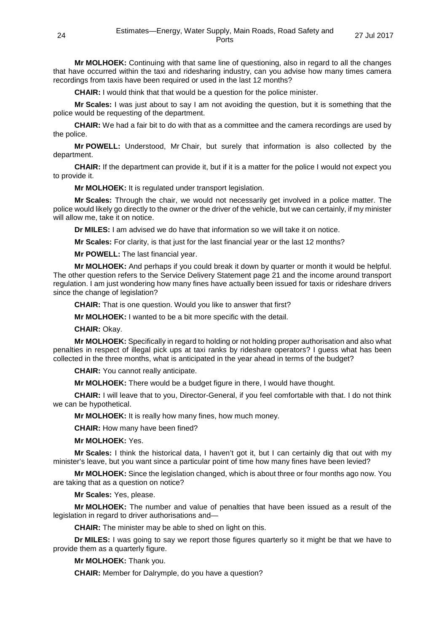**Mr MOLHOEK:** Continuing with that same line of questioning, also in regard to all the changes that have occurred within the taxi and ridesharing industry, can you advise how many times camera recordings from taxis have been required or used in the last 12 months?

**CHAIR:** I would think that that would be a question for the police minister.

**Mr Scales:** I was just about to say I am not avoiding the question, but it is something that the police would be requesting of the department.

**CHAIR:** We had a fair bit to do with that as a committee and the camera recordings are used by the police.

**Mr POWELL:** Understood, Mr Chair, but surely that information is also collected by the department.

**CHAIR:** If the department can provide it, but if it is a matter for the police I would not expect you to provide it.

**Mr MOLHOEK:** It is regulated under transport legislation.

**Mr Scales:** Through the chair, we would not necessarily get involved in a police matter. The police would likely go directly to the owner or the driver of the vehicle, but we can certainly, if my minister will allow me, take it on notice.

**Dr MILES:** I am advised we do have that information so we will take it on notice.

**Mr Scales:** For clarity, is that just for the last financial year or the last 12 months?

**Mr POWELL:** The last financial year.

**Mr MOLHOEK:** And perhaps if you could break it down by quarter or month it would be helpful. The other question refers to the Service Delivery Statement page 21 and the income around transport regulation. I am just wondering how many fines have actually been issued for taxis or rideshare drivers since the change of legislation?

**CHAIR:** That is one question. Would you like to answer that first?

**Mr MOLHOEK:** I wanted to be a bit more specific with the detail.

**CHAIR:** Okay.

**Mr MOLHOEK:** Specifically in regard to holding or not holding proper authorisation and also what penalties in respect of illegal pick ups at taxi ranks by rideshare operators? I guess what has been collected in the three months, what is anticipated in the year ahead in terms of the budget?

**CHAIR:** You cannot really anticipate.

**Mr MOLHOEK:** There would be a budget figure in there, I would have thought.

**CHAIR:** I will leave that to you, Director-General, if you feel comfortable with that. I do not think we can be hypothetical.

**Mr MOLHOEK:** It is really how many fines, how much money.

**CHAIR:** How many have been fined?

**Mr MOLHOEK:** Yes.

**Mr Scales:** I think the historical data, I haven't got it, but I can certainly dig that out with my minister's leave, but you want since a particular point of time how many fines have been levied?

**Mr MOLHOEK:** Since the legislation changed, which is about three or four months ago now. You are taking that as a question on notice?

**Mr Scales:** Yes, please.

**Mr MOLHOEK:** The number and value of penalties that have been issued as a result of the legislation in regard to driver authorisations and—

**CHAIR:** The minister may be able to shed on light on this.

**Dr MILES:** I was going to say we report those figures quarterly so it might be that we have to provide them as a quarterly figure.

**Mr MOLHOEK:** Thank you.

**CHAIR:** Member for Dalrymple, do you have a question?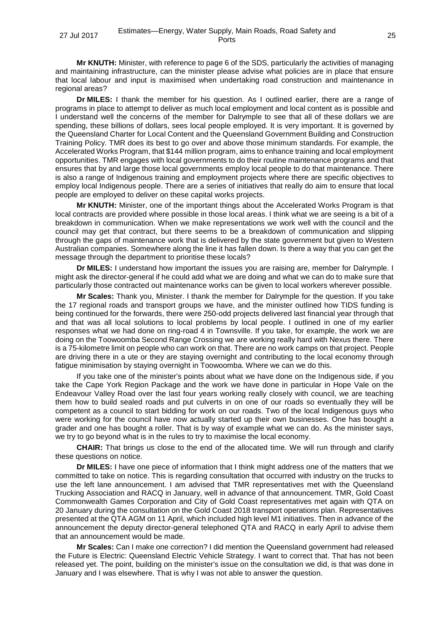**Mr KNUTH:** Minister, with reference to page 6 of the SDS, particularly the activities of managing and maintaining infrastructure, can the minister please advise what policies are in place that ensure that local labour and input is maximised when undertaking road construction and maintenance in regional areas?

**Dr MILES:** I thank the member for his question. As I outlined earlier, there are a range of programs in place to attempt to deliver as much local employment and local content as is possible and I understand well the concerns of the member for Dalrymple to see that all of these dollars we are spending, these billions of dollars, sees local people employed. It is very important. It is governed by the Queensland Charter for Local Content and the Queensland Government Building and Construction Training Policy. TMR does its best to go over and above those minimum standards. For example, the Accelerated Works Program, that \$144 million program, aims to enhance training and local employment opportunities. TMR engages with local governments to do their routine maintenance programs and that ensures that by and large those local governments employ local people to do that maintenance. There is also a range of Indigenous training and employment projects where there are specific objectives to employ local Indigenous people. There are a series of initiatives that really do aim to ensure that local people are employed to deliver on these capital works projects.

**Mr KNUTH:** Minister, one of the important things about the Accelerated Works Program is that local contracts are provided where possible in those local areas. I think what we are seeing is a bit of a breakdown in communication. When we make representations we work well with the council and the council may get that contract, but there seems to be a breakdown of communication and slipping through the gaps of maintenance work that is delivered by the state government but given to Western Australian companies. Somewhere along the line it has fallen down. Is there a way that you can get the message through the department to prioritise these locals?

**Dr MILES:** I understand how important the issues you are raising are, member for Dalrymple. I might ask the director-general if he could add what we are doing and what we can do to make sure that particularly those contracted out maintenance works can be given to local workers wherever possible.

**Mr Scales:** Thank you, Minister. I thank the member for Dalrymple for the question. If you take the 17 regional roads and transport groups we have, and the minister outlined how TIDS funding is being continued for the forwards, there were 250-odd projects delivered last financial year through that and that was all local solutions to local problems by local people. I outlined in one of my earlier responses what we had done on ring-road 4 in Townsville. If you take, for example, the work we are doing on the Toowoomba Second Range Crossing we are working really hard with Nexus there. There is a 75-kilometre limit on people who can work on that. There are no work camps on that project. People are driving there in a ute or they are staying overnight and contributing to the local economy through fatigue minimisation by staying overnight in Toowoomba. Where we can we do this.

If you take one of the minister's points about what we have done on the Indigenous side, if you take the Cape York Region Package and the work we have done in particular in Hope Vale on the Endeavour Valley Road over the last four years working really closely with council, we are teaching them how to build sealed roads and put culverts in on one of our roads so eventually they will be competent as a council to start bidding for work on our roads. Two of the local Indigenous guys who were working for the council have now actually started up their own businesses. One has bought a grader and one has bought a roller. That is by way of example what we can do. As the minister says, we try to go beyond what is in the rules to try to maximise the local economy.

**CHAIR:** That brings us close to the end of the allocated time. We will run through and clarify these questions on notice.

**Dr MILES:** I have one piece of information that I think might address one of the matters that we committed to take on notice. This is regarding consultation that occurred with industry on the trucks to use the left lane announcement. I am advised that TMR representatives met with the Queensland Trucking Association and RACQ in January, well in advance of that announcement. TMR, Gold Coast Commonwealth Games Corporation and City of Gold Coast representatives met again with QTA on 20 January during the consultation on the Gold Coast 2018 transport operations plan. Representatives presented at the QTA AGM on 11 April, which included high level M1 initiatives. Then in advance of the announcement the deputy director-general telephoned QTA and RACQ in early April to advise them that an announcement would be made.

**Mr Scales:** Can I make one correction? I did mention the Queensland government had released the Future is Electric: Queensland Electric Vehicle Strategy. I want to correct that. That has not been released yet. The point, building on the minister's issue on the consultation we did, is that was done in January and I was elsewhere. That is why I was not able to answer the question.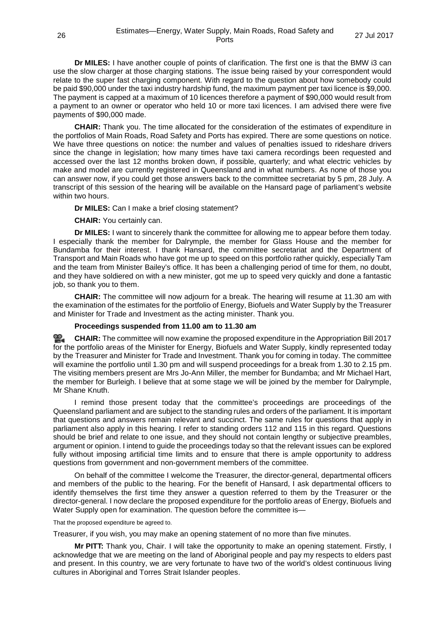**Dr MILES:** I have another couple of points of clarification. The first one is that the BMW i3 can use the slow charger at those charging stations. The issue being raised by your correspondent would relate to the super fast charging component. With regard to the question about how somebody could be paid \$90,000 under the taxi industry hardship fund, the maximum payment per taxi licence is \$9,000. The payment is capped at a maximum of 10 licences therefore a payment of \$90,000 would result from a payment to an owner or operator who held 10 or more taxi licences. I am advised there were five payments of \$90,000 made.

**CHAIR:** Thank you. The time allocated for the consideration of the estimates of expenditure in the portfolios of Main Roads, Road Safety and Ports has expired. There are some questions on notice. We have three questions on notice: the number and values of penalties issued to rideshare drivers since the change in legislation; how many times have taxi camera recordings been requested and accessed over the last 12 months broken down, if possible, quarterly; and what electric vehicles by make and model are currently registered in Queensland and in what numbers. As none of those you can answer now, if you could get those answers back to the committee secretariat by 5 pm, 28 July. A transcript of this session of the hearing will be available on the Hansard page of parliament's website within two hours.

**Dr MILES:** Can I make a brief closing statement?

**CHAIR:** You certainly can.

**Dr MILES:** I want to sincerely thank the committee for allowing me to appear before them today. I especially thank the member for Dalrymple, the member for Glass House and the member for Bundamba for their interest. I thank Hansard, the committee secretariat and the Department of Transport and Main Roads who have got me up to speed on this portfolio rather quickly, especially Tam and the team from Minister Bailey's office. It has been a challenging period of time for them, no doubt, and they have soldiered on with a new minister, got me up to speed very quickly and done a fantastic job, so thank you to them.

**CHAIR:** The committee will now adjourn for a break. The hearing will resume at 11.30 am with the examination of the estimates for the portfolio of Energy, Biofuels and Water Supply by the Treasurer and Minister for Trade and Investment as the acting minister. Thank you.

# **Proceedings suspended from 11.00 am to 11.30 am**

**[CHAIR:](http://www.parliament.qld.gov.au/docs/find.aspx?id=0Mba20170727_113136)** The committee will now examine the proposed expenditure in the Appropriation Bill 2017 for the portfolio areas of the Minister for Energy, Biofuels and Water Supply, kindly represented today by the Treasurer and Minister for Trade and Investment. Thank you for coming in today. The committee will examine the portfolio until 1.30 pm and will suspend proceedings for a break from 1.30 to 2.15 pm. The visiting members present are Mrs Jo-Ann Miller, the member for Bundamba; and Mr Michael Hart, the member for Burleigh. I believe that at some stage we will be joined by the member for Dalrymple, Mr Shane Knuth.

I remind those present today that the committee's proceedings are proceedings of the Queensland parliament and are subject to the standing rules and orders of the parliament. It is important that questions and answers remain relevant and succinct. The same rules for questions that apply in parliament also apply in this hearing. I refer to standing orders 112 and 115 in this regard. Questions should be brief and relate to one issue, and they should not contain lengthy or subjective preambles, argument or opinion. I intend to guide the proceedings today so that the relevant issues can be explored fully without imposing artificial time limits and to ensure that there is ample opportunity to address questions from government and non-government members of the committee.

On behalf of the committee I welcome the Treasurer, the director-general, departmental officers and members of the public to the hearing. For the benefit of Hansard, I ask departmental officers to identify themselves the first time they answer a question referred to them by the Treasurer or the director-general. I now declare the proposed expenditure for the portfolio areas of Energy, Biofuels and Water Supply open for examination. The question before the committee is—

#### That the proposed expenditure be agreed to.

Treasurer, if you wish, you may make an opening statement of no more than five minutes.

**Mr PITT:** Thank you, Chair. I will take the opportunity to make an opening statement. Firstly, I acknowledge that we are meeting on the land of Aboriginal people and pay my respects to elders past and present. In this country, we are very fortunate to have two of the world's oldest continuous living cultures in Aboriginal and Torres Strait Islander peoples.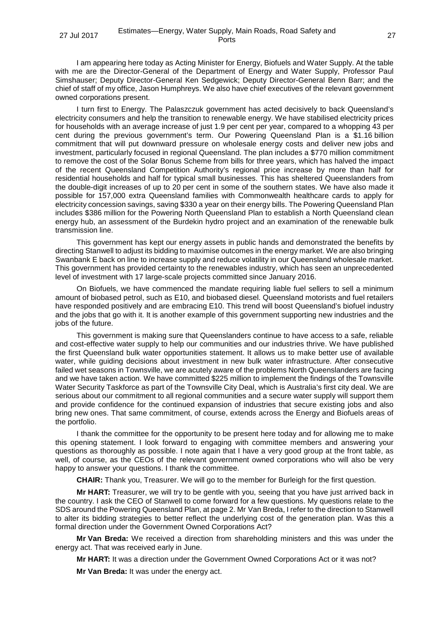I am appearing here today as Acting Minister for Energy, Biofuels and Water Supply. At the table with me are the Director-General of the Department of Energy and Water Supply, Professor Paul Simshauser; Deputy Director-General Ken Sedgewick; Deputy Director-General Benn Barr; and the chief of staff of my office, Jason Humphreys. We also have chief executives of the relevant government owned corporations present.

I turn first to Energy. The Palaszczuk government has acted decisively to back Queensland's electricity consumers and help the transition to renewable energy. We have stabilised electricity prices for households with an average increase of just 1.9 per cent per year, compared to a whopping 43 per cent during the previous government's term. Our Powering Queensland Plan is a \$1.16 billion commitment that will put downward pressure on wholesale energy costs and deliver new jobs and investment, particularly focused in regional Queensland. The plan includes a \$770 million commitment to remove the cost of the Solar Bonus Scheme from bills for three years, which has halved the impact of the recent Queensland Competition Authority's regional price increase by more than half for residential households and half for typical small businesses. This has sheltered Queenslanders from the double-digit increases of up to 20 per cent in some of the southern states. We have also made it possible for 157,000 extra Queensland families with Commonwealth healthcare cards to apply for electricity concession savings, saving \$330 a year on their energy bills. The Powering Queensland Plan includes \$386 million for the Powering North Queensland Plan to establish a North Queensland clean energy hub, an assessment of the Burdekin hydro project and an examination of the renewable bulk transmission line.

This government has kept our energy assets in public hands and demonstrated the benefits by directing Stanwell to adjust its bidding to maximise outcomes in the energy market. We are also bringing Swanbank E back on line to increase supply and reduce volatility in our Queensland wholesale market. This government has provided certainty to the renewables industry, which has seen an unprecedented level of investment with 17 large-scale projects committed since January 2016.

On Biofuels, we have commenced the mandate requiring liable fuel sellers to sell a minimum amount of biobased petrol, such as E10, and biobased diesel. Queensland motorists and fuel retailers have responded positively and are embracing E10. This trend will boost Queensland's biofuel industry and the jobs that go with it. It is another example of this government supporting new industries and the jobs of the future.

This government is making sure that Queenslanders continue to have access to a safe, reliable and cost-effective water supply to help our communities and our industries thrive. We have published the first Queensland bulk water opportunities statement. It allows us to make better use of available water, while guiding decisions about investment in new bulk water infrastructure. After consecutive failed wet seasons in Townsville, we are acutely aware of the problems North Queenslanders are facing and we have taken action. We have committed \$225 million to implement the findings of the Townsville Water Security Taskforce as part of the Townsville City Deal, which is Australia's first city deal. We are serious about our commitment to all regional communities and a secure water supply will support them and provide confidence for the continued expansion of industries that secure existing jobs and also bring new ones. That same commitment, of course, extends across the Energy and Biofuels areas of the portfolio.

I thank the committee for the opportunity to be present here today and for allowing me to make this opening statement. I look forward to engaging with committee members and answering your questions as thoroughly as possible. I note again that I have a very good group at the front table, as well, of course, as the CEOs of the relevant government owned corporations who will also be very happy to answer your questions. I thank the committee.

**CHAIR:** Thank you, Treasurer. We will go to the member for Burleigh for the first question.

**Mr HART:** Treasurer, we will try to be gentle with you, seeing that you have just arrived back in the country. I ask the CEO of Stanwell to come forward for a few questions. My questions relate to the SDS around the Powering Queensland Plan, at page 2. Mr Van Breda, I refer to the direction to Stanwell to alter its bidding strategies to better reflect the underlying cost of the generation plan. Was this a formal direction under the Government Owned Corporations Act?

**Mr Van Breda:** We received a direction from shareholding ministers and this was under the energy act. That was received early in June.

**Mr HART:** It was a direction under the Government Owned Corporations Act or it was not?

**Mr Van Breda:** It was under the energy act.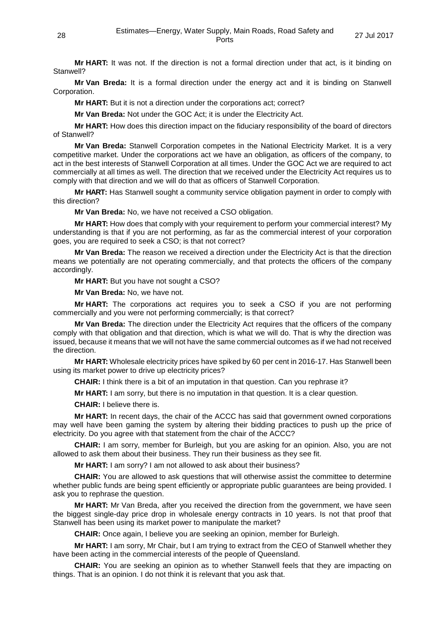**Mr HART:** It was not. If the direction is not a formal direction under that act, is it binding on Stanwell?

**Mr Van Breda:** It is a formal direction under the energy act and it is binding on Stanwell Corporation.

**Mr HART:** But it is not a direction under the corporations act; correct?

**Mr Van Breda:** Not under the GOC Act; it is under the Electricity Act.

**Mr HART:** How does this direction impact on the fiduciary responsibility of the board of directors of Stanwell?

**Mr Van Breda:** Stanwell Corporation competes in the National Electricity Market. It is a very competitive market. Under the corporations act we have an obligation, as officers of the company, to act in the best interests of Stanwell Corporation at all times. Under the GOC Act we are required to act commercially at all times as well. The direction that we received under the Electricity Act requires us to comply with that direction and we will do that as officers of Stanwell Corporation.

**Mr HART:** Has Stanwell sought a community service obligation payment in order to comply with this direction?

**Mr Van Breda:** No, we have not received a CSO obligation.

**Mr HART:** How does that comply with your requirement to perform your commercial interest? My understanding is that if you are not performing, as far as the commercial interest of your corporation goes, you are required to seek a CSO; is that not correct?

**Mr Van Breda:** The reason we received a direction under the Electricity Act is that the direction means we potentially are not operating commercially, and that protects the officers of the company accordingly.

**Mr HART:** But you have not sought a CSO?

**Mr Van Breda:** No, we have not.

**Mr HART:** The corporations act requires you to seek a CSO if you are not performing commercially and you were not performing commercially; is that correct?

**Mr Van Breda:** The direction under the Electricity Act requires that the officers of the company comply with that obligation and that direction, which is what we will do. That is why the direction was issued, because it means that we will not have the same commercial outcomes as if we had not received the direction.

**Mr HART:** Wholesale electricity prices have spiked by 60 per cent in 2016-17. Has Stanwell been using its market power to drive up electricity prices?

**CHAIR:** I think there is a bit of an imputation in that question. Can you rephrase it?

**Mr HART:** I am sorry, but there is no imputation in that question. It is a clear question.

**CHAIR:** I believe there is.

**Mr HART:** In recent days, the chair of the ACCC has said that government owned corporations may well have been gaming the system by altering their bidding practices to push up the price of electricity. Do you agree with that statement from the chair of the ACCC?

**CHAIR:** I am sorry, member for Burleigh, but you are asking for an opinion. Also, you are not allowed to ask them about their business. They run their business as they see fit.

**Mr HART:** I am sorry? I am not allowed to ask about their business?

**CHAIR:** You are allowed to ask questions that will otherwise assist the committee to determine whether public funds are being spent efficiently or appropriate public guarantees are being provided. I ask you to rephrase the question.

**Mr HART:** Mr Van Breda, after you received the direction from the government, we have seen the biggest single-day price drop in wholesale energy contracts in 10 years. Is not that proof that Stanwell has been using its market power to manipulate the market?

**CHAIR:** Once again, I believe you are seeking an opinion, member for Burleigh.

**Mr HART:** I am sorry, Mr Chair, but I am trying to extract from the CEO of Stanwell whether they have been acting in the commercial interests of the people of Queensland.

**CHAIR:** You are seeking an opinion as to whether Stanwell feels that they are impacting on things. That is an opinion. I do not think it is relevant that you ask that.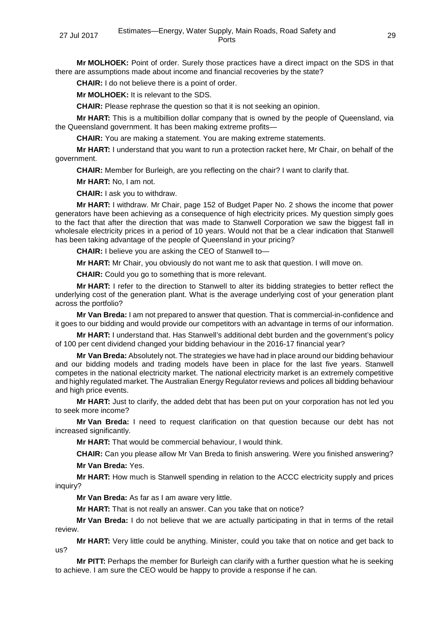**Mr MOLHOEK:** Point of order. Surely those practices have a direct impact on the SDS in that there are assumptions made about income and financial recoveries by the state?

**CHAIR:** I do not believe there is a point of order.

**Mr MOLHOEK:** It is relevant to the SDS.

**CHAIR:** Please rephrase the question so that it is not seeking an opinion.

**Mr HART:** This is a multibillion dollar company that is owned by the people of Queensland, via the Queensland government. It has been making extreme profits—

**CHAIR:** You are making a statement. You are making extreme statements.

**Mr HART:** I understand that you want to run a protection racket here, Mr Chair, on behalf of the government.

**CHAIR:** Member for Burleigh, are you reflecting on the chair? I want to clarify that.

**Mr HART:** No, I am not.

**CHAIR:** I ask you to withdraw.

**Mr HART:** I withdraw. Mr Chair, page 152 of Budget Paper No. 2 shows the income that power generators have been achieving as a consequence of high electricity prices. My question simply goes to the fact that after the direction that was made to Stanwell Corporation we saw the biggest fall in wholesale electricity prices in a period of 10 years. Would not that be a clear indication that Stanwell has been taking advantage of the people of Queensland in your pricing?

**CHAIR:** I believe you are asking the CEO of Stanwell to—

**Mr HART:** Mr Chair, you obviously do not want me to ask that question. I will move on.

**CHAIR:** Could you go to something that is more relevant.

**Mr HART:** I refer to the direction to Stanwell to alter its bidding strategies to better reflect the underlying cost of the generation plant. What is the average underlying cost of your generation plant across the portfolio?

**Mr Van Breda:** I am not prepared to answer that question. That is commercial-in-confidence and it goes to our bidding and would provide our competitors with an advantage in terms of our information.

**Mr HART:** I understand that. Has Stanwell's additional debt burden and the government's policy of 100 per cent dividend changed your bidding behaviour in the 2016-17 financial year?

**Mr Van Breda:** Absolutely not. The strategies we have had in place around our bidding behaviour and our bidding models and trading models have been in place for the last five years. Stanwell competes in the national electricity market. The national electricity market is an extremely competitive and highly regulated market. The Australian Energy Regulator reviews and polices all bidding behaviour and high price events.

**Mr HART:** Just to clarify, the added debt that has been put on your corporation has not led you to seek more income?

**Mr Van Breda:** I need to request clarification on that question because our debt has not increased significantly.

**Mr HART:** That would be commercial behaviour, I would think.

**CHAIR:** Can you please allow Mr Van Breda to finish answering. Were you finished answering?

**Mr Van Breda:** Yes.

**Mr HART:** How much is Stanwell spending in relation to the ACCC electricity supply and prices inquiry?

**Mr Van Breda:** As far as I am aware very little.

**Mr HART:** That is not really an answer. Can you take that on notice?

**Mr Van Breda:** I do not believe that we are actually participating in that in terms of the retail review.

**Mr HART:** Very little could be anything. Minister, could you take that on notice and get back to us?

**Mr PITT:** Perhaps the member for Burleigh can clarify with a further question what he is seeking to achieve. I am sure the CEO would be happy to provide a response if he can.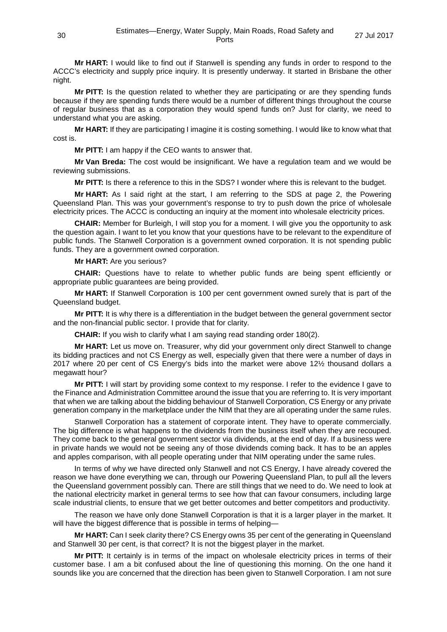**Mr HART:** I would like to find out if Stanwell is spending any funds in order to respond to the ACCC's electricity and supply price inquiry. It is presently underway. It started in Brisbane the other night.

**Mr PITT:** Is the question related to whether they are participating or are they spending funds because if they are spending funds there would be a number of different things throughout the course of regular business that as a corporation they would spend funds on? Just for clarity, we need to understand what you are asking.

**Mr HART:** If they are participating I imagine it is costing something. I would like to know what that cost is.

**Mr PITT:** I am happy if the CEO wants to answer that.

**Mr Van Breda:** The cost would be insignificant. We have a regulation team and we would be reviewing submissions.

**Mr PITT:** Is there a reference to this in the SDS? I wonder where this is relevant to the budget.

**Mr HART:** As I said right at the start, I am referring to the SDS at page 2, the Powering Queensland Plan. This was your government's response to try to push down the price of wholesale electricity prices. The ACCC is conducting an inquiry at the moment into wholesale electricity prices.

**CHAIR:** Member for Burleigh, I will stop you for a moment. I will give you the opportunity to ask the question again. I want to let you know that your questions have to be relevant to the expenditure of public funds. The Stanwell Corporation is a government owned corporation. It is not spending public funds. They are a government owned corporation.

**Mr HART:** Are you serious?

**CHAIR:** Questions have to relate to whether public funds are being spent efficiently or appropriate public guarantees are being provided.

**Mr HART:** If Stanwell Corporation is 100 per cent government owned surely that is part of the Queensland budget.

**Mr PITT:** It is why there is a differentiation in the budget between the general government sector and the non-financial public sector. I provide that for clarity.

**CHAIR:** If you wish to clarify what I am saying read standing order 180(2).

**Mr HART:** Let us move on. Treasurer, why did your government only direct Stanwell to change its bidding practices and not CS Energy as well, especially given that there were a number of days in 2017 where 20 per cent of CS Energy's bids into the market were above 12½ thousand dollars a megawatt hour?

**Mr PITT:** I will start by providing some context to my response. I refer to the evidence I gave to the Finance and Administration Committee around the issue that you are referring to. It is very important that when we are talking about the bidding behaviour of Stanwell Corporation, CS Energy or any private generation company in the marketplace under the NIM that they are all operating under the same rules.

Stanwell Corporation has a statement of corporate intent. They have to operate commercially. The big difference is what happens to the dividends from the business itself when they are recouped. They come back to the general government sector via dividends, at the end of day. If a business were in private hands we would not be seeing any of those dividends coming back. It has to be an apples and apples comparison, with all people operating under that NIM operating under the same rules.

In terms of why we have directed only Stanwell and not CS Energy, I have already covered the reason we have done everything we can, through our Powering Queensland Plan, to pull all the levers the Queensland government possibly can. There are still things that we need to do. We need to look at the national electricity market in general terms to see how that can favour consumers, including large scale industrial clients, to ensure that we get better outcomes and better competitors and productivity.

The reason we have only done Stanwell Corporation is that it is a larger player in the market. It will have the biggest difference that is possible in terms of helping—

**Mr HART:** Can I seek clarity there? CS Energy owns 35 per cent of the generating in Queensland and Stanwell 30 per cent, is that correct? It is not the biggest player in the market.

**Mr PITT:** It certainly is in terms of the impact on wholesale electricity prices in terms of their customer base. I am a bit confused about the line of questioning this morning. On the one hand it sounds like you are concerned that the direction has been given to Stanwell Corporation. I am not sure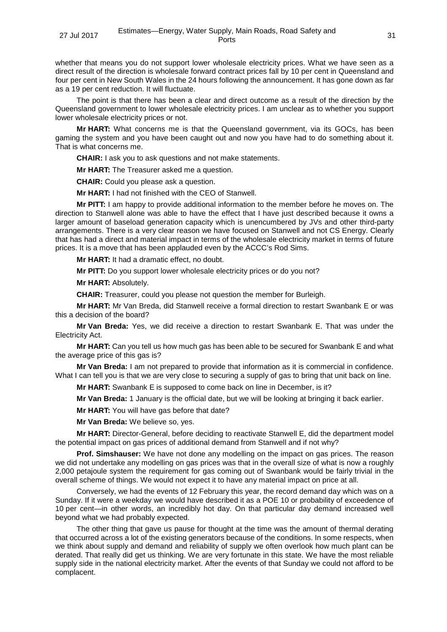whether that means you do not support lower wholesale electricity prices. What we have seen as a direct result of the direction is wholesale forward contract prices fall by 10 per cent in Queensland and four per cent in New South Wales in the 24 hours following the announcement. It has gone down as far as a 19 per cent reduction. It will fluctuate.

The point is that there has been a clear and direct outcome as a result of the direction by the Queensland government to lower wholesale electricity prices. I am unclear as to whether you support lower wholesale electricity prices or not.

**Mr HART:** What concerns me is that the Queensland government, via its GOCs, has been gaming the system and you have been caught out and now you have had to do something about it. That is what concerns me.

**CHAIR:** I ask you to ask questions and not make statements.

**Mr HART:** The Treasurer asked me a question.

**CHAIR:** Could you please ask a question.

**Mr HART:** I had not finished with the CEO of Stanwell.

**Mr PITT:** I am happy to provide additional information to the member before he moves on. The direction to Stanwell alone was able to have the effect that I have just described because it owns a larger amount of baseload generation capacity which is unencumbered by JVs and other third-party arrangements. There is a very clear reason we have focused on Stanwell and not CS Energy. Clearly that has had a direct and material impact in terms of the wholesale electricity market in terms of future prices. It is a move that has been applauded even by the ACCC's Rod Sims.

**Mr HART:** It had a dramatic effect, no doubt.

**Mr PITT:** Do you support lower wholesale electricity prices or do you not?

**Mr HART:** Absolutely.

**CHAIR:** Treasurer, could you please not question the member for Burleigh.

**Mr HART:** Mr Van Breda, did Stanwell receive a formal direction to restart Swanbank E or was this a decision of the board?

**Mr Van Breda:** Yes, we did receive a direction to restart Swanbank E. That was under the Electricity Act.

**Mr HART:** Can you tell us how much gas has been able to be secured for Swanbank E and what the average price of this gas is?

**Mr Van Breda:** I am not prepared to provide that information as it is commercial in confidence. What I can tell you is that we are very close to securing a supply of gas to bring that unit back on line.

**Mr HART:** Swanbank E is supposed to come back on line in December, is it?

**Mr Van Breda:** 1 January is the official date, but we will be looking at bringing it back earlier.

**Mr HART:** You will have gas before that date?

**Mr Van Breda:** We believe so, yes.

**Mr HART:** Director-General, before deciding to reactivate Stanwell E, did the department model the potential impact on gas prices of additional demand from Stanwell and if not why?

**Prof. Simshauser:** We have not done any modelling on the impact on gas prices. The reason we did not undertake any modelling on gas prices was that in the overall size of what is now a roughly 2,000 petajoule system the requirement for gas coming out of Swanbank would be fairly trivial in the overall scheme of things. We would not expect it to have any material impact on price at all.

Conversely, we had the events of 12 February this year, the record demand day which was on a Sunday. If it were a weekday we would have described it as a POE 10 or probability of exceedence of 10 per cent—in other words, an incredibly hot day. On that particular day demand increased well beyond what we had probably expected.

The other thing that gave us pause for thought at the time was the amount of thermal derating that occurred across a lot of the existing generators because of the conditions. In some respects, when we think about supply and demand and reliability of supply we often overlook how much plant can be derated. That really did get us thinking. We are very fortunate in this state. We have the most reliable supply side in the national electricity market. After the events of that Sunday we could not afford to be complacent.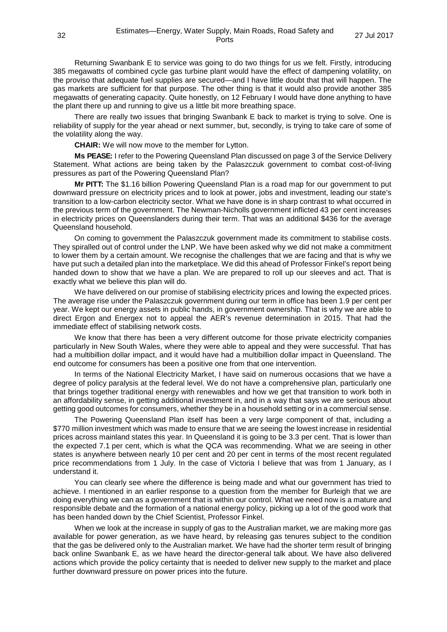Returning Swanbank E to service was going to do two things for us we felt. Firstly, introducing 385 megawatts of combined cycle gas turbine plant would have the effect of dampening volatility, on the proviso that adequate fuel supplies are secured—and I have little doubt that that will happen. The gas markets are sufficient for that purpose. The other thing is that it would also provide another 385 megawatts of generating capacity. Quite honestly, on 12 February I would have done anything to have the plant there up and running to give us a little bit more breathing space.

There are really two issues that bringing Swanbank E back to market is trying to solve. One is reliability of supply for the year ahead or next summer, but, secondly, is trying to take care of some of the volatility along the way.

**CHAIR:** We will now move to the member for Lytton.

**Ms PEASE:** I refer to the Powering Queensland Plan discussed on page 3 of the Service Delivery Statement. What actions are being taken by the Palaszczuk government to combat cost-of-living pressures as part of the Powering Queensland Plan?

**Mr PITT:** The \$1.16 billion Powering Queensland Plan is a road map for our government to put downward pressure on electricity prices and to look at power, jobs and investment, leading our state's transition to a low-carbon electricity sector. What we have done is in sharp contrast to what occurred in the previous term of the government. The Newman-Nicholls government inflicted 43 per cent increases in electricity prices on Queenslanders during their term. That was an additional \$436 for the average Queensland household.

On coming to government the Palaszczuk government made its commitment to stabilise costs. They spiralled out of control under the LNP. We have been asked why we did not make a commitment to lower them by a certain amount. We recognise the challenges that we are facing and that is why we have put such a detailed plan into the marketplace. We did this ahead of Professor Finkel's report being handed down to show that we have a plan. We are prepared to roll up our sleeves and act. That is exactly what we believe this plan will do.

We have delivered on our promise of stabilising electricity prices and lowing the expected prices. The average rise under the Palaszczuk government during our term in office has been 1.9 per cent per year. We kept our energy assets in public hands, in government ownership. That is why we are able to direct Ergon and Energex not to appeal the AER's revenue determination in 2015. That had the immediate effect of stabilising network costs.

We know that there has been a very different outcome for those private electricity companies particularly in New South Wales, where they were able to appeal and they were successful. That has had a multibillion dollar impact, and it would have had a multibillion dollar impact in Queensland. The end outcome for consumers has been a positive one from that one intervention.

In terms of the National Electricity Market, I have said on numerous occasions that we have a degree of policy paralysis at the federal level. We do not have a comprehensive plan, particularly one that brings together traditional energy with renewables and how we get that transition to work both in an affordability sense, in getting additional investment in, and in a way that says we are serious about getting good outcomes for consumers, whether they be in a household setting or in a commercial sense.

The Powering Queensland Plan itself has been a very large component of that, including a \$770 million investment which was made to ensure that we are seeing the lowest increase in residential prices across mainland states this year. In Queensland it is going to be 3.3 per cent. That is lower than the expected 7.1 per cent, which is what the QCA was recommending. What we are seeing in other states is anywhere between nearly 10 per cent and 20 per cent in terms of the most recent regulated price recommendations from 1 July. In the case of Victoria I believe that was from 1 January, as I understand it.

You can clearly see where the difference is being made and what our government has tried to achieve. I mentioned in an earlier response to a question from the member for Burleigh that we are doing everything we can as a government that is within our control. What we need now is a mature and responsible debate and the formation of a national energy policy, picking up a lot of the good work that has been handed down by the Chief Scientist, Professor Finkel.

When we look at the increase in supply of gas to the Australian market, we are making more gas available for power generation, as we have heard, by releasing gas tenures subject to the condition that the gas be delivered only to the Australian market. We have had the shorter term result of bringing back online Swanbank E, as we have heard the director-general talk about. We have also delivered actions which provide the policy certainty that is needed to deliver new supply to the market and place further downward pressure on power prices into the future.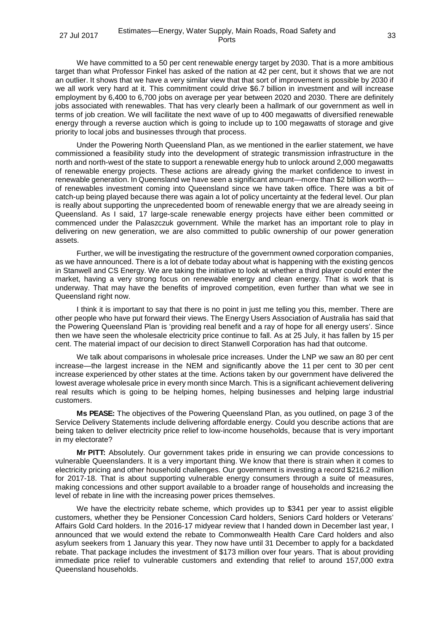We have committed to a 50 per cent renewable energy target by 2030. That is a more ambitious target than what Professor Finkel has asked of the nation at 42 per cent, but it shows that we are not an outlier. It shows that we have a very similar view that that sort of improvement is possible by 2030 if we all work very hard at it. This commitment could drive \$6.7 billion in investment and will increase employment by 6,400 to 6,700 jobs on average per year between 2020 and 2030. There are definitely jobs associated with renewables. That has very clearly been a hallmark of our government as well in terms of job creation. We will facilitate the next wave of up to 400 megawatts of diversified renewable energy through a reverse auction which is going to include up to 100 megawatts of storage and give priority to local jobs and businesses through that process.

Under the Powering North Queensland Plan, as we mentioned in the earlier statement, we have commissioned a feasibility study into the development of strategic transmission infrastructure in the north and north-west of the state to support a renewable energy hub to unlock around 2,000 megawatts of renewable energy projects. These actions are already giving the market confidence to invest in renewable generation. In Queensland we have seen a significant amount—more than \$2 billion worth of renewables investment coming into Queensland since we have taken office. There was a bit of catch-up being played because there was again a lot of policy uncertainty at the federal level. Our plan is really about supporting the unprecedented boom of renewable energy that we are already seeing in Queensland. As I said, 17 large-scale renewable energy projects have either been committed or commenced under the Palaszczuk government. While the market has an important role to play in delivering on new generation, we are also committed to public ownership of our power generation assets.

Further, we will be investigating the restructure of the government owned corporation companies, as we have announced. There is a lot of debate today about what is happening with the existing gencos in Stanwell and CS Energy. We are taking the initiative to look at whether a third player could enter the market, having a very strong focus on renewable energy and clean energy. That is work that is underway. That may have the benefits of improved competition, even further than what we see in Queensland right now.

I think it is important to say that there is no point in just me telling you this, member. There are other people who have put forward their views. The Energy Users Association of Australia has said that the Powering Queensland Plan is 'providing real benefit and a ray of hope for all energy users'. Since then we have seen the wholesale electricity price continue to fall. As at 25 July, it has fallen by 15 per cent. The material impact of our decision to direct Stanwell Corporation has had that outcome.

We talk about comparisons in wholesale price increases. Under the LNP we saw an 80 per cent increase—the largest increase in the NEM and significantly above the 11 per cent to 30 per cent increase experienced by other states at the time. Actions taken by our government have delivered the lowest average wholesale price in every month since March. This is a significant achievement delivering real results which is going to be helping homes, helping businesses and helping large industrial customers.

**Ms PEASE:** The objectives of the Powering Queensland Plan, as you outlined, on page 3 of the Service Delivery Statements include delivering affordable energy. Could you describe actions that are being taken to deliver electricity price relief to low-income households, because that is very important in my electorate?

**Mr PITT:** Absolutely. Our government takes pride in ensuring we can provide concessions to vulnerable Queenslanders. It is a very important thing. We know that there is strain when it comes to electricity pricing and other household challenges. Our government is investing a record \$216.2 million for 2017-18. That is about supporting vulnerable energy consumers through a suite of measures, making concessions and other support available to a broader range of households and increasing the level of rebate in line with the increasing power prices themselves.

We have the electricity rebate scheme, which provides up to \$341 per year to assist eligible customers, whether they be Pensioner Concession Card holders, Seniors Card holders or Veterans' Affairs Gold Card holders. In the 2016-17 midyear review that I handed down in December last year, I announced that we would extend the rebate to Commonwealth Health Care Card holders and also asylum seekers from 1 January this year. They now have until 31 December to apply for a backdated rebate. That package includes the investment of \$173 million over four years. That is about providing immediate price relief to vulnerable customers and extending that relief to around 157,000 extra Queensland households.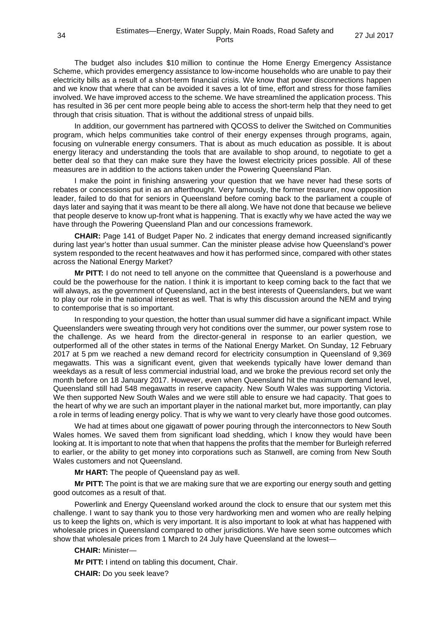The budget also includes \$10 million to continue the Home Energy Emergency Assistance Scheme, which provides emergency assistance to low-income households who are unable to pay their electricity bills as a result of a short-term financial crisis. We know that power disconnections happen and we know that where that can be avoided it saves a lot of time, effort and stress for those families involved. We have improved access to the scheme. We have streamlined the application process. This has resulted in 36 per cent more people being able to access the short-term help that they need to get through that crisis situation. That is without the additional stress of unpaid bills.

In addition, our government has partnered with QCOSS to deliver the Switched on Communities program, which helps communities take control of their energy expenses through programs, again, focusing on vulnerable energy consumers. That is about as much education as possible. It is about energy literacy and understanding the tools that are available to shop around, to negotiate to get a better deal so that they can make sure they have the lowest electricity prices possible. All of these measures are in addition to the actions taken under the Powering Queensland Plan.

I make the point in finishing answering your question that we have never had these sorts of rebates or concessions put in as an afterthought. Very famously, the former treasurer, now opposition leader, failed to do that for seniors in Queensland before coming back to the parliament a couple of days later and saying that it was meant to be there all along. We have not done that because we believe that people deserve to know up-front what is happening. That is exactly why we have acted the way we have through the Powering Queensland Plan and our concessions framework.

**CHAIR:** Page 141 of Budget Paper No. 2 indicates that energy demand increased significantly during last year's hotter than usual summer. Can the minister please advise how Queensland's power system responded to the recent heatwaves and how it has performed since, compared with other states across the National Energy Market?

**Mr PITT:** I do not need to tell anyone on the committee that Queensland is a powerhouse and could be the powerhouse for the nation. I think it is important to keep coming back to the fact that we will always, as the government of Queensland, act in the best interests of Queenslanders, but we want to play our role in the national interest as well. That is why this discussion around the NEM and trying to contemporise that is so important.

In responding to your question, the hotter than usual summer did have a significant impact. While Queenslanders were sweating through very hot conditions over the summer, our power system rose to the challenge. As we heard from the director-general in response to an earlier question, we outperformed all of the other states in terms of the National Energy Market. On Sunday, 12 February 2017 at 5 pm we reached a new demand record for electricity consumption in Queensland of 9,369 megawatts. This was a significant event, given that weekends typically have lower demand than weekdays as a result of less commercial industrial load, and we broke the previous record set only the month before on 18 January 2017. However, even when Queensland hit the maximum demand level, Queensland still had 548 megawatts in reserve capacity. New South Wales was supporting Victoria. We then supported New South Wales and we were still able to ensure we had capacity. That goes to the heart of why we are such an important player in the national market but, more importantly, can play a role in terms of leading energy policy. That is why we want to very clearly have those good outcomes.

We had at times about one gigawatt of power pouring through the interconnectors to New South Wales homes. We saved them from significant load shedding, which I know they would have been looking at. It is important to note that when that happens the profits that the member for Burleigh referred to earlier, or the ability to get money into corporations such as Stanwell, are coming from New South Wales customers and not Queensland.

**Mr HART:** The people of Queensland pay as well.

**Mr PITT:** The point is that we are making sure that we are exporting our energy south and getting good outcomes as a result of that.

Powerlink and Energy Queensland worked around the clock to ensure that our system met this challenge. I want to say thank you to those very hardworking men and women who are really helping us to keep the lights on, which is very important. It is also important to look at what has happened with wholesale prices in Queensland compared to other jurisdictions. We have seen some outcomes which show that wholesale prices from 1 March to 24 July have Queensland at the lowest—

**CHAIR:** Minister—

**Mr PITT:** I intend on tabling this document, Chair.

**CHAIR:** Do you seek leave?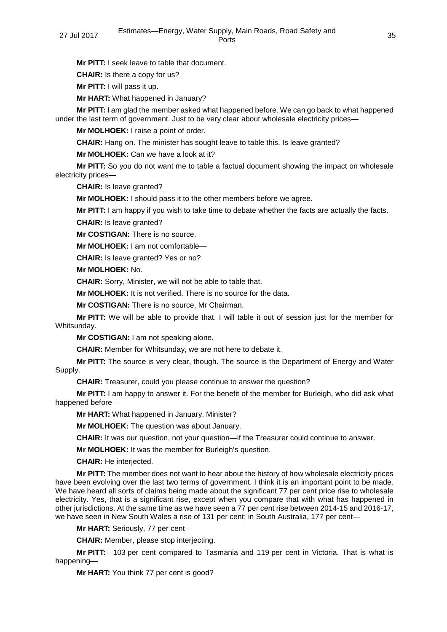**Mr PITT:** I seek leave to table that document.

**CHAIR:** Is there a copy for us?

**Mr PITT:** I will pass it up.

**Mr HART:** What happened in January?

**Mr PITT:** I am glad the member asked what happened before. We can go back to what happened under the last term of government. Just to be very clear about wholesale electricity prices—

**Mr MOLHOEK:** I raise a point of order.

**CHAIR:** Hang on. The minister has sought leave to table this. Is leave granted?

**Mr MOLHOEK:** Can we have a look at it?

**Mr PITT:** So you do not want me to table a factual document showing the impact on wholesale electricity prices—

**CHAIR:** Is leave granted?

**Mr MOLHOEK:** I should pass it to the other members before we agree.

**Mr PITT:** I am happy if you wish to take time to debate whether the facts are actually the facts.

**CHAIR:** Is leave granted?

**Mr COSTIGAN:** There is no source.

**Mr MOLHOEK:** I am not comfortable—

**CHAIR:** Is leave granted? Yes or no?

**Mr MOLHOEK:** No.

**CHAIR:** Sorry, Minister, we will not be able to table that.

**Mr MOLHOEK:** It is not verified. There is no source for the data.

**Mr COSTIGAN:** There is no source, Mr Chairman.

**Mr PITT:** We will be able to provide that. I will table it out of session just for the member for Whitsunday.

**Mr COSTIGAN:** I am not speaking alone.

**CHAIR:** Member for Whitsunday, we are not here to debate it.

**Mr PITT:** The source is very clear, though. The source is the Department of Energy and Water Supply.

**CHAIR:** Treasurer, could you please continue to answer the question?

**Mr PITT:** I am happy to answer it. For the benefit of the member for Burleigh, who did ask what happened before—

**Mr HART:** What happened in January, Minister?

**Mr MOLHOEK:** The question was about January.

**CHAIR:** It was our question, not your question—if the Treasurer could continue to answer.

**Mr MOLHOEK:** It was the member for Burleigh's question.

**CHAIR:** He interjected.

**Mr PITT:** The member does not want to hear about the history of how wholesale electricity prices have been evolving over the last two terms of government. I think it is an important point to be made. We have heard all sorts of claims being made about the significant 77 per cent price rise to wholesale electricity. Yes, that is a significant rise, except when you compare that with what has happened in other jurisdictions. At the same time as we have seen a 77 per cent rise between 2014-15 and 2016-17, we have seen in New South Wales a rise of 131 per cent; in South Australia, 177 per cent—

**Mr HART:** Seriously, 77 per cent—

**CHAIR:** Member, please stop interjecting.

**Mr PITT:**—103 per cent compared to Tasmania and 119 per cent in Victoria. That is what is happening—

**Mr HART:** You think 77 per cent is good?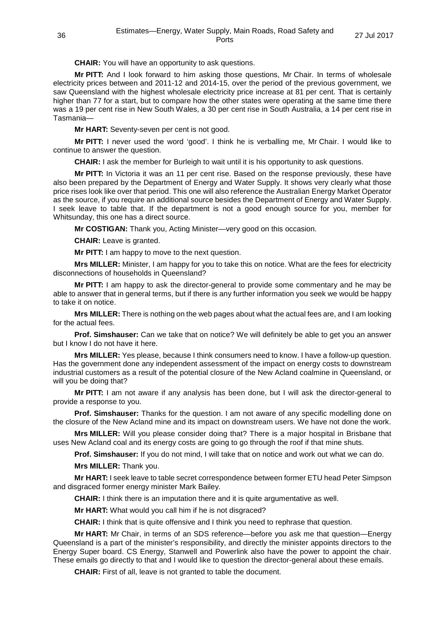**CHAIR:** You will have an opportunity to ask questions.

**Mr PITT:** And I look forward to him asking those questions, Mr Chair. In terms of wholesale electricity prices between and 2011-12 and 2014-15, over the period of the previous government, we saw Queensland with the highest wholesale electricity price increase at 81 per cent. That is certainly higher than 77 for a start, but to compare how the other states were operating at the same time there was a 19 per cent rise in New South Wales, a 30 per cent rise in South Australia, a 14 per cent rise in Tasmania—

**Mr HART:** Seventy-seven per cent is not good.

**Mr PITT:** I never used the word 'good'. I think he is verballing me, Mr Chair. I would like to continue to answer the question.

**CHAIR:** I ask the member for Burleigh to wait until it is his opportunity to ask questions.

**Mr PITT:** In Victoria it was an 11 per cent rise. Based on the response previously, these have also been prepared by the Department of Energy and Water Supply. It shows very clearly what those price rises look like over that period. This one will also reference the Australian Energy Market Operator as the source, if you require an additional source besides the Department of Energy and Water Supply. I seek leave to table that. If the department is not a good enough source for you, member for Whitsunday, this one has a direct source.

**Mr COSTIGAN:** Thank you, Acting Minister—very good on this occasion.

**CHAIR:** Leave is granted.

**Mr PITT:** I am happy to move to the next question.

**Mrs MILLER:** Minister, I am happy for you to take this on notice. What are the fees for electricity disconnections of households in Queensland?

**Mr PITT:** I am happy to ask the director-general to provide some commentary and he may be able to answer that in general terms, but if there is any further information you seek we would be happy to take it on notice.

**Mrs MILLER:** There is nothing on the web pages about what the actual fees are, and I am looking for the actual fees.

**Prof. Simshauser:** Can we take that on notice? We will definitely be able to get you an answer but I know I do not have it here.

**Mrs MILLER:** Yes please, because I think consumers need to know. I have a follow-up question. Has the government done any independent assessment of the impact on energy costs to downstream industrial customers as a result of the potential closure of the New Acland coalmine in Queensland, or will you be doing that?

**Mr PITT:** I am not aware if any analysis has been done, but I will ask the director-general to provide a response to you.

**Prof. Simshauser:** Thanks for the question. I am not aware of any specific modelling done on the closure of the New Acland mine and its impact on downstream users. We have not done the work.

**Mrs MILLER:** Will you please consider doing that? There is a major hospital in Brisbane that uses New Acland coal and its energy costs are going to go through the roof if that mine shuts.

**Prof. Simshauser:** If you do not mind, I will take that on notice and work out what we can do.

**Mrs MILLER:** Thank you.

**Mr HART:** I seek leave to table secret correspondence between former ETU head Peter Simpson and disgraced former energy minister Mark Bailey.

**CHAIR:** I think there is an imputation there and it is quite argumentative as well.

**Mr HART:** What would you call him if he is not disgraced?

**CHAIR:** I think that is quite offensive and I think you need to rephrase that question.

**Mr HART:** Mr Chair, in terms of an SDS reference—before you ask me that question—Energy Queensland is a part of the minister's responsibility, and directly the minister appoints directors to the Energy Super board. CS Energy, Stanwell and Powerlink also have the power to appoint the chair. These emails go directly to that and I would like to question the director-general about these emails.

**CHAIR:** First of all, leave is not granted to table the document.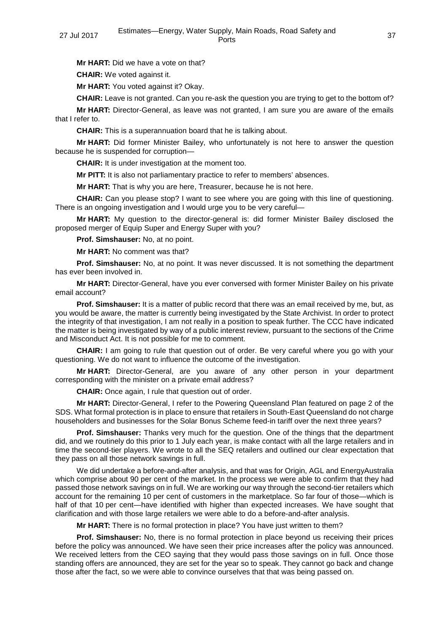**Mr HART:** Did we have a vote on that?

**CHAIR:** We voted against it.

**Mr HART:** You voted against it? Okay.

**CHAIR:** Leave is not granted. Can you re-ask the question you are trying to get to the bottom of?

**Mr HART:** Director-General, as leave was not granted, I am sure you are aware of the emails that I refer to.

**CHAIR:** This is a superannuation board that he is talking about.

**Mr HART:** Did former Minister Bailey, who unfortunately is not here to answer the question because he is suspended for corruption—

**CHAIR:** It is under investigation at the moment too.

**Mr PITT:** It is also not parliamentary practice to refer to members' absences.

**Mr HART:** That is why you are here, Treasurer, because he is not here.

**CHAIR:** Can you please stop? I want to see where you are going with this line of questioning. There is an ongoing investigation and I would urge you to be very careful—

**Mr HART:** My question to the director-general is: did former Minister Bailey disclosed the proposed merger of Equip Super and Energy Super with you?

**Prof. Simshauser:** No, at no point.

**Mr HART:** No comment was that?

**Prof. Simshauser:** No, at no point. It was never discussed. It is not something the department has ever been involved in.

**Mr HART:** Director-General, have you ever conversed with former Minister Bailey on his private email account?

**Prof. Simshauser:** It is a matter of public record that there was an email received by me, but, as you would be aware, the matter is currently being investigated by the State Archivist. In order to protect the integrity of that investigation, I am not really in a position to speak further. The CCC have indicated the matter is being investigated by way of a public interest review, pursuant to the sections of the Crime and Misconduct Act. It is not possible for me to comment.

**CHAIR:** I am going to rule that question out of order. Be very careful where you go with your questioning. We do not want to influence the outcome of the investigation.

**Mr HART:** Director-General, are you aware of any other person in your department corresponding with the minister on a private email address?

**CHAIR:** Once again, I rule that question out of order.

**Mr HART:** Director-General, I refer to the Powering Queensland Plan featured on page 2 of the SDS. What formal protection is in place to ensure that retailers in South-East Queensland do not charge householders and businesses for the Solar Bonus Scheme feed-in tariff over the next three years?

**Prof. Simshauser:** Thanks very much for the question. One of the things that the department did, and we routinely do this prior to 1 July each year, is make contact with all the large retailers and in time the second-tier players. We wrote to all the SEQ retailers and outlined our clear expectation that they pass on all those network savings in full.

We did undertake a before-and-after analysis, and that was for Origin, AGL and EnergyAustralia which comprise about 90 per cent of the market. In the process we were able to confirm that they had passed those network savings on in full. We are working our way through the second-tier retailers which account for the remaining 10 per cent of customers in the marketplace. So far four of those—which is half of that 10 per cent—have identified with higher than expected increases. We have sought that clarification and with those large retailers we were able to do a before-and-after analysis.

**Mr HART:** There is no formal protection in place? You have just written to them?

**Prof. Simshauser:** No, there is no formal protection in place beyond us receiving their prices before the policy was announced. We have seen their price increases after the policy was announced. We received letters from the CEO saying that they would pass those savings on in full. Once those standing offers are announced, they are set for the year so to speak. They cannot go back and change those after the fact, so we were able to convince ourselves that that was being passed on.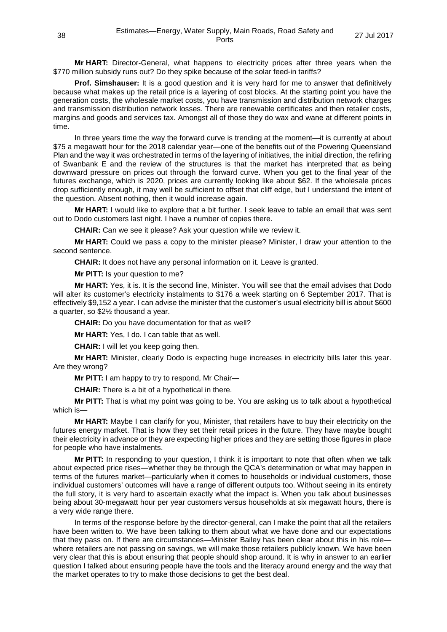**Mr HART:** Director-General, what happens to electricity prices after three years when the \$770 million subsidy runs out? Do they spike because of the solar feed-in tariffs?

**Prof. Simshauser:** It is a good question and it is very hard for me to answer that definitively because what makes up the retail price is a layering of cost blocks. At the starting point you have the generation costs, the wholesale market costs, you have transmission and distribution network charges and transmission distribution network losses. There are renewable certificates and then retailer costs, margins and goods and services tax. Amongst all of those they do wax and wane at different points in time.

In three years time the way the forward curve is trending at the moment—it is currently at about \$75 a megawatt hour for the 2018 calendar year—one of the benefits out of the Powering Queensland Plan and the way it was orchestrated in terms of the layering of initiatives, the initial direction, the refiring of Swanbank E and the review of the structures is that the market has interpreted that as being downward pressure on prices out through the forward curve. When you get to the final year of the futures exchange, which is 2020, prices are currently looking like about \$62. If the wholesale prices drop sufficiently enough, it may well be sufficient to offset that cliff edge, but I understand the intent of the question. Absent nothing, then it would increase again.

**Mr HART:** I would like to explore that a bit further. I seek leave to table an email that was sent out to Dodo customers last night. I have a number of copies there.

**CHAIR:** Can we see it please? Ask your question while we review it.

**Mr HART:** Could we pass a copy to the minister please? Minister, I draw your attention to the second sentence.

**CHAIR:** It does not have any personal information on it. Leave is granted.

**Mr PITT:** Is your question to me?

**Mr HART:** Yes, it is. It is the second line, Minister. You will see that the email advises that Dodo will alter its customer's electricity instalments to \$176 a week starting on 6 September 2017. That is effectively \$9,152 a year. I can advise the minister that the customer's usual electricity bill is about \$600 a quarter, so \$2½ thousand a year.

**CHAIR:** Do you have documentation for that as well?

**Mr HART:** Yes, I do. I can table that as well.

**CHAIR:** I will let you keep going then.

**Mr HART:** Minister, clearly Dodo is expecting huge increases in electricity bills later this year. Are they wrong?

**Mr PITT:** I am happy to try to respond, Mr Chair—

**CHAIR:** There is a bit of a hypothetical in there.

**Mr PITT:** That is what my point was going to be. You are asking us to talk about a hypothetical which is—

**Mr HART:** Maybe I can clarify for you, Minister, that retailers have to buy their electricity on the futures energy market. That is how they set their retail prices in the future. They have maybe bought their electricity in advance or they are expecting higher prices and they are setting those figures in place for people who have instalments.

**Mr PITT:** In responding to your question, I think it is important to note that often when we talk about expected price rises—whether they be through the QCA's determination or what may happen in terms of the futures market—particularly when it comes to households or individual customers, those individual customers' outcomes will have a range of different outputs too. Without seeing in its entirety the full story, it is very hard to ascertain exactly what the impact is. When you talk about businesses being about 30-megawatt hour per year customers versus households at six megawatt hours, there is a very wide range there.

In terms of the response before by the director-general, can I make the point that all the retailers have been written to. We have been talking to them about what we have done and our expectations that they pass on. If there are circumstances—Minister Bailey has been clear about this in his role where retailers are not passing on savings, we will make those retailers publicly known. We have been very clear that this is about ensuring that people should shop around. It is why in answer to an earlier question I talked about ensuring people have the tools and the literacy around energy and the way that the market operates to try to make those decisions to get the best deal.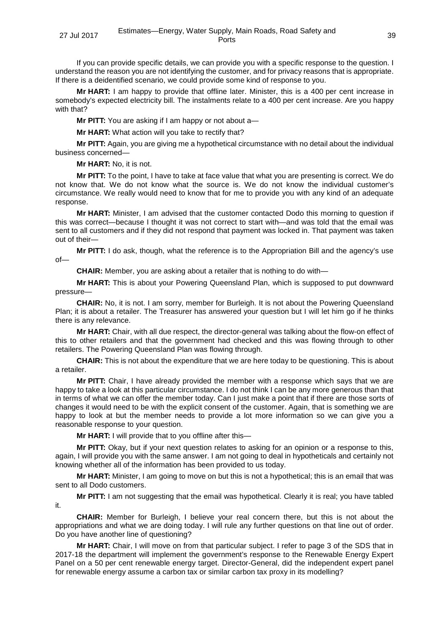If you can provide specific details, we can provide you with a specific response to the question. I understand the reason you are not identifying the customer, and for privacy reasons that is appropriate. If there is a deidentified scenario, we could provide some kind of response to you.

**Mr HART:** I am happy to provide that offline later. Minister, this is a 400 per cent increase in somebody's expected electricity bill. The instalments relate to a 400 per cent increase. Are you happy with that?

**Mr PITT:** You are asking if I am happy or not about a—

**Mr HART:** What action will you take to rectify that?

**Mr PITT:** Again, you are giving me a hypothetical circumstance with no detail about the individual business concerned—

**Mr HART:** No, it is not.

**Mr PITT:** To the point, I have to take at face value that what you are presenting is correct. We do not know that. We do not know what the source is. We do not know the individual customer's circumstance. We really would need to know that for me to provide you with any kind of an adequate response.

**Mr HART:** Minister, I am advised that the customer contacted Dodo this morning to question if this was correct—because I thought it was not correct to start with—and was told that the email was sent to all customers and if they did not respond that payment was locked in. That payment was taken out of their—

**Mr PITT:** I do ask, though, what the reference is to the Appropriation Bill and the agency's use of—

**CHAIR:** Member, you are asking about a retailer that is nothing to do with—

**Mr HART:** This is about your Powering Queensland Plan, which is supposed to put downward pressure—

**CHAIR:** No, it is not. I am sorry, member for Burleigh. It is not about the Powering Queensland Plan; it is about a retailer. The Treasurer has answered your question but I will let him go if he thinks there is any relevance.

**Mr HART:** Chair, with all due respect, the director-general was talking about the flow-on effect of this to other retailers and that the government had checked and this was flowing through to other retailers. The Powering Queensland Plan was flowing through.

**CHAIR:** This is not about the expenditure that we are here today to be questioning. This is about a retailer.

**Mr PITT:** Chair, I have already provided the member with a response which says that we are happy to take a look at this particular circumstance. I do not think I can be any more generous than that in terms of what we can offer the member today. Can I just make a point that if there are those sorts of changes it would need to be with the explicit consent of the customer. Again, that is something we are happy to look at but the member needs to provide a lot more information so we can give you a reasonable response to your question.

**Mr HART:** I will provide that to you offline after this—

**Mr PITT:** Okay, but if your next question relates to asking for an opinion or a response to this, again, I will provide you with the same answer. I am not going to deal in hypotheticals and certainly not knowing whether all of the information has been provided to us today.

**Mr HART:** Minister, I am going to move on but this is not a hypothetical; this is an email that was sent to all Dodo customers.

**Mr PITT:** I am not suggesting that the email was hypothetical. Clearly it is real; you have tabled it.

**CHAIR:** Member for Burleigh, I believe your real concern there, but this is not about the appropriations and what we are doing today. I will rule any further questions on that line out of order. Do you have another line of questioning?

**Mr HART:** Chair, I will move on from that particular subject. I refer to page 3 of the SDS that in 2017-18 the department will implement the government's response to the Renewable Energy Expert Panel on a 50 per cent renewable energy target. Director-General, did the independent expert panel for renewable energy assume a carbon tax or similar carbon tax proxy in its modelling?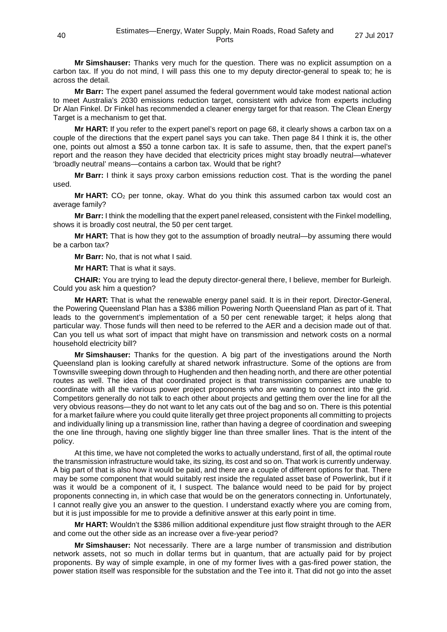**Mr Simshauser:** Thanks very much for the question. There was no explicit assumption on a carbon tax. If you do not mind, I will pass this one to my deputy director-general to speak to; he is across the detail.

**Mr Barr:** The expert panel assumed the federal government would take modest national action to meet Australia's 2030 emissions reduction target, consistent with advice from experts including Dr Alan Finkel. Dr Finkel has recommended a cleaner energy target for that reason. The Clean Energy Target is a mechanism to get that.

**Mr HART:** If you refer to the expert panel's report on page 68, it clearly shows a carbon tax on a couple of the directions that the expert panel says you can take. Then page 84 I think it is, the other one, points out almost a \$50 a tonne carbon tax. It is safe to assume, then, that the expert panel's report and the reason they have decided that electricity prices might stay broadly neutral—whatever 'broadly neutral' means—contains a carbon tax. Would that be right?

**Mr Barr:** I think it says proxy carbon emissions reduction cost. That is the wording the panel used.

**Mr HART:** CO<sub>2</sub> per tonne, okay. What do you think this assumed carbon tax would cost an average family?

**Mr Barr:** I think the modelling that the expert panel released, consistent with the Finkel modelling, shows it is broadly cost neutral, the 50 per cent target.

**Mr HART:** That is how they got to the assumption of broadly neutral—by assuming there would be a carbon tax?

**Mr Barr:** No, that is not what I said.

**Mr HART:** That is what it says.

**CHAIR:** You are trying to lead the deputy director-general there, I believe, member for Burleigh. Could you ask him a question?

**Mr HART:** That is what the renewable energy panel said. It is in their report. Director-General, the Powering Queensland Plan has a \$386 million Powering North Queensland Plan as part of it. That leads to the government's implementation of a 50 per cent renewable target; it helps along that particular way. Those funds will then need to be referred to the AER and a decision made out of that. Can you tell us what sort of impact that might have on transmission and network costs on a normal household electricity bill?

**Mr Simshauser:** Thanks for the question. A big part of the investigations around the North Queensland plan is looking carefully at shared network infrastructure. Some of the options are from Townsville sweeping down through to Hughenden and then heading north, and there are other potential routes as well. The idea of that coordinated project is that transmission companies are unable to coordinate with all the various power project proponents who are wanting to connect into the grid. Competitors generally do not talk to each other about projects and getting them over the line for all the very obvious reasons—they do not want to let any cats out of the bag and so on. There is this potential for a market failure where you could quite literally get three project proponents all committing to projects and individually lining up a transmission line, rather than having a degree of coordination and sweeping the one line through, having one slightly bigger line than three smaller lines. That is the intent of the policy.

At this time, we have not completed the works to actually understand, first of all, the optimal route the transmission infrastructure would take, its sizing, its cost and so on. That work is currently underway. A big part of that is also how it would be paid, and there are a couple of different options for that. There may be some component that would suitably rest inside the regulated asset base of Powerlink, but if it was it would be a component of it, I suspect. The balance would need to be paid for by project proponents connecting in, in which case that would be on the generators connecting in. Unfortunately, I cannot really give you an answer to the question. I understand exactly where you are coming from, but it is just impossible for me to provide a definitive answer at this early point in time.

**Mr HART:** Wouldn't the \$386 million additional expenditure just flow straight through to the AER and come out the other side as an increase over a five-year period?

**Mr Simshauser:** Not necessarily. There are a large number of transmission and distribution network assets, not so much in dollar terms but in quantum, that are actually paid for by project proponents. By way of simple example, in one of my former lives with a gas-fired power station, the power station itself was responsible for the substation and the Tee into it. That did not go into the asset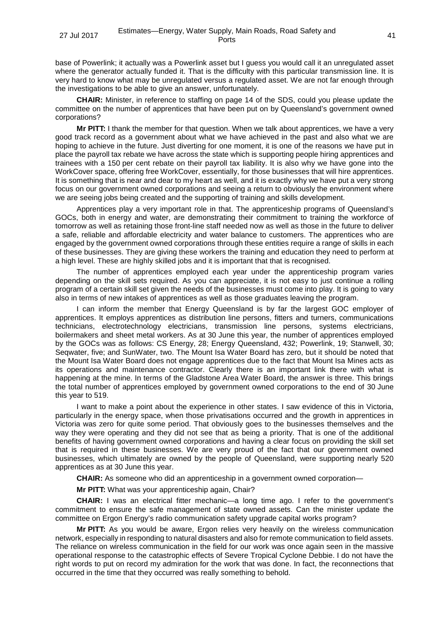base of Powerlink; it actually was a Powerlink asset but I guess you would call it an unregulated asset where the generator actually funded it. That is the difficulty with this particular transmission line. It is very hard to know what may be unregulated versus a regulated asset. We are not far enough through the investigations to be able to give an answer, unfortunately.

**CHAIR:** Minister, in reference to staffing on page 14 of the SDS, could you please update the committee on the number of apprentices that have been put on by Queensland's government owned corporations?

**Mr PITT:** I thank the member for that question. When we talk about apprentices, we have a very good track record as a government about what we have achieved in the past and also what we are hoping to achieve in the future. Just diverting for one moment, it is one of the reasons we have put in place the payroll tax rebate we have across the state which is supporting people hiring apprentices and trainees with a 150 per cent rebate on their payroll tax liability. It is also why we have gone into the WorkCover space, offering free WorkCover, essentially, for those businesses that will hire apprentices. It is something that is near and dear to my heart as well, and it is exactly why we have put a very strong focus on our government owned corporations and seeing a return to obviously the environment where we are seeing jobs being created and the supporting of training and skills development.

Apprentices play a very important role in that. The apprenticeship programs of Queensland's GOCs, both in energy and water, are demonstrating their commitment to training the workforce of tomorrow as well as retaining those front-line staff needed now as well as those in the future to deliver a safe, reliable and affordable electricity and water balance to customers. The apprentices who are engaged by the government owned corporations through these entities require a range of skills in each of these businesses. They are giving these workers the training and education they need to perform at a high level. These are highly skilled jobs and it is important that that is recognised.

The number of apprentices employed each year under the apprenticeship program varies depending on the skill sets required. As you can appreciate, it is not easy to just continue a rolling program of a certain skill set given the needs of the businesses must come into play. It is going to vary also in terms of new intakes of apprentices as well as those graduates leaving the program.

I can inform the member that Energy Queensland is by far the largest GOC employer of apprentices. It employs apprentices as distribution line persons, fitters and turners, communications technicians, electrotechnology electricians, transmission line persons, systems electricians, boilermakers and sheet metal workers. As at 30 June this year, the number of apprentices employed by the GOCs was as follows: CS Energy, 28; Energy Queensland, 432; Powerlink, 19; Stanwell, 30; Seqwater, five; and SunWater, two. The Mount Isa Water Board has zero, but it should be noted that the Mount Isa Water Board does not engage apprentices due to the fact that Mount Isa Mines acts as its operations and maintenance contractor. Clearly there is an important link there with what is happening at the mine. In terms of the Gladstone Area Water Board, the answer is three. This brings the total number of apprentices employed by government owned corporations to the end of 30 June this year to 519.

I want to make a point about the experience in other states. I saw evidence of this in Victoria, particularly in the energy space, when those privatisations occurred and the growth in apprentices in Victoria was zero for quite some period. That obviously goes to the businesses themselves and the way they were operating and they did not see that as being a priority. That is one of the additional benefits of having government owned corporations and having a clear focus on providing the skill set that is required in these businesses. We are very proud of the fact that our government owned businesses, which ultimately are owned by the people of Queensland, were supporting nearly 520 apprentices as at 30 June this year.

**CHAIR:** As someone who did an apprenticeship in a government owned corporation—

**Mr PITT:** What was your apprenticeship again, Chair?

**CHAIR:** I was an electrical fitter mechanic—a long time ago. I refer to the government's commitment to ensure the safe management of state owned assets. Can the minister update the committee on Ergon Energy's radio communication safety upgrade capital works program?

**Mr PITT:** As you would be aware, Ergon relies very heavily on the wireless communication network, especially in responding to natural disasters and also for remote communication to field assets. The reliance on wireless communication in the field for our work was once again seen in the massive operational response to the catastrophic effects of Severe Tropical Cyclone Debbie. I do not have the right words to put on record my admiration for the work that was done. In fact, the reconnections that occurred in the time that they occurred was really something to behold.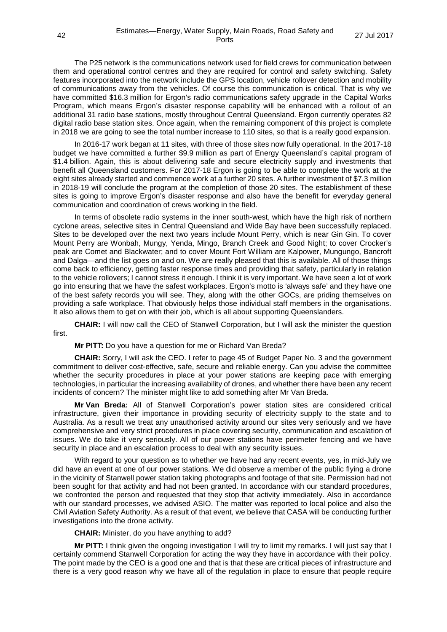The P25 network is the communications network used for field crews for communication between them and operational control centres and they are required for control and safety switching. Safety features incorporated into the network include the GPS location, vehicle rollover detection and mobility of communications away from the vehicles. Of course this communication is critical. That is why we have committed \$16.3 million for Ergon's radio communications safety upgrade in the Capital Works Program, which means Ergon's disaster response capability will be enhanced with a rollout of an additional 31 radio base stations, mostly throughout Central Queensland. Ergon currently operates 82 digital radio base station sites. Once again, when the remaining component of this project is complete in 2018 we are going to see the total number increase to 110 sites, so that is a really good expansion.

In 2016-17 work began at 11 sites, with three of those sites now fully operational. In the 2017-18 budget we have committed a further \$9.9 million as part of Energy Queensland's capital program of \$1.4 billion. Again, this is about delivering safe and secure electricity supply and investments that benefit all Queensland customers. For 2017-18 Ergon is going to be able to complete the work at the eight sites already started and commence work at a further 20 sites. A further investment of \$7.3 million in 2018-19 will conclude the program at the completion of those 20 sites. The establishment of these sites is going to improve Ergon's disaster response and also have the benefit for everyday general communication and coordination of crews working in the field.

In terms of obsolete radio systems in the inner south-west, which have the high risk of northern cyclone areas, selective sites in Central Queensland and Wide Bay have been successfully replaced. Sites to be developed over the next two years include Mount Perry, which is near Gin Gin. To cover Mount Perry are Wonbah, Mungy, Yenda, Mingo, Branch Creek and Good Night; to cover Crocker's peak are Comet and Blackwater; and to cover Mount Fort William are Kalpower, Mungungo, Bancroft and Dalga—and the list goes on and on. We are really pleased that this is available. All of those things come back to efficiency, getting faster response times and providing that safety, particularly in relation to the vehicle rollovers; I cannot stress it enough. I think it is very important. We have seen a lot of work go into ensuring that we have the safest workplaces. Ergon's motto is 'always safe' and they have one of the best safety records you will see. They, along with the other GOCs, are priding themselves on providing a safe workplace. That obviously helps those individual staff members in the organisations. It also allows them to get on with their job, which is all about supporting Queenslanders.

**CHAIR:** I will now call the CEO of Stanwell Corporation, but I will ask the minister the question first.

**Mr PITT:** Do you have a question for me or Richard Van Breda?

**CHAIR:** Sorry, I will ask the CEO. I refer to page 45 of Budget Paper No. 3 and the government commitment to deliver cost-effective, safe, secure and reliable energy. Can you advise the committee whether the security procedures in place at your power stations are keeping pace with emerging technologies, in particular the increasing availability of drones, and whether there have been any recent incidents of concern? The minister might like to add something after Mr Van Breda.

**Mr Van Breda:** All of Stanwell Corporation's power station sites are considered critical infrastructure, given their importance in providing security of electricity supply to the state and to Australia. As a result we treat any unauthorised activity around our sites very seriously and we have comprehensive and very strict procedures in place covering security, communication and escalation of issues. We do take it very seriously. All of our power stations have perimeter fencing and we have security in place and an escalation process to deal with any security issues.

With regard to your question as to whether we have had any recent events, yes, in mid-July we did have an event at one of our power stations. We did observe a member of the public flying a drone in the vicinity of Stanwell power station taking photographs and footage of that site. Permission had not been sought for that activity and had not been granted. In accordance with our standard procedures, we confronted the person and requested that they stop that activity immediately. Also in accordance with our standard processes, we advised ASIO. The matter was reported to local police and also the Civil Aviation Safety Authority. As a result of that event, we believe that CASA will be conducting further investigations into the drone activity.

**CHAIR:** Minister, do you have anything to add?

**Mr PITT:** I think given the ongoing investigation I will try to limit my remarks. I will just say that I certainly commend Stanwell Corporation for acting the way they have in accordance with their policy. The point made by the CEO is a good one and that is that these are critical pieces of infrastructure and there is a very good reason why we have all of the regulation in place to ensure that people require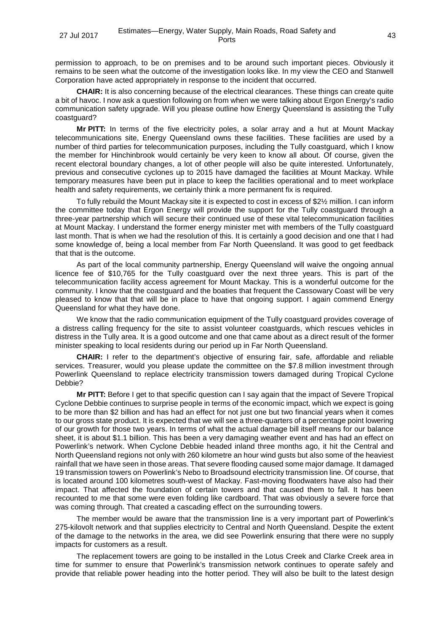permission to approach, to be on premises and to be around such important pieces. Obviously it remains to be seen what the outcome of the investigation looks like. In my view the CEO and Stanwell Corporation have acted appropriately in response to the incident that occurred.

**CHAIR:** It is also concerning because of the electrical clearances. These things can create quite a bit of havoc. I now ask a question following on from when we were talking about Ergon Energy's radio communication safety upgrade. Will you please outline how Energy Queensland is assisting the Tully coastguard?

**Mr PITT:** In terms of the five electricity poles, a solar array and a hut at Mount Mackay telecommunications site, Energy Queensland owns these facilities. These facilities are used by a number of third parties for telecommunication purposes, including the Tully coastguard, which I know the member for Hinchinbrook would certainly be very keen to know all about. Of course, given the recent electoral boundary changes, a lot of other people will also be quite interested. Unfortunately, previous and consecutive cyclones up to 2015 have damaged the facilities at Mount Mackay. While temporary measures have been put in place to keep the facilities operational and to meet workplace health and safety requirements, we certainly think a more permanent fix is required.

To fully rebuild the Mount Mackay site it is expected to cost in excess of \$2½ million. I can inform the committee today that Ergon Energy will provide the support for the Tully coastguard through a three-year partnership which will secure their continued use of these vital telecommunication facilities at Mount Mackay. I understand the former energy minister met with members of the Tully coastguard last month. That is when we had the resolution of this. It is certainly a good decision and one that I had some knowledge of, being a local member from Far North Queensland. It was good to get feedback that that is the outcome.

As part of the local community partnership, Energy Queensland will waive the ongoing annual licence fee of \$10,765 for the Tully coastguard over the next three years. This is part of the telecommunication facility access agreement for Mount Mackay. This is a wonderful outcome for the community. I know that the coastguard and the boaties that frequent the Cassowary Coast will be very pleased to know that that will be in place to have that ongoing support. I again commend Energy Queensland for what they have done.

We know that the radio communication equipment of the Tully coastguard provides coverage of a distress calling frequency for the site to assist volunteer coastguards, which rescues vehicles in distress in the Tully area. It is a good outcome and one that came about as a direct result of the former minister speaking to local residents during our period up in Far North Queensland.

**CHAIR:** I refer to the department's objective of ensuring fair, safe, affordable and reliable services. Treasurer, would you please update the committee on the \$7.8 million investment through Powerlink Queensland to replace electricity transmission towers damaged during Tropical Cyclone Debbie?

**Mr PITT:** Before I get to that specific question can I say again that the impact of Severe Tropical Cyclone Debbie continues to surprise people in terms of the economic impact, which we expect is going to be more than \$2 billion and has had an effect for not just one but two financial years when it comes to our gross state product. It is expected that we will see a three-quarters of a percentage point lowering of our growth for those two years. In terms of what the actual damage bill itself means for our balance sheet, it is about \$1.1 billion. This has been a very damaging weather event and has had an effect on Powerlink's network. When Cyclone Debbie headed inland three months ago, it hit the Central and North Queensland regions not only with 260 kilometre an hour wind gusts but also some of the heaviest rainfall that we have seen in those areas. That severe flooding caused some major damage. It damaged 19 transmission towers on Powerlink's Nebo to Broadsound electricity transmission line. Of course, that is located around 100 kilometres south-west of Mackay. Fast-moving floodwaters have also had their impact. That affected the foundation of certain towers and that caused them to fall. It has been recounted to me that some were even folding like cardboard. That was obviously a severe force that was coming through. That created a cascading effect on the surrounding towers.

The member would be aware that the transmission line is a very important part of Powerlink's 275-kilovolt network and that supplies electricity to Central and North Queensland. Despite the extent of the damage to the networks in the area, we did see Powerlink ensuring that there were no supply impacts for customers as a result.

The replacement towers are going to be installed in the Lotus Creek and Clarke Creek area in time for summer to ensure that Powerlink's transmission network continues to operate safely and provide that reliable power heading into the hotter period. They will also be built to the latest design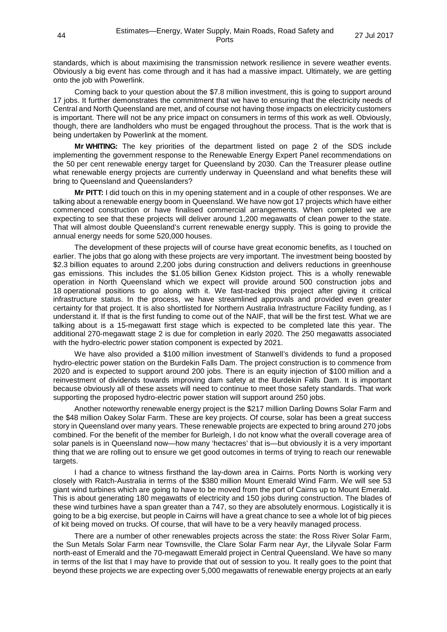standards, which is about maximising the transmission network resilience in severe weather events. Obviously a big event has come through and it has had a massive impact. Ultimately, we are getting onto the job with Powerlink.

Coming back to your question about the \$7.8 million investment, this is going to support around 17 jobs. It further demonstrates the commitment that we have to ensuring that the electricity needs of Central and North Queensland are met, and of course not having those impacts on electricity customers is important. There will not be any price impact on consumers in terms of this work as well. Obviously, though, there are landholders who must be engaged throughout the process. That is the work that is being undertaken by Powerlink at the moment.

**Mr WHITING:** The key priorities of the department listed on page 2 of the SDS include implementing the government response to the Renewable Energy Expert Panel recommendations on the 50 per cent renewable energy target for Queensland by 2030. Can the Treasurer please outline what renewable energy projects are currently underway in Queensland and what benefits these will bring to Queensland and Queenslanders?

**Mr PITT:** I did touch on this in my opening statement and in a couple of other responses. We are talking about a renewable energy boom in Queensland. We have now got 17 projects which have either commenced construction or have finalised commercial arrangements. When completed we are expecting to see that these projects will deliver around 1,200 megawatts of clean power to the state. That will almost double Queensland's current renewable energy supply. This is going to provide the annual energy needs for some 520,000 houses.

The development of these projects will of course have great economic benefits, as I touched on earlier. The jobs that go along with these projects are very important. The investment being boosted by \$2.3 billion equates to around 2,200 jobs during construction and delivers reductions in greenhouse gas emissions. This includes the \$1.05 billion Genex Kidston project. This is a wholly renewable operation in North Queensland which we expect will provide around 500 construction jobs and 18 operational positions to go along with it. We fast-tracked this project after giving it critical infrastructure status. In the process, we have streamlined approvals and provided even greater certainty for that project. It is also shortlisted for Northern Australia Infrastructure Facility funding, as I understand it. If that is the first funding to come out of the NAIF, that will be the first test. What we are talking about is a 15-megawatt first stage which is expected to be completed late this year. The additional 270-megawatt stage 2 is due for completion in early 2020. The 250 megawatts associated with the hydro-electric power station component is expected by 2021.

We have also provided a \$100 million investment of Stanwell's dividends to fund a proposed hydro-electric power station on the Burdekin Falls Dam. The project construction is to commence from 2020 and is expected to support around 200 jobs. There is an equity injection of \$100 million and a reinvestment of dividends towards improving dam safety at the Burdekin Falls Dam. It is important because obviously all of these assets will need to continue to meet those safety standards. That work supporting the proposed hydro-electric power station will support around 250 jobs.

Another noteworthy renewable energy project is the \$217 million Darling Downs Solar Farm and the \$48 million Oakey Solar Farm. These are key projects. Of course, solar has been a great success story in Queensland over many years. These renewable projects are expected to bring around 270 jobs combined. For the benefit of the member for Burleigh, I do not know what the overall coverage area of solar panels is in Queensland now—how many 'hectacres' that is—but obviously it is a very important thing that we are rolling out to ensure we get good outcomes in terms of trying to reach our renewable targets.

I had a chance to witness firsthand the lay-down area in Cairns. Ports North is working very closely with Ratch-Australia in terms of the \$380 million Mount Emerald Wind Farm. We will see 53 giant wind turbines which are going to have to be moved from the port of Cairns up to Mount Emerald. This is about generating 180 megawatts of electricity and 150 jobs during construction. The blades of these wind turbines have a span greater than a 747, so they are absolutely enormous. Logistically it is going to be a big exercise, but people in Cairns will have a great chance to see a whole lot of big pieces of kit being moved on trucks. Of course, that will have to be a very heavily managed process.

There are a number of other renewables projects across the state: the Ross River Solar Farm, the Sun Metals Solar Farm near Townsville, the Clare Solar Farm near Ayr, the Lilyvale Solar Farm north-east of Emerald and the 70-megawatt Emerald project in Central Queensland. We have so many in terms of the list that I may have to provide that out of session to you. It really goes to the point that beyond these projects we are expecting over 5,000 megawatts of renewable energy projects at an early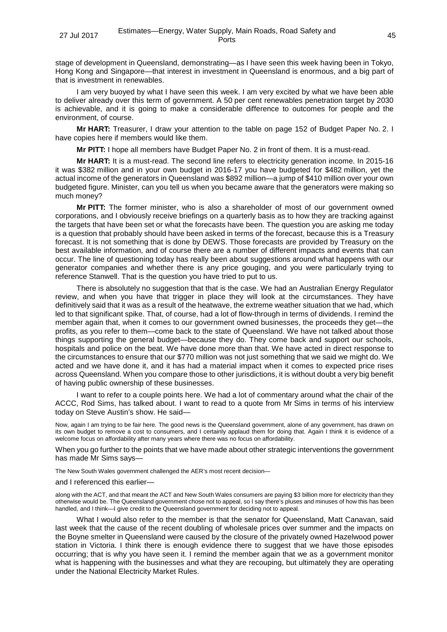stage of development in Queensland, demonstrating—as I have seen this week having been in Tokyo, Hong Kong and Singapore—that interest in investment in Queensland is enormous, and a big part of that is investment in renewables.

I am very buoyed by what I have seen this week. I am very excited by what we have been able to deliver already over this term of government. A 50 per cent renewables penetration target by 2030 is achievable, and it is going to make a considerable difference to outcomes for people and the environment, of course.

**Mr HART:** Treasurer, I draw your attention to the table on page 152 of Budget Paper No. 2. I have copies here if members would like them.

**Mr PITT:** I hope all members have Budget Paper No. 2 in front of them. It is a must-read.

**Mr HART:** It is a must-read. The second line refers to electricity generation income. In 2015-16 it was \$382 million and in your own budget in 2016-17 you have budgeted for \$482 million, yet the actual income of the generators in Queensland was \$892 million—a jump of \$410 million over your own budgeted figure. Minister, can you tell us when you became aware that the generators were making so much money?

**Mr PITT:** The former minister, who is also a shareholder of most of our government owned corporations, and I obviously receive briefings on a quarterly basis as to how they are tracking against the targets that have been set or what the forecasts have been. The question you are asking me today is a question that probably should have been asked in terms of the forecast, because this is a Treasury forecast. It is not something that is done by DEWS. Those forecasts are provided by Treasury on the best available information, and of course there are a number of different impacts and events that can occur. The line of questioning today has really been about suggestions around what happens with our generator companies and whether there is any price gouging, and you were particularly trying to reference Stanwell. That is the question you have tried to put to us.

There is absolutely no suggestion that that is the case. We had an Australian Energy Regulator review, and when you have that trigger in place they will look at the circumstances. They have definitively said that it was as a result of the heatwave, the extreme weather situation that we had, which led to that significant spike. That, of course, had a lot of flow-through in terms of dividends. I remind the member again that, when it comes to our government owned businesses, the proceeds they get—the profits, as you refer to them—come back to the state of Queensland. We have not talked about those things supporting the general budget—because they do. They come back and support our schools, hospitals and police on the beat. We have done more than that. We have acted in direct response to the circumstances to ensure that our \$770 million was not just something that we said we might do. We acted and we have done it, and it has had a material impact when it comes to expected price rises across Queensland. When you compare those to other jurisdictions, it is without doubt a very big benefit of having public ownership of these businesses.

I want to refer to a couple points here. We had a lot of commentary around what the chair of the ACCC, Rod Sims, has talked about. I want to read to a quote from Mr Sims in terms of his interview today on Steve Austin's show. He said—

Now, again I am trying to be fair here. The good news is the Queensland government, alone of any government, has drawn on its own budget to remove a cost to consumers, and I certainly applaud them for doing that. Again I think it is evidence of a welcome focus on affordability after many years where there was no focus on affordability.

When you go further to the points that we have made about other strategic interventions the government has made Mr Sims says—

The New South Wales government challenged the AER's most recent decision—

#### and I referenced this earlier—

along with the ACT, and that meant the ACT and New South Wales consumers are paying \$3 billion more for electricity than they otherwise would be. The Queensland government chose not to appeal, so I say there's pluses and minuses of how this has been handled, and I think—I give credit to the Queensland government for deciding not to appeal.

What I would also refer to the member is that the senator for Queensland, Matt Canavan, said last week that the cause of the recent doubling of wholesale prices over summer and the impacts on the Boyne smelter in Queensland were caused by the closure of the privately owned Hazelwood power station in Victoria. I think there is enough evidence there to suggest that we have those episodes occurring; that is why you have seen it. I remind the member again that we as a government monitor what is happening with the businesses and what they are recouping, but ultimately they are operating under the National Electricity Market Rules.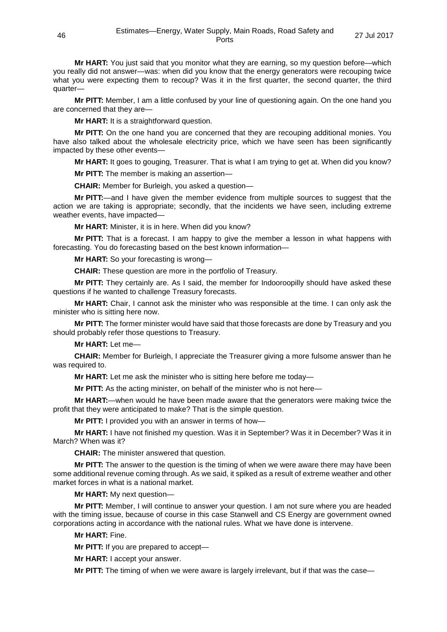**Mr HART:** You just said that you monitor what they are earning, so my question before—which you really did not answer—was: when did you know that the energy generators were recouping twice what you were expecting them to recoup? Was it in the first quarter, the second quarter, the third quarter—

**Mr PITT:** Member, I am a little confused by your line of questioning again. On the one hand you are concerned that they are—

**Mr HART:** It is a straightforward question.

**Mr PITT:** On the one hand you are concerned that they are recouping additional monies. You have also talked about the wholesale electricity price, which we have seen has been significantly impacted by these other events—

**Mr HART:** It goes to gouging, Treasurer. That is what I am trying to get at. When did you know?

**Mr PITT:** The member is making an assertion—

**CHAIR:** Member for Burleigh, you asked a question—

**Mr PITT:**—and I have given the member evidence from multiple sources to suggest that the action we are taking is appropriate; secondly, that the incidents we have seen, including extreme weather events, have impacted—

**Mr HART:** Minister, it is in here. When did you know?

**Mr PITT:** That is a forecast. I am happy to give the member a lesson in what happens with forecasting. You do forecasting based on the best known information—

**Mr HART:** So your forecasting is wrong—

**CHAIR:** These question are more in the portfolio of Treasury.

**Mr PITT:** They certainly are. As I said, the member for Indooroopilly should have asked these questions if he wanted to challenge Treasury forecasts.

**Mr HART:** Chair, I cannot ask the minister who was responsible at the time. I can only ask the minister who is sitting here now.

**Mr PITT:** The former minister would have said that those forecasts are done by Treasury and you should probably refer those questions to Treasury.

**Mr HART:** Let me—

**CHAIR:** Member for Burleigh, I appreciate the Treasurer giving a more fulsome answer than he was required to.

**Mr HART:** Let me ask the minister who is sitting here before me today—

**Mr PITT:** As the acting minister, on behalf of the minister who is not here—

**Mr HART:**—when would he have been made aware that the generators were making twice the profit that they were anticipated to make? That is the simple question.

**Mr PITT:** I provided you with an answer in terms of how—

**Mr HART:** I have not finished my question. Was it in September? Was it in December? Was it in March? When was it?

**CHAIR:** The minister answered that question.

**Mr PITT:** The answer to the question is the timing of when we were aware there may have been some additional revenue coming through. As we said, it spiked as a result of extreme weather and other market forces in what is a national market.

**Mr HART:** My next question—

**Mr PITT:** Member, I will continue to answer your question. I am not sure where you are headed with the timing issue, because of course in this case Stanwell and CS Energy are government owned corporations acting in accordance with the national rules. What we have done is intervene.

**Mr HART:** Fine.

**Mr PITT:** If you are prepared to accept—

**Mr HART:** I accept your answer.

**Mr PITT:** The timing of when we were aware is largely irrelevant, but if that was the case—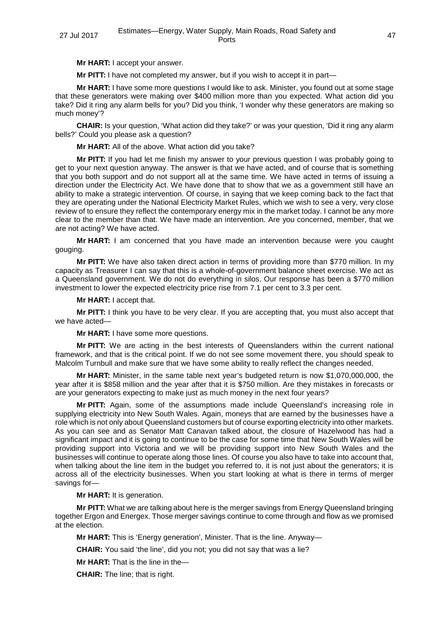**Mr HART:** I accept your answer.

**Mr PITT:** I have not completed my answer, but if you wish to accept it in part—

**Mr HART:** I have some more questions I would like to ask. Minister, you found out at some stage that these generators were making over \$400 million more than you expected. What action did you take? Did it ring any alarm bells for you? Did you think, 'I wonder why these generators are making so much money'?

**CHAIR:** Is your question, 'What action did they take?' or was your question, 'Did it ring any alarm bells?' Could you please ask a question?

**Mr HART:** All of the above. What action did you take?

**Mr PITT:** If you had let me finish my answer to your previous question I was probably going to get to your next question anyway. The answer is that we have acted, and of course that is something that you both support and do not support all at the same time. We have acted in terms of issuing a direction under the Electricity Act. We have done that to show that we as a government still have an ability to make a strategic intervention. Of course, in saying that we keep coming back to the fact that they are operating under the National Electricity Market Rules, which we wish to see a very, very close review of to ensure they reflect the contemporary energy mix in the market today. I cannot be any more clear to the member than that. We have made an intervention. Are you concerned, member, that we are not acting? We have acted.

**Mr HART:** I am concerned that you have made an intervention because were you caught gouging.

**Mr PITT:** We have also taken direct action in terms of providing more than \$770 million. In my capacity as Treasurer I can say that this is a whole-of-government balance sheet exercise. We act as a Queensland government. We do not do everything in silos. Our response has been a \$770 million investment to lower the expected electricity price rise from 7.1 per cent to 3.3 per cent.

**Mr HART:** I accept that.

**Mr PITT:** I think you have to be very clear. If you are accepting that, you must also accept that we have acted—

**Mr HART:** I have some more questions.

**Mr PITT:** We are acting in the best interests of Queenslanders within the current national framework, and that is the critical point. If we do not see some movement there, you should speak to Malcolm Turnbull and make sure that we have some ability to really reflect the changes needed.

**Mr HART:** Minister, in the same table next year's budgeted return is now \$1,070,000,000, the year after it is \$858 million and the year after that it is \$750 million. Are they mistakes in forecasts or are your generators expecting to make just as much money in the next four years?

**Mr PITT:** Again, some of the assumptions made include Queensland's increasing role in supplying electricity into New South Wales. Again, moneys that are earned by the businesses have a role which is not only about Queensland customers but of course exporting electricity into other markets. As you can see and as Senator Matt Canavan talked about, the closure of Hazelwood has had a significant impact and it is going to continue to be the case for some time that New South Wales will be providing support into Victoria and we will be providing support into New South Wales and the businesses will continue to operate along those lines. Of course you also have to take into account that, when talking about the line item in the budget you referred to, it is not just about the generators; it is across all of the electricity businesses. When you start looking at what is there in terms of merger savings for-

**Mr HART:** It is generation.

**Mr PITT:** What we are talking about here is the merger savings from Energy Queensland bringing together Ergon and Energex. Those merger savings continue to come through and flow as we promised at the election.

**Mr HART:** This is 'Energy generation', Minister. That is the line. Anyway—

**CHAIR:** You said 'the line', did you not; you did not say that was a lie?

**Mr HART:** That is the line in the—

**CHAIR:** The line; that is right.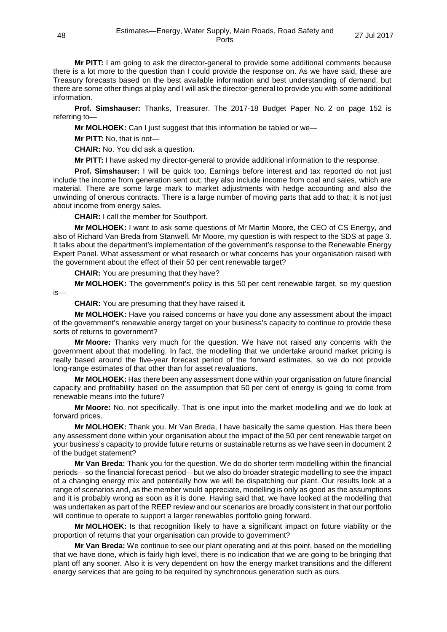**Mr PITT:** I am going to ask the director-general to provide some additional comments because there is a lot more to the question than I could provide the response on. As we have said, these are Treasury forecasts based on the best available information and best understanding of demand, but there are some other things at play and I will ask the director-general to provide you with some additional information.

**Prof. Simshauser:** Thanks, Treasurer. The 2017-18 Budget Paper No. 2 on page 152 is referring to—

**Mr MOLHOEK:** Can I just suggest that this information be tabled or we—

**Mr PITT:** No, that is not—

**CHAIR:** No. You did ask a question.

**Mr PITT:** I have asked my director-general to provide additional information to the response.

**Prof. Simshauser:** I will be quick too. Earnings before interest and tax reported do not just include the income from generation sent out; they also include income from coal and sales, which are material. There are some large mark to market adjustments with hedge accounting and also the unwinding of onerous contracts. There is a large number of moving parts that add to that; it is not just about income from energy sales.

**CHAIR:** I call the member for Southport.

**Mr MOLHOEK:** I want to ask some questions of Mr Martin Moore, the CEO of CS Energy, and also of Richard Van Breda from Stanwell. Mr Moore, my question is with respect to the SDS at page 3. It talks about the department's implementation of the government's response to the Renewable Energy Expert Panel. What assessment or what research or what concerns has your organisation raised with the government about the effect of their 50 per cent renewable target?

**CHAIR:** You are presuming that they have?

**Mr MOLHOEK:** The government's policy is this 50 per cent renewable target, so my question

is—

**CHAIR:** You are presuming that they have raised it.

**Mr MOLHOEK:** Have you raised concerns or have you done any assessment about the impact of the government's renewable energy target on your business's capacity to continue to provide these sorts of returns to government?

**Mr Moore:** Thanks very much for the question. We have not raised any concerns with the government about that modelling. In fact, the modelling that we undertake around market pricing is really based around the five-year forecast period of the forward estimates, so we do not provide long-range estimates of that other than for asset revaluations.

**Mr MOLHOEK:** Has there been any assessment done within your organisation on future financial capacity and profitability based on the assumption that 50 per cent of energy is going to come from renewable means into the future?

**Mr Moore:** No, not specifically. That is one input into the market modelling and we do look at forward prices.

**Mr MOLHOEK:** Thank you. Mr Van Breda, I have basically the same question. Has there been any assessment done within your organisation about the impact of the 50 per cent renewable target on your business's capacity to provide future returns or sustainable returns as we have seen in document 2 of the budget statement?

**Mr Van Breda:** Thank you for the question. We do do shorter term modelling within the financial periods—so the financial forecast period—but we also do broader strategic modelling to see the impact of a changing energy mix and potentially how we will be dispatching our plant. Our results look at a range of scenarios and, as the member would appreciate, modelling is only as good as the assumptions and it is probably wrong as soon as it is done. Having said that, we have looked at the modelling that was undertaken as part of the REEP review and our scenarios are broadly consistent in that our portfolio will continue to operate to support a larger renewables portfolio going forward.

**Mr MOLHOEK:** Is that recognition likely to have a significant impact on future viability or the proportion of returns that your organisation can provide to government?

**Mr Van Breda:** We continue to see our plant operating and at this point, based on the modelling that we have done, which is fairly high level, there is no indication that we are going to be bringing that plant off any sooner. Also it is very dependent on how the energy market transitions and the different energy services that are going to be required by synchronous generation such as ours.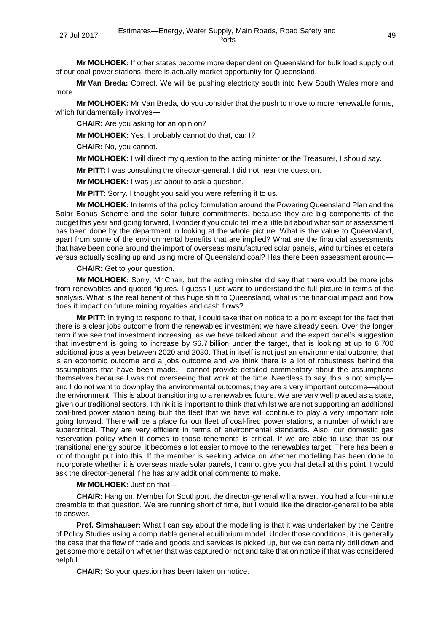**Mr MOLHOEK:** If other states become more dependent on Queensland for bulk load supply out of our coal power stations, there is actually market opportunity for Queensland.

**Mr Van Breda:** Correct. We will be pushing electricity south into New South Wales more and more.

**Mr MOLHOEK:** Mr Van Breda, do you consider that the push to move to more renewable forms, which fundamentally involves-

**CHAIR:** Are you asking for an opinion?

**Mr MOLHOEK:** Yes. I probably cannot do that, can I?

**CHAIR:** No, you cannot.

**Mr MOLHOEK:** I will direct my question to the acting minister or the Treasurer, I should say.

**Mr PITT:** I was consulting the director-general. I did not hear the question.

**Mr MOLHOEK:** I was just about to ask a question.

**Mr PITT:** Sorry. I thought you said you were referring it to us.

**Mr MOLHOEK:** In terms of the policy formulation around the Powering Queensland Plan and the Solar Bonus Scheme and the solar future commitments, because they are big components of the budget this year and going forward, I wonder if you could tell me a little bit about what sort of assessment has been done by the department in looking at the whole picture. What is the value to Queensland, apart from some of the environmental benefits that are implied? What are the financial assessments that have been done around the import of overseas manufactured solar panels, wind turbines et cetera versus actually scaling up and using more of Queensland coal? Has there been assessment around—

**CHAIR:** Get to your question.

**Mr MOLHOEK:** Sorry, Mr Chair, but the acting minister did say that there would be more jobs from renewables and quoted figures. I guess I just want to understand the full picture in terms of the analysis. What is the real benefit of this huge shift to Queensland, what is the financial impact and how does it impact on future mining royalties and cash flows?

**Mr PITT:** In trying to respond to that, I could take that on notice to a point except for the fact that there is a clear jobs outcome from the renewables investment we have already seen. Over the longer term if we see that investment increasing, as we have talked about, and the expert panel's suggestion that investment is going to increase by \$6.7 billion under the target, that is looking at up to 6,700 additional jobs a year between 2020 and 2030. That in itself is not just an environmental outcome; that is an economic outcome and a jobs outcome and we think there is a lot of robustness behind the assumptions that have been made. I cannot provide detailed commentary about the assumptions themselves because I was not overseeing that work at the time. Needless to say, this is not simply and I do not want to downplay the environmental outcomes; they are a very important outcome—about the environment. This is about transitioning to a renewables future. We are very well placed as a state, given our traditional sectors. I think it is important to think that whilst we are not supporting an additional coal-fired power station being built the fleet that we have will continue to play a very important role going forward. There will be a place for our fleet of coal-fired power stations, a number of which are supercritical. They are very efficient in terms of environmental standards. Also, our domestic gas reservation policy when it comes to those tenements is critical. If we are able to use that as our transitional energy source, it becomes a lot easier to move to the renewables target. There has been a lot of thought put into this. If the member is seeking advice on whether modelling has been done to incorporate whether it is overseas made solar panels, I cannot give you that detail at this point. I would ask the director-general if he has any additional comments to make.

#### **Mr MOLHOEK:** Just on that—

**CHAIR:** Hang on. Member for Southport, the director-general will answer. You had a four-minute preamble to that question. We are running short of time, but I would like the director-general to be able to answer.

**Prof. Simshauser:** What I can say about the modelling is that it was undertaken by the Centre of Policy Studies using a computable general equilibrium model. Under those conditions, it is generally the case that the flow of trade and goods and services is picked up, but we can certainly drill down and get some more detail on whether that was captured or not and take that on notice if that was considered helpful.

**CHAIR:** So your question has been taken on notice.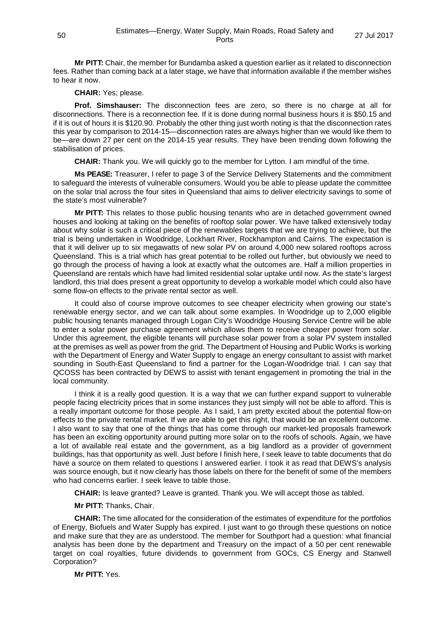**Mr PITT:** Chair, the member for Bundamba asked a question earlier as it related to disconnection fees. Rather than coming back at a later stage, we have that information available if the member wishes to hear it now.

**CHAIR:** Yes; please.

**Prof. Simshauser:** The disconnection fees are zero, so there is no charge at all for disconnections. There is a reconnection fee. If it is done during normal business hours it is \$50.15 and if it is out of hours it is \$120.90. Probably the other thing just worth noting is that the disconnection rates this year by comparison to 2014-15—disconnection rates are always higher than we would like them to be—are down 27 per cent on the 2014-15 year results. They have been trending down following the stabilisation of prices.

**CHAIR:** Thank you. We will quickly go to the member for Lytton. I am mindful of the time.

**Ms PEASE:** Treasurer, I refer to page 3 of the Service Delivery Statements and the commitment to safeguard the interests of vulnerable consumers. Would you be able to please update the committee on the solar trial across the four sites in Queensland that aims to deliver electricity savings to some of the state's most vulnerable?

**Mr PITT:** This relates to those public housing tenants who are in detached government owned houses and looking at taking on the benefits of rooftop solar power. We have talked extensively today about why solar is such a critical piece of the renewables targets that we are trying to achieve, but the trial is being undertaken in Woodridge, Lockhart River, Rockhampton and Cairns. The expectation is that it will deliver up to six megawatts of new solar PV on around 4,000 new solared rooftops across Queensland. This is a trial which has great potential to be rolled out further, but obviously we need to go through the process of having a look at exactly what the outcomes are. Half a million properties in Queensland are rentals which have had limited residential solar uptake until now. As the state's largest landlord, this trial does present a great opportunity to develop a workable model which could also have some flow-on effects to the private rental sector as well.

It could also of course improve outcomes to see cheaper electricity when growing our state's renewable energy sector, and we can talk about some examples. In Woodridge up to 2,000 eligible public housing tenants managed through Logan City's Woodridge Housing Service Centre will be able to enter a solar power purchase agreement which allows them to receive cheaper power from solar. Under this agreement, the eligible tenants will purchase solar power from a solar PV system installed at the premises as well as power from the grid. The Department of Housing and Public Works is working with the Department of Energy and Water Supply to engage an energy consultant to assist with market sounding in South-East Queensland to find a partner for the Logan-Woodridge trial. I can say that QCOSS has been contracted by DEWS to assist with tenant engagement in promoting the trial in the local community.

I think it is a really good question. It is a way that we can further expand support to vulnerable people facing electricity prices that in some instances they just simply will not be able to afford. This is a really important outcome for those people. As I said, I am pretty excited about the potential flow-on effects to the private rental market. If we are able to get this right, that would be an excellent outcome. I also want to say that one of the things that has come through our market-led proposals framework has been an exciting opportunity around putting more solar on to the roofs of schools. Again, we have a lot of available real estate and the government, as a big landlord as a provider of government buildings, has that opportunity as well. Just before I finish here, I seek leave to table documents that do have a source on them related to questions I answered earlier. I took it as read that DEWS's analysis was source enough, but it now clearly has those labels on there for the benefit of some of the members who had concerns earlier. I seek leave to table those.

**CHAIR:** Is leave granted? Leave is granted. Thank you. We will accept those as tabled.

**Mr PITT:** Thanks, Chair.

**CHAIR:** The time allocated for the consideration of the estimates of expenditure for the portfolios of Energy, Biofuels and Water Supply has expired. I just want to go through these questions on notice and make sure that they are as understood. The member for Southport had a question: what financial analysis has been done by the department and Treasury on the impact of a 50 per cent renewable target on coal royalties, future dividends to government from GOCs, CS Energy and Stanwell Corporation?

**Mr PITT:** Yes.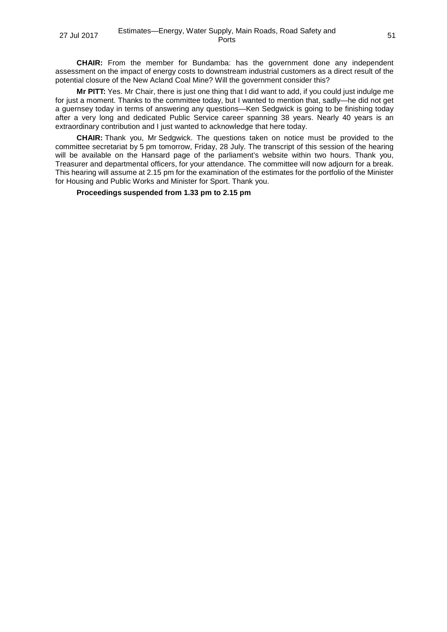**CHAIR:** From the member for Bundamba: has the government done any independent assessment on the impact of energy costs to downstream industrial customers as a direct result of the potential closure of the New Acland Coal Mine? Will the government consider this?

**Mr PITT:** Yes. Mr Chair, there is just one thing that I did want to add, if you could just indulge me for just a moment. Thanks to the committee today, but I wanted to mention that, sadly—he did not get a guernsey today in terms of answering any questions—Ken Sedgwick is going to be finishing today after a very long and dedicated Public Service career spanning 38 years. Nearly 40 years is an extraordinary contribution and I just wanted to acknowledge that here today.

**CHAIR:** Thank you, Mr Sedgwick. The questions taken on notice must be provided to the committee secretariat by 5 pm tomorrow, Friday, 28 July. The transcript of this session of the hearing will be available on the Hansard page of the parliament's website within two hours. Thank you, Treasurer and departmental officers, for your attendance. The committee will now adjourn for a break. This hearing will assume at 2.15 pm for the examination of the estimates for the portfolio of the Minister for Housing and Public Works and Minister for Sport. Thank you.

#### **Proceedings suspended from 1.33 pm to 2.15 pm**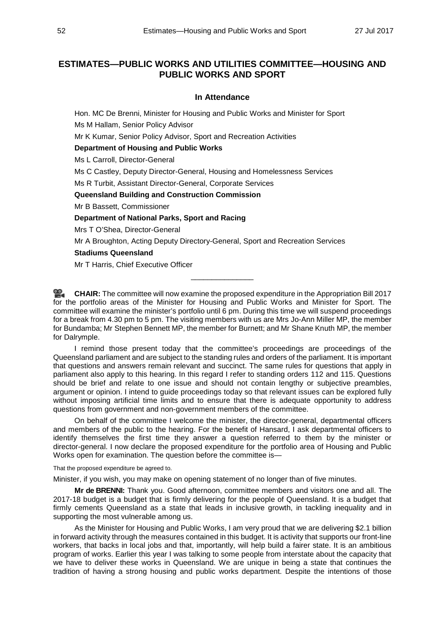# **ESTIMATES—PUBLIC WORKS AND UTILITIES COMMITTEE—HOUSING AND PUBLIC WORKS AND SPORT**

### **In Attendance**

Hon. MC De Brenni, Minister for Housing and Public Works and Minister for Sport

Ms M Hallam, Senior Policy Advisor

Mr K Kumar, Senior Policy Advisor, Sport and Recreation Activities

#### **Department of Housing and Public Works**

Ms L Carroll, Director-General

Ms C Castley, Deputy Director-General, Housing and Homelessness Services

Ms R Turbit, Assistant Director-General, Corporate Services

#### **Queensland Building and Construction Commission**

Mr B Bassett, Commissioner

#### **Department of National Parks, Sport and Racing**

Mrs T O'Shea, Director-General

Mr A Broughton, Acting Deputy Directory-General, Sport and Recreation Services

#### **Stadiums Queensland**

Mr T Harris, Chief Executive Officer

**[CHAIR:](http://www.parliament.qld.gov.au/docs/find.aspx?id=0Mba20170727_141614)** The committee will now examine the proposed expenditure in the Appropriation Bill 2017 for the portfolio areas of the Minister for Housing and Public Works and Minister for Sport. The committee will examine the minister's portfolio until 6 pm. During this time we will suspend proceedings for a break from 4.30 pm to 5 pm. The visiting members with us are Mrs Jo-Ann Miller MP, the member for Bundamba; Mr Stephen Bennett MP, the member for Burnett; and Mr Shane Knuth MP, the member for Dalrymple.

\_\_\_\_\_\_\_\_\_\_\_\_\_\_\_

I remind those present today that the committee's proceedings are proceedings of the Queensland parliament and are subject to the standing rules and orders of the parliament. It is important that questions and answers remain relevant and succinct. The same rules for questions that apply in parliament also apply to this hearing. In this regard I refer to standing orders 112 and 115. Questions should be brief and relate to one issue and should not contain lengthy or subjective preambles, argument or opinion. I intend to guide proceedings today so that relevant issues can be explored fully without imposing artificial time limits and to ensure that there is adequate opportunity to address questions from government and non-government members of the committee.

On behalf of the committee I welcome the minister, the director-general, departmental officers and members of the public to the hearing. For the benefit of Hansard, I ask departmental officers to identify themselves the first time they answer a question referred to them by the minister or director-general. I now declare the proposed expenditure for the portfolio area of Housing and Public Works open for examination. The question before the committee is—

That the proposed expenditure be agreed to.

Minister, if you wish, you may make on opening statement of no longer than of five minutes.

**Mr de BRENNI:** Thank you. Good afternoon, committee members and visitors one and all. The 2017-18 budget is a budget that is firmly delivering for the people of Queensland. It is a budget that firmly cements Queensland as a state that leads in inclusive growth, in tackling inequality and in supporting the most vulnerable among us.

As the Minister for Housing and Public Works, I am very proud that we are delivering \$2.1 billion in forward activity through the measures contained in this budget. It is activity that supports our front-line workers, that backs in local jobs and that, importantly, will help build a fairer state. It is an ambitious program of works. Earlier this year I was talking to some people from interstate about the capacity that we have to deliver these works in Queensland. We are unique in being a state that continues the tradition of having a strong housing and public works department. Despite the intentions of those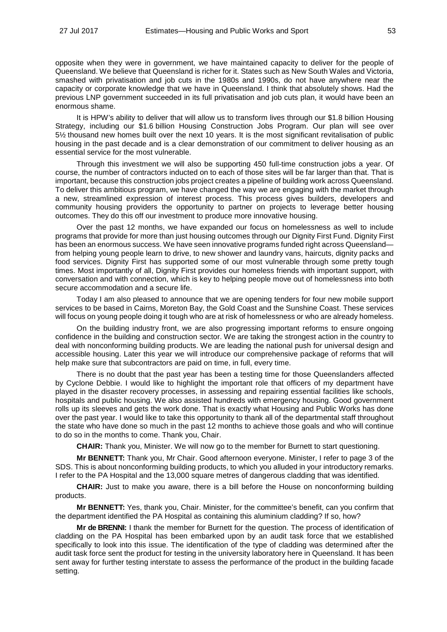opposite when they were in government, we have maintained capacity to deliver for the people of Queensland. We believe that Queensland is richer for it. States such as New South Wales and Victoria, smashed with privatisation and job cuts in the 1980s and 1990s, do not have anywhere near the capacity or corporate knowledge that we have in Queensland. I think that absolutely shows. Had the previous LNP government succeeded in its full privatisation and job cuts plan, it would have been an enormous shame.

It is HPW's ability to deliver that will allow us to transform lives through our \$1.8 billion Housing Strategy, including our \$1.6 billion Housing Construction Jobs Program. Our plan will see over 5½ thousand new homes built over the next 10 years. It is the most significant revitalisation of public housing in the past decade and is a clear demonstration of our commitment to deliver housing as an essential service for the most vulnerable.

Through this investment we will also be supporting 450 full-time construction jobs a year. Of course, the number of contractors inducted on to each of those sites will be far larger than that. That is important, because this construction jobs project creates a pipeline of building work across Queensland. To deliver this ambitious program, we have changed the way we are engaging with the market through a new, streamlined expression of interest process. This process gives builders, developers and community housing providers the opportunity to partner on projects to leverage better housing outcomes. They do this off our investment to produce more innovative housing.

Over the past 12 months, we have expanded our focus on homelessness as well to include programs that provide for more than just housing outcomes through our Dignity First Fund. Dignity First has been an enormous success. We have seen innovative programs funded right across Queensland from helping young people learn to drive, to new shower and laundry vans, haircuts, dignity packs and food services. Dignity First has supported some of our most vulnerable through some pretty tough times. Most importantly of all, Dignity First provides our homeless friends with important support, with conversation and with connection, which is key to helping people move out of homelessness into both secure accommodation and a secure life.

Today I am also pleased to announce that we are opening tenders for four new mobile support services to be based in Cairns, Moreton Bay, the Gold Coast and the Sunshine Coast. These services will focus on young people doing it tough who are at risk of homelessness or who are already homeless.

On the building industry front, we are also progressing important reforms to ensure ongoing confidence in the building and construction sector. We are taking the strongest action in the country to deal with nonconforming building products. We are leading the national push for universal design and accessible housing. Later this year we will introduce our comprehensive package of reforms that will help make sure that subcontractors are paid on time, in full, every time.

There is no doubt that the past year has been a testing time for those Queenslanders affected by Cyclone Debbie. I would like to highlight the important role that officers of my department have played in the disaster recovery processes, in assessing and repairing essential facilities like schools, hospitals and public housing. We also assisted hundreds with emergency housing. Good government rolls up its sleeves and gets the work done. That is exactly what Housing and Public Works has done over the past year. I would like to take this opportunity to thank all of the departmental staff throughout the state who have done so much in the past 12 months to achieve those goals and who will continue to do so in the months to come. Thank you, Chair.

**CHAIR:** Thank you, Minister. We will now go to the member for Burnett to start questioning.

**Mr BENNETT:** Thank you, Mr Chair. Good afternoon everyone. Minister, I refer to page 3 of the SDS. This is about nonconforming building products, to which you alluded in your introductory remarks. I refer to the PA Hospital and the 13,000 square metres of dangerous cladding that was identified.

**CHAIR:** Just to make you aware, there is a bill before the House on nonconforming building products.

**Mr BENNETT:** Yes, thank you, Chair. Minister, for the committee's benefit, can you confirm that the department identified the PA Hospital as containing this aluminium cladding? If so, how?

**Mr de BRENNI:** I thank the member for Burnett for the question. The process of identification of cladding on the PA Hospital has been embarked upon by an audit task force that we established specifically to look into this issue. The identification of the type of cladding was determined after the audit task force sent the product for testing in the university laboratory here in Queensland. It has been sent away for further testing interstate to assess the performance of the product in the building facade setting.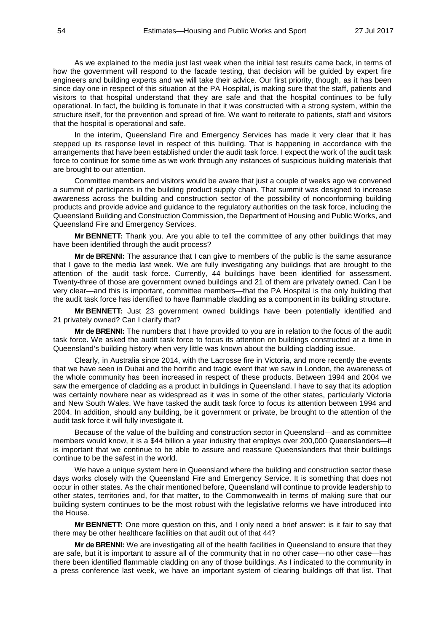As we explained to the media just last week when the initial test results came back, in terms of how the government will respond to the facade testing, that decision will be guided by expert fire engineers and building experts and we will take their advice. Our first priority, though, as it has been since day one in respect of this situation at the PA Hospital, is making sure that the staff, patients and visitors to that hospital understand that they are safe and that the hospital continues to be fully operational. In fact, the building is fortunate in that it was constructed with a strong system, within the structure itself, for the prevention and spread of fire. We want to reiterate to patients, staff and visitors that the hospital is operational and safe.

In the interim, Queensland Fire and Emergency Services has made it very clear that it has stepped up its response level in respect of this building. That is happening in accordance with the arrangements that have been established under the audit task force. I expect the work of the audit task force to continue for some time as we work through any instances of suspicious building materials that are brought to our attention.

Committee members and visitors would be aware that just a couple of weeks ago we convened a summit of participants in the building product supply chain. That summit was designed to increase awareness across the building and construction sector of the possibility of nonconforming building products and provide advice and guidance to the regulatory authorities on the task force, including the Queensland Building and Construction Commission, the Department of Housing and Public Works, and Queensland Fire and Emergency Services.

**Mr BENNETT:** Thank you. Are you able to tell the committee of any other buildings that may have been identified through the audit process?

**Mr de BRENNI:** The assurance that I can give to members of the public is the same assurance that I gave to the media last week. We are fully investigating any buildings that are brought to the attention of the audit task force. Currently, 44 buildings have been identified for assessment. Twenty-three of those are government owned buildings and 21 of them are privately owned. Can I be very clear—and this is important, committee members—that the PA Hospital is the only building that the audit task force has identified to have flammable cladding as a component in its building structure.

**Mr BENNETT:** Just 23 government owned buildings have been potentially identified and 21 privately owned? Can I clarify that?

**Mr de BRENNI:** The numbers that I have provided to you are in relation to the focus of the audit task force. We asked the audit task force to focus its attention on buildings constructed at a time in Queensland's building history when very little was known about the building cladding issue.

Clearly, in Australia since 2014, with the Lacrosse fire in Victoria, and more recently the events that we have seen in Dubai and the horrific and tragic event that we saw in London, the awareness of the whole community has been increased in respect of these products. Between 1994 and 2004 we saw the emergence of cladding as a product in buildings in Queensland. I have to say that its adoption was certainly nowhere near as widespread as it was in some of the other states, particularly Victoria and New South Wales. We have tasked the audit task force to focus its attention between 1994 and 2004. In addition, should any building, be it government or private, be brought to the attention of the audit task force it will fully investigate it.

Because of the value of the building and construction sector in Queensland—and as committee members would know, it is a \$44 billion a year industry that employs over 200,000 Queenslanders—it is important that we continue to be able to assure and reassure Queenslanders that their buildings continue to be the safest in the world.

We have a unique system here in Queensland where the building and construction sector these days works closely with the Queensland Fire and Emergency Service. It is something that does not occur in other states. As the chair mentioned before, Queensland will continue to provide leadership to other states, territories and, for that matter, to the Commonwealth in terms of making sure that our building system continues to be the most robust with the legislative reforms we have introduced into the House.

**Mr BENNETT:** One more question on this, and I only need a brief answer: is it fair to say that there may be other healthcare facilities on that audit out of that 44?

**Mr de BRENNI:** We are investigating all of the health facilities in Queensland to ensure that they are safe, but it is important to assure all of the community that in no other case—no other case—has there been identified flammable cladding on any of those buildings. As I indicated to the community in a press conference last week, we have an important system of clearing buildings off that list. That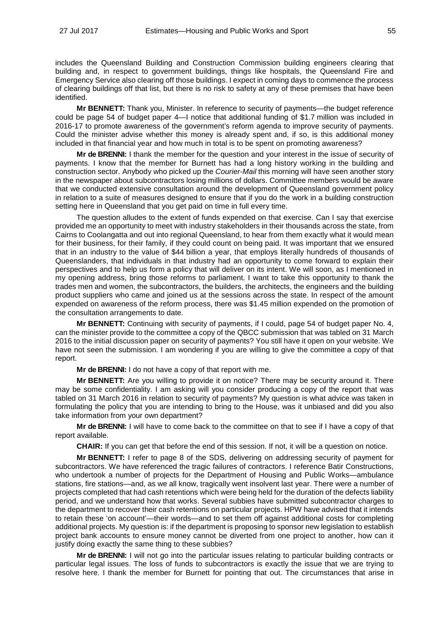includes the Queensland Building and Construction Commission building engineers clearing that building and, in respect to government buildings, things like hospitals, the Queensland Fire and Emergency Service also clearing off those buildings. I expect in coming days to commence the process of clearing buildings off that list, but there is no risk to safety at any of these premises that have been identified.

**Mr BENNETT:** Thank you, Minister. In reference to security of payments—the budget reference could be page 54 of budget paper 4—I notice that additional funding of \$1.7 million was included in 2016-17 to promote awareness of the government's reform agenda to improve security of payments. Could the minister advise whether this money is already spent and, if so, is this additional money included in that financial year and how much in total is to be spent on promoting awareness?

**Mr de BRENNI:** I thank the member for the question and your interest in the issue of security of payments. I know that the member for Burnett has had a long history working in the building and construction sector. Anybody who picked up the *Courier-Mail* this morning will have seen another story in the newspaper about subcontractors losing millions of dollars. Committee members would be aware that we conducted extensive consultation around the development of Queensland government policy in relation to a suite of measures designed to ensure that if you do the work in a building construction setting here in Queensland that you get paid on time in full every time.

The question alludes to the extent of funds expended on that exercise. Can I say that exercise provided me an opportunity to meet with industry stakeholders in their thousands across the state, from Cairns to Coolangatta and out into regional Queensland, to hear from them exactly what it would mean for their business, for their family, if they could count on being paid. It was important that we ensured that in an industry to the value of \$44 billion a year, that employs literally hundreds of thousands of Queenslanders, that individuals in that industry had an opportunity to come forward to explain their perspectives and to help us form a policy that will deliver on its intent. We will soon, as I mentioned in my opening address, bring those reforms to parliament. I want to take this opportunity to thank the trades men and women, the subcontractors, the builders, the architects, the engineers and the building product suppliers who came and joined us at the sessions across the state. In respect of the amount expended on awareness of the reform process, there was \$1.45 million expended on the promotion of the consultation arrangements to date.

**Mr BENNETT:** Continuing with security of payments, if I could, page 54 of budget paper No. 4, can the minister provide to the committee a copy of the QBCC submission that was tabled on 31 March 2016 to the initial discussion paper on security of payments? You still have it open on your website. We have not seen the submission. I am wondering if you are willing to give the committee a copy of that report.

**Mr de BRENNI:** I do not have a copy of that report with me.

**Mr BENNETT:** Are you willing to provide it on notice? There may be security around it. There may be some confidentiality. I am asking will you consider producing a copy of the report that was tabled on 31 March 2016 in relation to security of payments? My question is what advice was taken in formulating the policy that you are intending to bring to the House, was it unbiased and did you also take information from your own department?

**Mr de BRENNI:** I will have to come back to the committee on that to see if I have a copy of that report available.

**CHAIR:** If you can get that before the end of this session. If not, it will be a question on notice.

**Mr BENNETT:** I refer to page 8 of the SDS, delivering on addressing security of payment for subcontractors. We have referenced the tragic failures of contractors. I reference Batir Constructions, who undertook a number of projects for the Department of Housing and Public Works—ambulance stations, fire stations—and, as we all know, tragically went insolvent last year. There were a number of projects completed that had cash retentions which were being held for the duration of the defects liability period, and we understand how that works. Several subbies have submitted subcontractor charges to the department to recover their cash retentions on particular projects. HPW have advised that it intends to retain these 'on account'—their words—and to set them off against additional costs for completing additional projects. My question is: if the department is proposing to sponsor new legislation to establish project bank accounts to ensure money cannot be diverted from one project to another, how can it justify doing exactly the same thing to these subbies?

**Mr de BRENNI:** I will not go into the particular issues relating to particular building contracts or particular legal issues. The loss of funds to subcontractors is exactly the issue that we are trying to resolve here. I thank the member for Burnett for pointing that out. The circumstances that arise in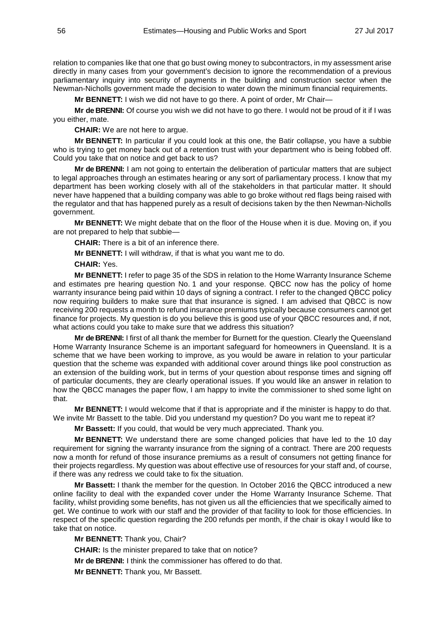relation to companies like that one that go bust owing money to subcontractors, in my assessment arise directly in many cases from your government's decision to ignore the recommendation of a previous parliamentary inquiry into security of payments in the building and construction sector when the Newman-Nicholls government made the decision to water down the minimum financial requirements.

**Mr BENNETT:** I wish we did not have to go there. A point of order, Mr Chair—

**Mr de BRENNI:** Of course you wish we did not have to go there. I would not be proud of it if I was you either, mate.

**CHAIR:** We are not here to argue.

**Mr BENNETT:** In particular if you could look at this one, the Batir collapse, you have a subbie who is trying to get money back out of a retention trust with your department who is being fobbed off. Could you take that on notice and get back to us?

**Mr de BRENNI:** I am not going to entertain the deliberation of particular matters that are subject to legal approaches through an estimates hearing or any sort of parliamentary process. I know that my department has been working closely with all of the stakeholders in that particular matter. It should never have happened that a building company was able to go broke without red flags being raised with the regulator and that has happened purely as a result of decisions taken by the then Newman-Nicholls government.

**Mr BENNETT:** We might debate that on the floor of the House when it is due. Moving on, if you are not prepared to help that subbie—

**CHAIR:** There is a bit of an inference there.

**Mr BENNETT:** I will withdraw, if that is what you want me to do.

**CHAIR:** Yes.

**Mr BENNETT:** I refer to page 35 of the SDS in relation to the Home Warranty Insurance Scheme and estimates pre hearing question No. 1 and your response. QBCC now has the policy of home warranty insurance being paid within 10 days of signing a contract. I refer to the changed QBCC policy now requiring builders to make sure that that insurance is signed. I am advised that QBCC is now receiving 200 requests a month to refund insurance premiums typically because consumers cannot get finance for projects. My question is do you believe this is good use of your QBCC resources and, if not, what actions could you take to make sure that we address this situation?

**Mr de BRENNI:** I first of all thank the member for Burnett for the question. Clearly the Queensland Home Warranty Insurance Scheme is an important safeguard for homeowners in Queensland. It is a scheme that we have been working to improve, as you would be aware in relation to your particular question that the scheme was expanded with additional cover around things like pool construction as an extension of the building work, but in terms of your question about response times and signing off of particular documents, they are clearly operational issues. If you would like an answer in relation to how the QBCC manages the paper flow, I am happy to invite the commissioner to shed some light on that.

**Mr BENNETT:** I would welcome that if that is appropriate and if the minister is happy to do that. We invite Mr Bassett to the table. Did you understand my question? Do you want me to repeat it?

**Mr Bassett:** If you could, that would be very much appreciated. Thank you.

**Mr BENNETT:** We understand there are some changed policies that have led to the 10 day requirement for signing the warranty insurance from the signing of a contract. There are 200 requests now a month for refund of those insurance premiums as a result of consumers not getting finance for their projects regardless. My question was about effective use of resources for your staff and, of course, if there was any redress we could take to fix the situation.

**Mr Bassett:** I thank the member for the question. In October 2016 the QBCC introduced a new online facility to deal with the expanded cover under the Home Warranty Insurance Scheme. That facility, whilst providing some benefits, has not given us all the efficiencies that we specifically aimed to get. We continue to work with our staff and the provider of that facility to look for those efficiencies. In respect of the specific question regarding the 200 refunds per month, if the chair is okay I would like to take that on notice.

**Mr BENNETT:** Thank you, Chair?

**CHAIR:** Is the minister prepared to take that on notice?

**Mr de BRENNI:** I think the commissioner has offered to do that.

**Mr BENNETT:** Thank you, Mr Bassett.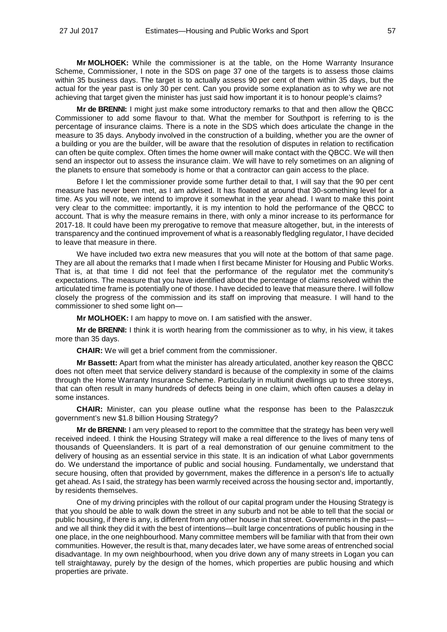**Mr MOLHOEK:** While the commissioner is at the table, on the Home Warranty Insurance Scheme, Commissioner, I note in the SDS on page 37 one of the targets is to assess those claims within 35 business days. The target is to actually assess 90 per cent of them within 35 days, but the actual for the year past is only 30 per cent. Can you provide some explanation as to why we are not achieving that target given the minister has just said how important it is to honour people's claims?

**Mr de BRENNI:** I might just make some introductory remarks to that and then allow the QBCC Commissioner to add some flavour to that. What the member for Southport is referring to is the percentage of insurance claims. There is a note in the SDS which does articulate the change in the measure to 35 days. Anybody involved in the construction of a building, whether you are the owner of a building or you are the builder, will be aware that the resolution of disputes in relation to rectification can often be quite complex. Often times the home owner will make contact with the QBCC. We will then send an inspector out to assess the insurance claim. We will have to rely sometimes on an aligning of the planets to ensure that somebody is home or that a contractor can gain access to the place.

Before I let the commissioner provide some further detail to that, I will say that the 90 per cent measure has never been met, as I am advised. It has floated at around that 30-something level for a time. As you will note, we intend to improve it somewhat in the year ahead. I want to make this point very clear to the committee: importantly, it is my intention to hold the performance of the QBCC to account. That is why the measure remains in there, with only a minor increase to its performance for 2017-18. It could have been my prerogative to remove that measure altogether, but, in the interests of transparency and the continued improvement of what is a reasonably fledgling regulator, I have decided to leave that measure in there.

We have included two extra new measures that you will note at the bottom of that same page. They are all about the remarks that I made when I first became Minister for Housing and Public Works. That is, at that time I did not feel that the performance of the regulator met the community's expectations. The measure that you have identified about the percentage of claims resolved within the articulated time frame is potentially one of those. I have decided to leave that measure there. I will follow closely the progress of the commission and its staff on improving that measure. I will hand to the commissioner to shed some light on—

**Mr MOLHOEK:** I am happy to move on. I am satisfied with the answer.

**Mr de BRENNI:** I think it is worth hearing from the commissioner as to why, in his view, it takes more than 35 days.

**CHAIR:** We will get a brief comment from the commissioner.

**Mr Bassett:** Apart from what the minister has already articulated, another key reason the QBCC does not often meet that service delivery standard is because of the complexity in some of the claims through the Home Warranty Insurance Scheme. Particularly in multiunit dwellings up to three storeys, that can often result in many hundreds of defects being in one claim, which often causes a delay in some instances.

**CHAIR:** Minister, can you please outline what the response has been to the Palaszczuk government's new \$1.8 billion Housing Strategy?

**Mr de BRENNI:** I am very pleased to report to the committee that the strategy has been very well received indeed. I think the Housing Strategy will make a real difference to the lives of many tens of thousands of Queenslanders. It is part of a real demonstration of our genuine commitment to the delivery of housing as an essential service in this state. It is an indication of what Labor governments do. We understand the importance of public and social housing. Fundamentally, we understand that secure housing, often that provided by government, makes the difference in a person's life to actually get ahead. As I said, the strategy has been warmly received across the housing sector and, importantly, by residents themselves.

One of my driving principles with the rollout of our capital program under the Housing Strategy is that you should be able to walk down the street in any suburb and not be able to tell that the social or public housing, if there is any, is different from any other house in that street. Governments in the past and we all think they did it with the best of intentions—built large concentrations of public housing in the one place, in the one neighbourhood. Many committee members will be familiar with that from their own communities. However, the result is that, many decades later, we have some areas of entrenched social disadvantage. In my own neighbourhood, when you drive down any of many streets in Logan you can tell straightaway, purely by the design of the homes, which properties are public housing and which properties are private.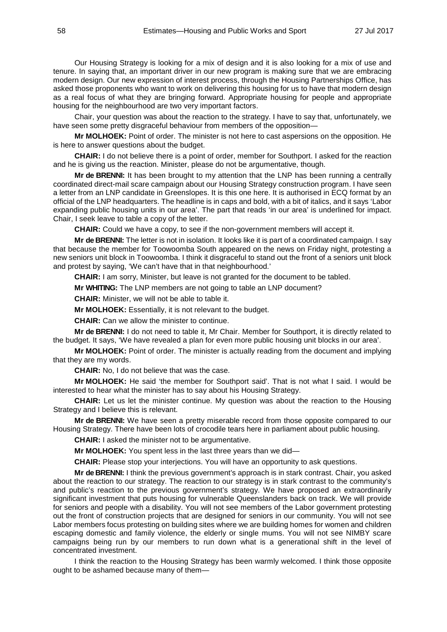Our Housing Strategy is looking for a mix of design and it is also looking for a mix of use and tenure. In saying that, an important driver in our new program is making sure that we are embracing modern design. Our new expression of interest process, through the Housing Partnerships Office, has asked those proponents who want to work on delivering this housing for us to have that modern design as a real focus of what they are bringing forward. Appropriate housing for people and appropriate housing for the neighbourhood are two very important factors.

Chair, your question was about the reaction to the strategy. I have to say that, unfortunately, we have seen some pretty disgraceful behaviour from members of the opposition—

**Mr MOLHOEK:** Point of order. The minister is not here to cast aspersions on the opposition. He is here to answer questions about the budget.

**CHAIR:** I do not believe there is a point of order, member for Southport. I asked for the reaction and he is giving us the reaction. Minister, please do not be argumentative, though.

**Mr de BRENNI:** It has been brought to my attention that the LNP has been running a centrally coordinated direct-mail scare campaign about our Housing Strategy construction program. I have seen a letter from an LNP candidate in Greenslopes. It is this one here. It is authorised in ECQ format by an official of the LNP headquarters. The headline is in caps and bold, with a bit of italics, and it says 'Labor expanding public housing units in our area'. The part that reads 'in our area' is underlined for impact. Chair, I seek leave to table a copy of the letter.

**CHAIR:** Could we have a copy, to see if the non-government members will accept it.

**Mr de BRENNI:** The letter is not in isolation. It looks like it is part of a coordinated campaign. I say that because the member for Toowoomba South appeared on the news on Friday night, protesting a new seniors unit block in Toowoomba. I think it disgraceful to stand out the front of a seniors unit block and protest by saying, 'We can't have that in that neighbourhood.'

**CHAIR:** I am sorry, Minister, but leave is not granted for the document to be tabled.

**Mr WHITING:** The LNP members are not going to table an LNP document?

**CHAIR:** Minister, we will not be able to table it.

**Mr MOLHOEK:** Essentially, it is not relevant to the budget.

**CHAIR:** Can we allow the minister to continue.

**Mr de BRENNI:** I do not need to table it, Mr Chair. Member for Southport, it is directly related to the budget. It says, 'We have revealed a plan for even more public housing unit blocks in our area'.

**Mr MOLHOEK:** Point of order. The minister is actually reading from the document and implying that they are my words.

**CHAIR:** No, I do not believe that was the case.

**Mr MOLHOEK:** He said 'the member for Southport said'. That is not what I said. I would be interested to hear what the minister has to say about his Housing Strategy.

**CHAIR:** Let us let the minister continue. My question was about the reaction to the Housing Strategy and I believe this is relevant.

**Mr de BRENNI:** We have seen a pretty miserable record from those opposite compared to our Housing Strategy. There have been lots of crocodile tears here in parliament about public housing.

**CHAIR:** I asked the minister not to be argumentative.

**Mr MOLHOEK:** You spent less in the last three years than we did—

**CHAIR:** Please stop your interjections. You will have an opportunity to ask questions.

**Mr de BRENNI:** I think the previous government's approach is in stark contrast. Chair, you asked about the reaction to our strategy. The reaction to our strategy is in stark contrast to the community's and public's reaction to the previous government's strategy. We have proposed an extraordinarily significant investment that puts housing for vulnerable Queenslanders back on track. We will provide for seniors and people with a disability. You will not see members of the Labor government protesting out the front of construction projects that are designed for seniors in our community. You will not see Labor members focus protesting on building sites where we are building homes for women and children escaping domestic and family violence, the elderly or single mums. You will not see NIMBY scare campaigns being run by our members to run down what is a generational shift in the level of concentrated investment.

I think the reaction to the Housing Strategy has been warmly welcomed. I think those opposite ought to be ashamed because many of them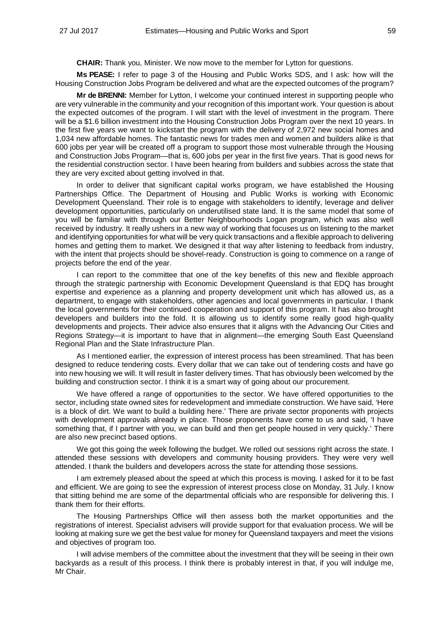**CHAIR:** Thank you, Minister. We now move to the member for Lytton for questions.

**Ms PEASE:** I refer to page 3 of the Housing and Public Works SDS, and I ask: how will the Housing Construction Jobs Program be delivered and what are the expected outcomes of the program?

**Mr de BRENNI:** Member for Lytton, I welcome your continued interest in supporting people who are very vulnerable in the community and your recognition of this important work. Your question is about the expected outcomes of the program. I will start with the level of investment in the program. There will be a \$1.6 billion investment into the Housing Construction Jobs Program over the next 10 years. In the first five years we want to kickstart the program with the delivery of 2,972 new social homes and 1,034 new affordable homes. The fantastic news for trades men and women and builders alike is that 600 jobs per year will be created off a program to support those most vulnerable through the Housing and Construction Jobs Program—that is, 600 jobs per year in the first five years. That is good news for the residential construction sector. I have been hearing from builders and subbies across the state that they are very excited about getting involved in that.

In order to deliver that significant capital works program, we have established the Housing Partnerships Office. The Department of Housing and Public Works is working with Economic Development Queensland. Their role is to engage with stakeholders to identify, leverage and deliver development opportunities, particularly on underutilised state land. It is the same model that some of you will be familiar with through our Better Neighbourhoods Logan program, which was also well received by industry. It really ushers in a new way of working that focuses us on listening to the market and identifying opportunities for what will be very quick transactions and a flexible approach to delivering homes and getting them to market. We designed it that way after listening to feedback from industry, with the intent that projects should be shovel-ready. Construction is going to commence on a range of projects before the end of the year.

I can report to the committee that one of the key benefits of this new and flexible approach through the strategic partnership with Economic Development Queensland is that EDQ has brought expertise and experience as a planning and property development unit which has allowed us, as a department, to engage with stakeholders, other agencies and local governments in particular. I thank the local governments for their continued cooperation and support of this program. It has also brought developers and builders into the fold. It is allowing us to identify some really good high-quality developments and projects. Their advice also ensures that it aligns with the Advancing Our Cities and Regions Strategy—it is important to have that in alignment—the emerging South East Queensland Regional Plan and the State Infrastructure Plan.

As I mentioned earlier, the expression of interest process has been streamlined. That has been designed to reduce tendering costs. Every dollar that we can take out of tendering costs and have go into new housing we will. It will result in faster delivery times. That has obviously been welcomed by the building and construction sector. I think it is a smart way of going about our procurement.

We have offered a range of opportunities to the sector. We have offered opportunities to the sector, including state owned sites for redevelopment and immediate construction. We have said, 'Here is a block of dirt. We want to build a building here.' There are private sector proponents with projects with development approvals already in place. Those proponents have come to us and said, 'I have something that, if I partner with you, we can build and then get people housed in very quickly.' There are also new precinct based options.

We got this going the week following the budget. We rolled out sessions right across the state. I attended these sessions with developers and community housing providers. They were very well attended. I thank the builders and developers across the state for attending those sessions.

I am extremely pleased about the speed at which this process is moving. I asked for it to be fast and efficient. We are going to see the expression of interest process close on Monday, 31 July. I know that sitting behind me are some of the departmental officials who are responsible for delivering this. I thank them for their efforts.

The Housing Partnerships Office will then assess both the market opportunities and the registrations of interest. Specialist advisers will provide support for that evaluation process. We will be looking at making sure we get the best value for money for Queensland taxpayers and meet the visions and objectives of program too.

I will advise members of the committee about the investment that they will be seeing in their own backyards as a result of this process. I think there is probably interest in that, if you will indulge me, Mr Chair.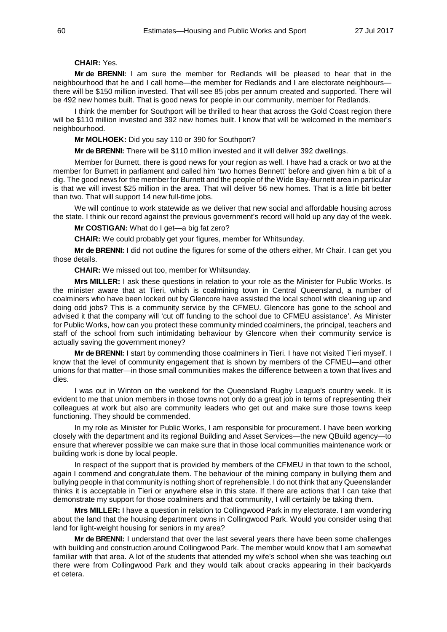## **CHAIR:** Yes.

**Mr de BRENNI:** I am sure the member for Redlands will be pleased to hear that in the neighbourhood that he and I call home—the member for Redlands and I are electorate neighbours there will be \$150 million invested. That will see 85 jobs per annum created and supported. There will be 492 new homes built. That is good news for people in our community, member for Redlands.

I think the member for Southport will be thrilled to hear that across the Gold Coast region there will be \$110 million invested and 392 new homes built. I know that will be welcomed in the member's neighbourhood.

**Mr MOLHOEK:** Did you say 110 or 390 for Southport?

**Mr de BRENNI:** There will be \$110 million invested and it will deliver 392 dwellings.

Member for Burnett, there is good news for your region as well. I have had a crack or two at the member for Burnett in parliament and called him 'two homes Bennett' before and given him a bit of a dig. The good news for the member for Burnett and the people of the Wide Bay-Burnett area in particular is that we will invest \$25 million in the area. That will deliver 56 new homes. That is a little bit better than two. That will support 14 new full-time jobs.

We will continue to work statewide as we deliver that new social and affordable housing across the state. I think our record against the previous government's record will hold up any day of the week.

**Mr COSTIGAN:** What do I get—a big fat zero?

**CHAIR:** We could probably get your figures, member for Whitsunday.

**Mr de BRENNI:** I did not outline the figures for some of the others either, Mr Chair. I can get you those details.

**CHAIR:** We missed out too, member for Whitsunday.

**Mrs MILLER:** I ask these questions in relation to your role as the Minister for Public Works. Is the minister aware that at Tieri, which is coalmining town in Central Queensland, a number of coalminers who have been locked out by Glencore have assisted the local school with cleaning up and doing odd jobs? This is a community service by the CFMEU. Glencore has gone to the school and advised it that the company will 'cut off funding to the school due to CFMEU assistance'. As Minister for Public Works, how can you protect these community minded coalminers, the principal, teachers and staff of the school from such intimidating behaviour by Glencore when their community service is actually saving the government money?

**Mr de BRENNI:** I start by commending those coalminers in Tieri. I have not visited Tieri myself. I know that the level of community engagement that is shown by members of the CFMEU—and other unions for that matter—in those small communities makes the difference between a town that lives and dies.

I was out in Winton on the weekend for the Queensland Rugby League's country week. It is evident to me that union members in those towns not only do a great job in terms of representing their colleagues at work but also are community leaders who get out and make sure those towns keep functioning. They should be commended.

In my role as Minister for Public Works, I am responsible for procurement. I have been working closely with the department and its regional Building and Asset Services—the new QBuild agency—to ensure that wherever possible we can make sure that in those local communities maintenance work or building work is done by local people.

In respect of the support that is provided by members of the CFMEU in that town to the school, again I commend and congratulate them. The behaviour of the mining company in bullying them and bullying people in that community is nothing short of reprehensible. I do not think that any Queenslander thinks it is acceptable in Tieri or anywhere else in this state. If there are actions that I can take that demonstrate my support for those coalminers and that community, I will certainly be taking them.

**Mrs MILLER:** I have a question in relation to Collingwood Park in my electorate. I am wondering about the land that the housing department owns in Collingwood Park. Would you consider using that land for light-weight housing for seniors in my area?

**Mr de BRENNI:** I understand that over the last several years there have been some challenges with building and construction around Collingwood Park. The member would know that I am somewhat familiar with that area. A lot of the students that attended my wife's school when she was teaching out there were from Collingwood Park and they would talk about cracks appearing in their backyards et cetera.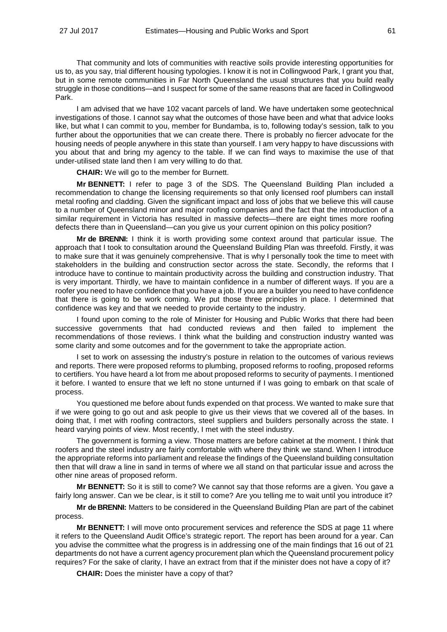That community and lots of communities with reactive soils provide interesting opportunities for us to, as you say, trial different housing typologies. I know it is not in Collingwood Park, I grant you that, but in some remote communities in Far North Queensland the usual structures that you build really struggle in those conditions—and I suspect for some of the same reasons that are faced in Collingwood Park.

I am advised that we have 102 vacant parcels of land. We have undertaken some geotechnical investigations of those. I cannot say what the outcomes of those have been and what that advice looks like, but what I can commit to you, member for Bundamba, is to, following today's session, talk to you further about the opportunities that we can create there. There is probably no fiercer advocate for the housing needs of people anywhere in this state than yourself. I am very happy to have discussions with you about that and bring my agency to the table. If we can find ways to maximise the use of that under-utilised state land then I am very willing to do that.

**CHAIR:** We will go to the member for Burnett.

**Mr BENNETT:** I refer to page 3 of the SDS. The Queensland Building Plan included a recommendation to change the licensing requirements so that only licensed roof plumbers can install metal roofing and cladding. Given the significant impact and loss of jobs that we believe this will cause to a number of Queensland minor and major roofing companies and the fact that the introduction of a similar requirement in Victoria has resulted in massive defects—there are eight times more roofing defects there than in Queensland—can you give us your current opinion on this policy position?

**Mr de BRENNI:** I think it is worth providing some context around that particular issue. The approach that I took to consultation around the Queensland Building Plan was threefold. Firstly, it was to make sure that it was genuinely comprehensive. That is why I personally took the time to meet with stakeholders in the building and construction sector across the state. Secondly, the reforms that I introduce have to continue to maintain productivity across the building and construction industry. That is very important. Thirdly, we have to maintain confidence in a number of different ways. If you are a roofer you need to have confidence that you have a job. If you are a builder you need to have confidence that there is going to be work coming. We put those three principles in place. I determined that confidence was key and that we needed to provide certainty to the industry.

I found upon coming to the role of Minister for Housing and Public Works that there had been successive governments that had conducted reviews and then failed to implement the recommendations of those reviews. I think what the building and construction industry wanted was some clarity and some outcomes and for the government to take the appropriate action.

I set to work on assessing the industry's posture in relation to the outcomes of various reviews and reports. There were proposed reforms to plumbing, proposed reforms to roofing, proposed reforms to certifiers. You have heard a lot from me about proposed reforms to security of payments. I mentioned it before. I wanted to ensure that we left no stone unturned if I was going to embark on that scale of process.

You questioned me before about funds expended on that process. We wanted to make sure that if we were going to go out and ask people to give us their views that we covered all of the bases. In doing that, I met with roofing contractors, steel suppliers and builders personally across the state. I heard varying points of view. Most recently, I met with the steel industry.

The government is forming a view. Those matters are before cabinet at the moment. I think that roofers and the steel industry are fairly comfortable with where they think we stand. When I introduce the appropriate reforms into parliament and release the findings of the Queensland building consultation then that will draw a line in sand in terms of where we all stand on that particular issue and across the other nine areas of proposed reform.

**Mr BENNETT:** So it is still to come? We cannot say that those reforms are a given. You gave a fairly long answer. Can we be clear, is it still to come? Are you telling me to wait until you introduce it?

**Mr de BRENNI:** Matters to be considered in the Queensland Building Plan are part of the cabinet process.

**Mr BENNETT:** I will move onto procurement services and reference the SDS at page 11 where it refers to the Queensland Audit Office's strategic report. The report has been around for a year. Can you advise the committee what the progress is in addressing one of the main findings that 16 out of 21 departments do not have a current agency procurement plan which the Queensland procurement policy requires? For the sake of clarity, I have an extract from that if the minister does not have a copy of it?

**CHAIR:** Does the minister have a copy of that?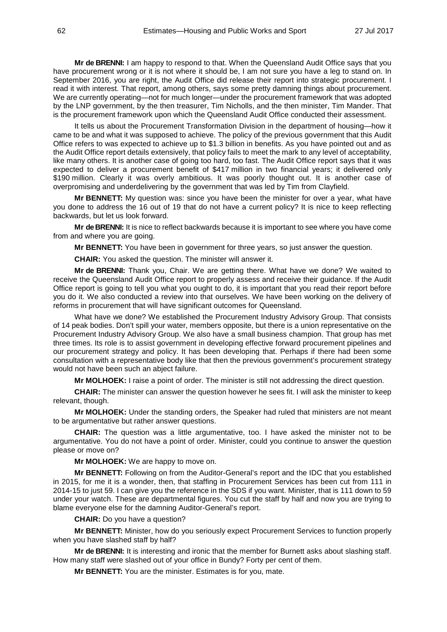**Mr de BRENNI:** I am happy to respond to that. When the Queensland Audit Office says that you have procurement wrong or it is not where it should be, I am not sure you have a leg to stand on. In September 2016, you are right, the Audit Office did release their report into strategic procurement. I read it with interest. That report, among others, says some pretty damning things about procurement. We are currently operating—not for much longer—under the procurement framework that was adopted by the LNP government, by the then treasurer, Tim Nicholls, and the then minister, Tim Mander. That is the procurement framework upon which the Queensland Audit Office conducted their assessment.

It tells us about the Procurement Transformation Division in the department of housing—how it came to be and what it was supposed to achieve. The policy of the previous government that this Audit Office refers to was expected to achieve up to \$1.3 billion in benefits. As you have pointed out and as the Audit Office report details extensively, that policy fails to meet the mark to any level of acceptability, like many others. It is another case of going too hard, too fast. The Audit Office report says that it was expected to deliver a procurement benefit of \$417 million in two financial years; it delivered only \$190 million. Clearly it was overly ambitious. It was poorly thought out. It is another case of overpromising and underdelivering by the government that was led by Tim from Clayfield.

**Mr BENNETT:** My question was: since you have been the minister for over a year, what have you done to address the 16 out of 19 that do not have a current policy? It is nice to keep reflecting backwards, but let us look forward.

**Mr de BRENNI:** It is nice to reflect backwards because it is important to see where you have come from and where you are going.

**Mr BENNETT:** You have been in government for three years, so just answer the question.

**CHAIR:** You asked the question. The minister will answer it.

**Mr de BRENNI:** Thank you, Chair. We are getting there. What have we done? We waited to receive the Queensland Audit Office report to properly assess and receive their guidance. If the Audit Office report is going to tell you what you ought to do, it is important that you read their report before you do it. We also conducted a review into that ourselves. We have been working on the delivery of reforms in procurement that will have significant outcomes for Queensland.

What have we done? We established the Procurement Industry Advisory Group. That consists of 14 peak bodies. Don't spill your water, members opposite, but there is a union representative on the Procurement Industry Advisory Group. We also have a small business champion. That group has met three times. Its role is to assist government in developing effective forward procurement pipelines and our procurement strategy and policy. It has been developing that. Perhaps if there had been some consultation with a representative body like that then the previous government's procurement strategy would not have been such an abject failure.

**Mr MOLHOEK:** I raise a point of order. The minister is still not addressing the direct question.

**CHAIR:** The minister can answer the question however he sees fit. I will ask the minister to keep relevant, though.

**Mr MOLHOEK:** Under the standing orders, the Speaker had ruled that ministers are not meant to be argumentative but rather answer questions.

**CHAIR:** The question was a little argumentative, too. I have asked the minister not to be argumentative. You do not have a point of order. Minister, could you continue to answer the question please or move on?

**Mr MOLHOEK:** We are happy to move on.

**Mr BENNETT:** Following on from the Auditor-General's report and the IDC that you established in 2015, for me it is a wonder, then, that staffing in Procurement Services has been cut from 111 in 2014-15 to just 59. I can give you the reference in the SDS if you want. Minister, that is 111 down to 59 under your watch. These are departmental figures. You cut the staff by half and now you are trying to blame everyone else for the damning Auditor-General's report.

**CHAIR:** Do you have a question?

**Mr BENNETT:** Minister, how do you seriously expect Procurement Services to function properly when you have slashed staff by half?

**Mr de BRENNI:** It is interesting and ironic that the member for Burnett asks about slashing staff. How many staff were slashed out of your office in Bundy? Forty per cent of them.

**Mr BENNETT:** You are the minister. Estimates is for you, mate.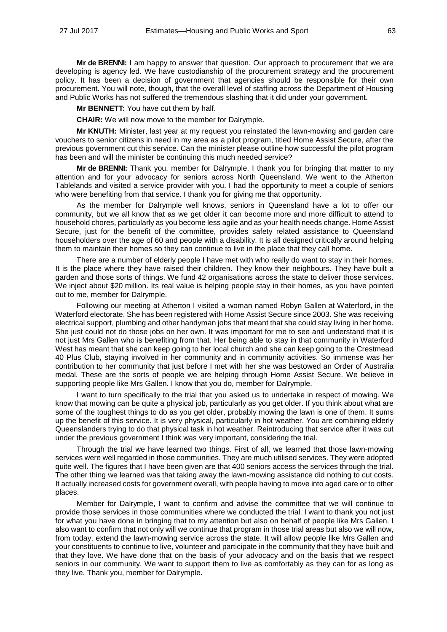**Mr de BRENNI:** I am happy to answer that question. Our approach to procurement that we are developing is agency led. We have custodianship of the procurement strategy and the procurement policy. It has been a decision of government that agencies should be responsible for their own procurement. You will note, though, that the overall level of staffing across the Department of Housing and Public Works has not suffered the tremendous slashing that it did under your government.

**Mr BENNETT:** You have cut them by half.

**CHAIR:** We will now move to the member for Dalrymple.

**Mr KNUTH:** Minister, last year at my request you reinstated the lawn-mowing and garden care vouchers to senior citizens in need in my area as a pilot program, titled Home Assist Secure, after the previous government cut this service. Can the minister please outline how successful the pilot program has been and will the minister be continuing this much needed service?

**Mr de BRENNI:** Thank you, member for Dalrymple. I thank you for bringing that matter to my attention and for your advocacy for seniors across North Queensland. We went to the Atherton Tablelands and visited a service provider with you. I had the opportunity to meet a couple of seniors who were benefiting from that service. I thank you for giving me that opportunity.

As the member for Dalrymple well knows, seniors in Queensland have a lot to offer our community, but we all know that as we get older it can become more and more difficult to attend to household chores, particularly as you become less agile and as your health needs change. Home Assist Secure, just for the benefit of the committee, provides safety related assistance to Queensland householders over the age of 60 and people with a disability. It is all designed critically around helping them to maintain their homes so they can continue to live in the place that they call home.

There are a number of elderly people I have met with who really do want to stay in their homes. It is the place where they have raised their children. They know their neighbours. They have built a garden and those sorts of things. We fund 42 organisations across the state to deliver those services. We inject about \$20 million. Its real value is helping people stay in their homes, as you have pointed out to me, member for Dalrymple.

Following our meeting at Atherton I visited a woman named Robyn Gallen at Waterford, in the Waterford electorate. She has been registered with Home Assist Secure since 2003. She was receiving electrical support, plumbing and other handyman jobs that meant that she could stay living in her home. She just could not do those jobs on her own. It was important for me to see and understand that it is not just Mrs Gallen who is benefiting from that. Her being able to stay in that community in Waterford West has meant that she can keep going to her local church and she can keep going to the Crestmead 40 Plus Club, staying involved in her community and in community activities. So immense was her contribution to her community that just before I met with her she was bestowed an Order of Australia medal. These are the sorts of people we are helping through Home Assist Secure. We believe in supporting people like Mrs Gallen. I know that you do, member for Dalrymple.

I want to turn specifically to the trial that you asked us to undertake in respect of mowing. We know that mowing can be quite a physical job, particularly as you get older. If you think about what are some of the toughest things to do as you get older, probably mowing the lawn is one of them. It sums up the benefit of this service. It is very physical, particularly in hot weather. You are combining elderly Queenslanders trying to do that physical task in hot weather. Reintroducing that service after it was cut under the previous government I think was very important, considering the trial.

Through the trial we have learned two things. First of all, we learned that those lawn-mowing services were well regarded in those communities. They are much utilised services. They were adopted quite well. The figures that I have been given are that 400 seniors access the services through the trial. The other thing we learned was that taking away the lawn-mowing assistance did nothing to cut costs. It actually increased costs for government overall, with people having to move into aged care or to other places.

Member for Dalrymple, I want to confirm and advise the committee that we will continue to provide those services in those communities where we conducted the trial. I want to thank you not just for what you have done in bringing that to my attention but also on behalf of people like Mrs Gallen. I also want to confirm that not only will we continue that program in those trial areas but also we will now, from today, extend the lawn-mowing service across the state. It will allow people like Mrs Gallen and your constituents to continue to live, volunteer and participate in the community that they have built and that they love. We have done that on the basis of your advocacy and on the basis that we respect seniors in our community. We want to support them to live as comfortably as they can for as long as they live. Thank you, member for Dalrymple.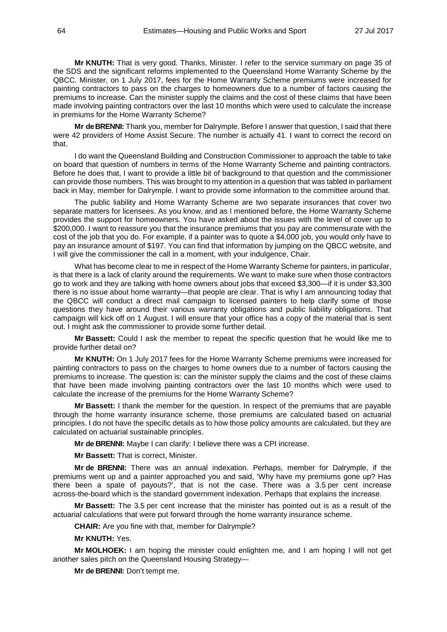**Mr KNUTH:** That is very good. Thanks, Minister. I refer to the service summary on page 35 of the SDS and the significant reforms implemented to the Queensland Home Warranty Scheme by the QBCC. Minister, on 1 July 2017, fees for the Home Warranty Scheme premiums were increased for painting contractors to pass on the charges to homeowners due to a number of factors causing the premiums to increase. Can the minister supply the claims and the cost of these claims that have been made involving painting contractors over the last 10 months which were used to calculate the increase in premiums for the Home Warranty Scheme?

**Mr de BRENNI:** Thank you, member for Dalrymple. Before I answer that question, I said that there were 42 providers of Home Assist Secure. The number is actually 41. I want to correct the record on that.

I do want the Queensland Building and Construction Commissioner to approach the table to take on board that question of numbers in terms of the Home Warranty Scheme and painting contractors. Before he does that, I want to provide a little bit of background to that question and the commissioner can provide those numbers. This was brought to my attention in a question that was tabled in parliament back in May, member for Dalrymple. I want to provide some information to the committee around that.

The public liability and Home Warranty Scheme are two separate insurances that cover two separate matters for licensees. As you know, and as I mentioned before, the Home Warranty Scheme provides the support for homeowners. You have asked about the issues with the level of cover up to \$200,000. I want to reassure you that the insurance premiums that you pay are commensurate with the cost of the job that you do. For example, if a painter was to quote a \$4,000 job, you would only have to pay an insurance amount of \$197. You can find that information by jumping on the QBCC website, and I will give the commissioner the call in a moment, with your indulgence, Chair.

What has become clear to me in respect of the Home Warranty Scheme for painters, in particular, is that there is a lack of clarity around the requirements. We want to make sure when those contractors go to work and they are talking with home owners about jobs that exceed \$3,300—if it is under \$3,300 there is no issue about home warranty—that people are clear. That is why I am announcing today that the QBCC will conduct a direct mail campaign to licensed painters to help clarify some of those questions they have around their various warranty obligations and public liability obligations. That campaign will kick off on 1 August. I will ensure that your office has a copy of the material that is sent out. I might ask the commissioner to provide some further detail.

**Mr Bassett:** Could I ask the member to repeat the specific question that he would like me to provide further detail on?

**Mr KNUTH:** On 1 July 2017 fees for the Home Warranty Scheme premiums were increased for painting contractors to pass on the charges to home owners due to a number of factors causing the premiums to increase. The question is: can the minister supply the claims and the cost of these claims that have been made involving painting contractors over the last 10 months which were used to calculate the increase of the premiums for the Home Warranty Scheme?

**Mr Bassett:** I thank the member for the question. In respect of the premiums that are payable through the home warranty insurance scheme, those premiums are calculated based on actuarial principles. I do not have the specific details as to how those policy amounts are calculated, but they are calculated on actuarial sustainable principles.

**Mr de BRENNI:** Maybe I can clarify: I believe there was a CPI increase.

**Mr Bassett:** That is correct, Minister.

**Mr de BRENNI:** There was an annual indexation. Perhaps, member for Dalrymple, if the premiums went up and a painter approached you and said, 'Why have my premiums gone up? Has there been a spate of payouts?', that is not the case. There was a 3.5 per cent increase across-the-board which is the standard government indexation. Perhaps that explains the increase.

**Mr Bassett:** The 3.5 per cent increase that the minister has pointed out is as a result of the actuarial calculations that were put forward through the home warranty insurance scheme.

**CHAIR:** Are you fine with that, member for Dalrymple?

**Mr KNUTH:** Yes.

**Mr MOLHOEK:** I am hoping the minister could enlighten me, and I am hoping I will not get another sales pitch on the Queensland Housing Strategy—

**Mr de BRENNI:** Don't tempt me.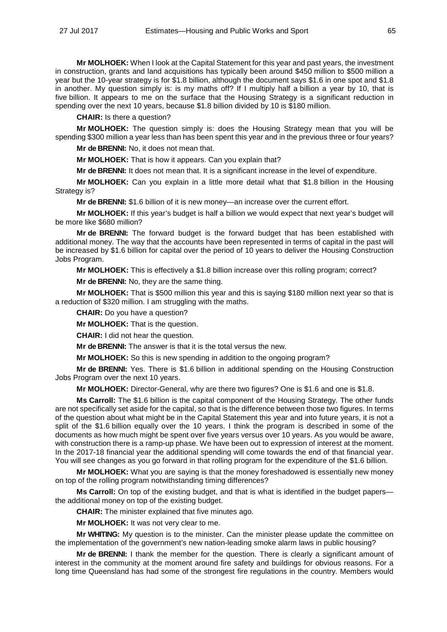**Mr MOLHOEK:** When I look at the Capital Statement for this year and past years, the investment in construction, grants and land acquisitions has typically been around \$450 million to \$500 million a year but the 10-year strategy is for \$1.8 billion, although the document says \$1.6 in one spot and \$1.8 in another. My question simply is: is my maths off? If I multiply half a billion a year by 10, that is five billion. It appears to me on the surface that the Housing Strategy is a significant reduction in spending over the next 10 years, because \$1.8 billion divided by 10 is \$180 million.

**CHAIR:** Is there a question?

**Mr MOLHOEK:** The question simply is: does the Housing Strategy mean that you will be spending \$300 million a year less than has been spent this year and in the previous three or four years?

**Mr de BRENNI:** No, it does not mean that.

**Mr MOLHOEK:** That is how it appears. Can you explain that?

**Mr de BRENNI:** It does not mean that. It is a significant increase in the level of expenditure.

**Mr MOLHOEK:** Can you explain in a little more detail what that \$1.8 billion in the Housing Strategy is?

**Mr de BRENNI:** \$1.6 billion of it is new money—an increase over the current effort.

**Mr MOLHOEK:** If this year's budget is half a billion we would expect that next year's budget will be more like \$680 million?

**Mr de BRENNI:** The forward budget is the forward budget that has been established with additional money. The way that the accounts have been represented in terms of capital in the past will be increased by \$1.6 billion for capital over the period of 10 years to deliver the Housing Construction Jobs Program.

**Mr MOLHOEK:** This is effectively a \$1.8 billion increase over this rolling program; correct?

**Mr de BRENNI:** No, they are the same thing.

**Mr MOLHOEK:** That is \$500 million this year and this is saying \$180 million next year so that is a reduction of \$320 million. I am struggling with the maths.

**CHAIR:** Do you have a question?

**Mr MOLHOEK:** That is the question.

**CHAIR:** I did not hear the question.

**Mr de BRENNI:** The answer is that it is the total versus the new.

**Mr MOLHOEK:** So this is new spending in addition to the ongoing program?

**Mr de BRENNI:** Yes. There is \$1.6 billion in additional spending on the Housing Construction Jobs Program over the next 10 years.

**Mr MOLHOEK:** Director-General, why are there two figures? One is \$1.6 and one is \$1.8.

**Ms Carroll:** The \$1.6 billion is the capital component of the Housing Strategy. The other funds are not specifically set aside for the capital, so that is the difference between those two figures. In terms of the question about what might be in the Capital Statement this year and into future years, it is not a split of the \$1.6 billion equally over the 10 years. I think the program is described in some of the documents as how much might be spent over five years versus over 10 years. As you would be aware, with construction there is a ramp-up phase. We have been out to expression of interest at the moment. In the 2017-18 financial year the additional spending will come towards the end of that financial year. You will see changes as you go forward in that rolling program for the expenditure of the \$1.6 billion.

**Mr MOLHOEK:** What you are saying is that the money foreshadowed is essentially new money on top of the rolling program notwithstanding timing differences?

**Ms Carroll:** On top of the existing budget, and that is what is identified in the budget papers the additional money on top of the existing budget.

**CHAIR:** The minister explained that five minutes ago.

**Mr MOLHOEK:** It was not very clear to me.

**Mr WHITING:** My question is to the minister. Can the minister please update the committee on the implementation of the government's new nation-leading smoke alarm laws in public housing?

**Mr de BRENNI:** I thank the member for the question. There is clearly a significant amount of interest in the community at the moment around fire safety and buildings for obvious reasons. For a long time Queensland has had some of the strongest fire regulations in the country. Members would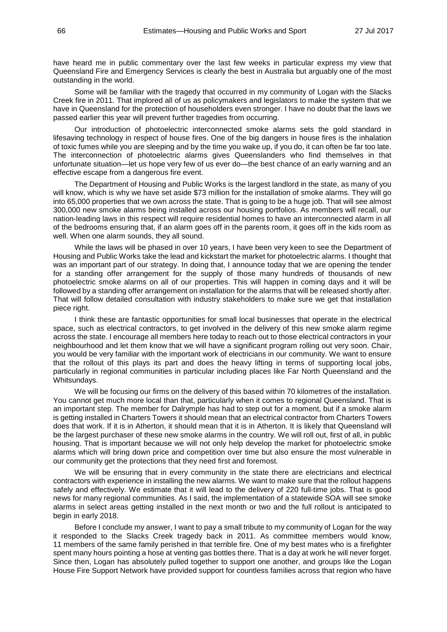have heard me in public commentary over the last few weeks in particular express my view that Queensland Fire and Emergency Services is clearly the best in Australia but arguably one of the most outstanding in the world.

Some will be familiar with the tragedy that occurred in my community of Logan with the Slacks Creek fire in 2011. That implored all of us as policymakers and legislators to make the system that we have in Queensland for the protection of householders even stronger. I have no doubt that the laws we passed earlier this year will prevent further tragedies from occurring.

Our introduction of photoelectric interconnected smoke alarms sets the gold standard in lifesaving technology in respect of house fires. One of the big dangers in house fires is the inhalation of toxic fumes while you are sleeping and by the time you wake up, if you do, it can often be far too late. The interconnection of photoelectric alarms gives Queenslanders who find themselves in that unfortunate situation—let us hope very few of us ever do—the best chance of an early warning and an effective escape from a dangerous fire event.

The Department of Housing and Public Works is the largest landlord in the state, as many of you will know, which is why we have set aside \$73 million for the installation of smoke alarms. They will go into 65,000 properties that we own across the state. That is going to be a huge job. That will see almost 300,000 new smoke alarms being installed across our housing portfolios. As members will recall, our nation-leading laws in this respect will require residential homes to have an interconnected alarm in all of the bedrooms ensuring that, if an alarm goes off in the parents room, it goes off in the kids room as well. When one alarm sounds, they all sound.

While the laws will be phased in over 10 years, I have been very keen to see the Department of Housing and Public Works take the lead and kickstart the market for photoelectric alarms. I thought that was an important part of our strategy. In doing that, I announce today that we are opening the tender for a standing offer arrangement for the supply of those many hundreds of thousands of new photoelectric smoke alarms on all of our properties. This will happen in coming days and it will be followed by a standing offer arrangement on installation for the alarms that will be released shortly after. That will follow detailed consultation with industry stakeholders to make sure we get that installation piece right.

I think these are fantastic opportunities for small local businesses that operate in the electrical space, such as electrical contractors, to get involved in the delivery of this new smoke alarm regime across the state. I encourage all members here today to reach out to those electrical contractors in your neighbourhood and let them know that we will have a significant program rolling out very soon. Chair, you would be very familiar with the important work of electricians in our community. We want to ensure that the rollout of this plays its part and does the heavy lifting in terms of supporting local jobs, particularly in regional communities in particular including places like Far North Queensland and the Whitsundays.

We will be focusing our firms on the delivery of this based within 70 kilometres of the installation. You cannot get much more local than that, particularly when it comes to regional Queensland. That is an important step. The member for Dalrymple has had to step out for a moment, but if a smoke alarm is getting installed in Charters Towers it should mean that an electrical contractor from Charters Towers does that work. If it is in Atherton, it should mean that it is in Atherton. It is likely that Queensland will be the largest purchaser of these new smoke alarms in the country. We will roll out, first of all, in public housing. That is important because we will not only help develop the market for photoelectric smoke alarms which will bring down price and competition over time but also ensure the most vulnerable in our community get the protections that they need first and foremost.

We will be ensuring that in every community in the state there are electricians and electrical contractors with experience in installing the new alarms. We want to make sure that the rollout happens safely and effectively. We estimate that it will lead to the delivery of 220 full-time jobs. That is good news for many regional communities. As I said, the implementation of a statewide SOA will see smoke alarms in select areas getting installed in the next month or two and the full rollout is anticipated to begin in early 2018.

Before I conclude my answer, I want to pay a small tribute to my community of Logan for the way it responded to the Slacks Creek tragedy back in 2011. As committee members would know, 11 members of the same family perished in that terrible fire. One of my best mates who is a firefighter spent many hours pointing a hose at venting gas bottles there. That is a day at work he will never forget. Since then, Logan has absolutely pulled together to support one another, and groups like the Logan House Fire Support Network have provided support for countless families across that region who have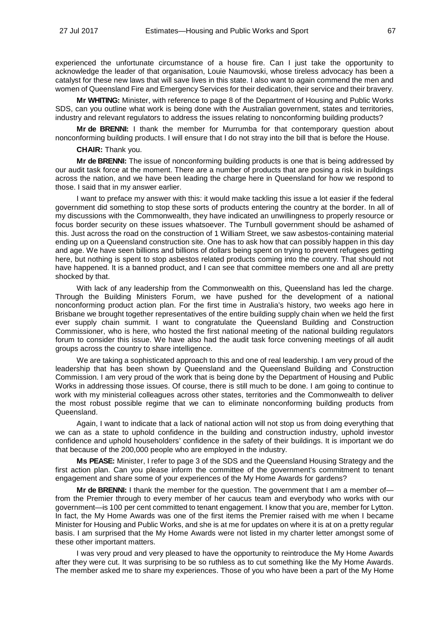experienced the unfortunate circumstance of a house fire. Can I just take the opportunity to acknowledge the leader of that organisation, Louie Naumovski, whose tireless advocacy has been a catalyst for these new laws that will save lives in this state. I also want to again commend the men and women of Queensland Fire and Emergency Services for their dedication, their service and their bravery.

**Mr WHITING:** Minister, with reference to page 8 of the Department of Housing and Public Works SDS, can you outline what work is being done with the Australian government, states and territories, industry and relevant regulators to address the issues relating to nonconforming building products?

**Mr de BRENNI:** I thank the member for Murrumba for that contemporary question about nonconforming building products. I will ensure that I do not stray into the bill that is before the House.

**CHAIR:** Thank you.

**Mr de BRENNI:** The issue of nonconforming building products is one that is being addressed by our audit task force at the moment. There are a number of products that are posing a risk in buildings across the nation, and we have been leading the charge here in Queensland for how we respond to those. I said that in my answer earlier.

I want to preface my answer with this: it would make tackling this issue a lot easier if the federal government did something to stop these sorts of products entering the country at the border. In all of my discussions with the Commonwealth, they have indicated an unwillingness to properly resource or focus border security on these issues whatsoever. The Turnbull government should be ashamed of this. Just across the road on the construction of 1 William Street, we saw asbestos-containing material ending up on a Queensland construction site. One has to ask how that can possibly happen in this day and age. We have seen billions and billions of dollars being spent on trying to prevent refugees getting here, but nothing is spent to stop asbestos related products coming into the country. That should not have happened. It is a banned product, and I can see that committee members one and all are pretty shocked by that.

With lack of any leadership from the Commonwealth on this, Queensland has led the charge. Through the Building Ministers Forum, we have pushed for the development of a national nonconforming product action plan. For the first time in Australia's history, two weeks ago here in Brisbane we brought together representatives of the entire building supply chain when we held the first ever supply chain summit. I want to congratulate the Queensland Building and Construction Commissioner, who is here, who hosted the first national meeting of the national building regulators forum to consider this issue. We have also had the audit task force convening meetings of all audit groups across the country to share intelligence.

We are taking a sophisticated approach to this and one of real leadership. I am very proud of the leadership that has been shown by Queensland and the Queensland Building and Construction Commission. I am very proud of the work that is being done by the Department of Housing and Public Works in addressing those issues. Of course, there is still much to be done. I am going to continue to work with my ministerial colleagues across other states, territories and the Commonwealth to deliver the most robust possible regime that we can to eliminate nonconforming building products from Queensland.

Again, I want to indicate that a lack of national action will not stop us from doing everything that we can as a state to uphold confidence in the building and construction industry, uphold investor confidence and uphold householders' confidence in the safety of their buildings. It is important we do that because of the 200,000 people who are employed in the industry.

**Ms PEASE:** Minister, I refer to page 3 of the SDS and the Queensland Housing Strategy and the first action plan. Can you please inform the committee of the government's commitment to tenant engagement and share some of your experiences of the My Home Awards for gardens?

**Mr de BRENNI:** I thank the member for the question. The government that I am a member of from the Premier through to every member of her caucus team and everybody who works with our government—is 100 per cent committed to tenant engagement. I know that you are, member for Lytton. In fact, the My Home Awards was one of the first items the Premier raised with me when I became Minister for Housing and Public Works, and she is at me for updates on where it is at on a pretty regular basis. I am surprised that the My Home Awards were not listed in my charter letter amongst some of these other important matters.

I was very proud and very pleased to have the opportunity to reintroduce the My Home Awards after they were cut. It was surprising to be so ruthless as to cut something like the My Home Awards. The member asked me to share my experiences. Those of you who have been a part of the My Home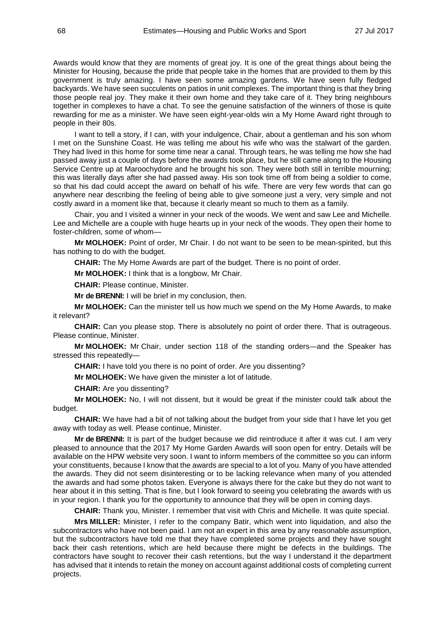Awards would know that they are moments of great joy. It is one of the great things about being the Minister for Housing, because the pride that people take in the homes that are provided to them by this government is truly amazing. I have seen some amazing gardens. We have seen fully fledged backyards. We have seen succulents on patios in unit complexes. The important thing is that they bring those people real joy. They make it their own home and they take care of it. They bring neighbours together in complexes to have a chat. To see the genuine satisfaction of the winners of those is quite rewarding for me as a minister. We have seen eight-year-olds win a My Home Award right through to people in their 80s.

I want to tell a story, if I can, with your indulgence, Chair, about a gentleman and his son whom I met on the Sunshine Coast. He was telling me about his wife who was the stalwart of the garden. They had lived in this home for some time near a canal. Through tears, he was telling me how she had passed away just a couple of days before the awards took place, but he still came along to the Housing Service Centre up at Maroochydore and he brought his son. They were both still in terrible mourning; this was literally days after she had passed away. His son took time off from being a soldier to come, so that his dad could accept the award on behalf of his wife. There are very few words that can go anywhere near describing the feeling of being able to give someone just a very, very simple and not costly award in a moment like that, because it clearly meant so much to them as a family.

Chair, you and I visited a winner in your neck of the woods. We went and saw Lee and Michelle. Lee and Michelle are a couple with huge hearts up in your neck of the woods. They open their home to foster-children, some of whom—

**Mr MOLHOEK:** Point of order, Mr Chair. I do not want to be seen to be mean-spirited, but this has nothing to do with the budget.

**CHAIR:** The My Home Awards are part of the budget. There is no point of order.

**Mr MOLHOEK:** I think that is a longbow, Mr Chair.

**CHAIR:** Please continue, Minister.

**Mr de BRENNI:** I will be brief in my conclusion, then.

**Mr MOLHOEK:** Can the minister tell us how much we spend on the My Home Awards, to make it relevant?

**CHAIR:** Can you please stop. There is absolutely no point of order there. That is outrageous. Please continue, Minister.

**Mr MOLHOEK:** Mr Chair, under section 118 of the standing orders—and the Speaker has stressed this repeatedly—

**CHAIR:** I have told you there is no point of order. Are you dissenting?

**Mr MOLHOEK:** We have given the minister a lot of latitude.

**CHAIR:** Are you dissenting?

**Mr MOLHOEK:** No, I will not dissent, but it would be great if the minister could talk about the budget.

**CHAIR:** We have had a bit of not talking about the budget from your side that I have let you get away with today as well. Please continue, Minister.

**Mr de BRENNI:** It is part of the budget because we did reintroduce it after it was cut. I am very pleased to announce that the 2017 My Home Garden Awards will soon open for entry. Details will be available on the HPW website very soon. I want to inform members of the committee so you can inform your constituents, because I know that the awards are special to a lot of you. Many of you have attended the awards. They did not seem disinteresting or to be lacking relevance when many of you attended the awards and had some photos taken. Everyone is always there for the cake but they do not want to hear about it in this setting. That is fine, but I look forward to seeing you celebrating the awards with us in your region. I thank you for the opportunity to announce that they will be open in coming days.

**CHAIR:** Thank you, Minister. I remember that visit with Chris and Michelle. It was quite special.

**Mrs MILLER:** Minister, I refer to the company Batir, which went into liquidation, and also the subcontractors who have not been paid. I am not an expert in this area by any reasonable assumption, but the subcontractors have told me that they have completed some projects and they have sought back their cash retentions, which are held because there might be defects in the buildings. The contractors have sought to recover their cash retentions, but the way I understand it the department has advised that it intends to retain the money on account against additional costs of completing current projects.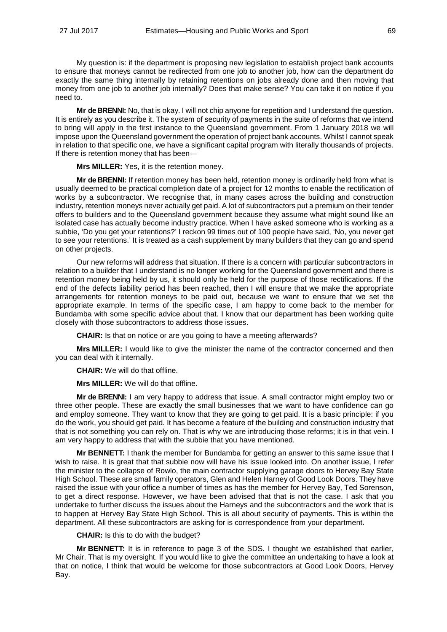My question is: if the department is proposing new legislation to establish project bank accounts to ensure that moneys cannot be redirected from one job to another job, how can the department do exactly the same thing internally by retaining retentions on jobs already done and then moving that money from one job to another job internally? Does that make sense? You can take it on notice if you need to.

**Mr de BRENNI:** No, that is okay. I will not chip anyone for repetition and I understand the question. It is entirely as you describe it. The system of security of payments in the suite of reforms that we intend to bring will apply in the first instance to the Queensland government. From 1 January 2018 we will impose upon the Queensland government the operation of project bank accounts. Whilst I cannot speak in relation to that specific one, we have a significant capital program with literally thousands of projects. If there is retention money that has been—

**Mrs MILLER:** Yes, it is the retention money.

**Mr de BRENNI:** If retention money has been held, retention money is ordinarily held from what is usually deemed to be practical completion date of a project for 12 months to enable the rectification of works by a subcontractor. We recognise that, in many cases across the building and construction industry, retention moneys never actually get paid. A lot of subcontractors put a premium on their tender offers to builders and to the Queensland government because they assume what might sound like an isolated case has actually become industry practice. When I have asked someone who is working as a subbie, 'Do you get your retentions?' I reckon 99 times out of 100 people have said, 'No, you never get to see your retentions.' It is treated as a cash supplement by many builders that they can go and spend on other projects.

Our new reforms will address that situation. If there is a concern with particular subcontractors in relation to a builder that I understand is no longer working for the Queensland government and there is retention money being held by us, it should only be held for the purpose of those rectifications. If the end of the defects liability period has been reached, then I will ensure that we make the appropriate arrangements for retention moneys to be paid out, because we want to ensure that we set the appropriate example. In terms of the specific case, I am happy to come back to the member for Bundamba with some specific advice about that. I know that our department has been working quite closely with those subcontractors to address those issues.

**CHAIR:** Is that on notice or are you going to have a meeting afterwards?

**Mrs MILLER:** I would like to give the minister the name of the contractor concerned and then you can deal with it internally.

**CHAIR:** We will do that offline.

**Mrs MILLER:** We will do that offline.

**Mr de BRENNI:** I am very happy to address that issue. A small contractor might employ two or three other people. These are exactly the small businesses that we want to have confidence can go and employ someone. They want to know that they are going to get paid. It is a basic principle: if you do the work, you should get paid. It has become a feature of the building and construction industry that that is not something you can rely on. That is why we are introducing those reforms; it is in that vein. I am very happy to address that with the subbie that you have mentioned.

**Mr BENNETT:** I thank the member for Bundamba for getting an answer to this same issue that I wish to raise. It is great that that subbie now will have his issue looked into. On another issue, I refer the minister to the collapse of Rowlo, the main contractor supplying garage doors to Hervey Bay State High School. These are small family operators, Glen and Helen Harney of Good Look Doors. They have raised the issue with your office a number of times as has the member for Hervey Bay, Ted Sorenson, to get a direct response. However, we have been advised that that is not the case. I ask that you undertake to further discuss the issues about the Harneys and the subcontractors and the work that is to happen at Hervey Bay State High School. This is all about security of payments. This is within the department. All these subcontractors are asking for is correspondence from your department.

**CHAIR:** Is this to do with the budget?

**Mr BENNETT:** It is in reference to page 3 of the SDS. I thought we established that earlier, Mr Chair. That is my oversight. If you would like to give the committee an undertaking to have a look at that on notice, I think that would be welcome for those subcontractors at Good Look Doors, Hervey Bay.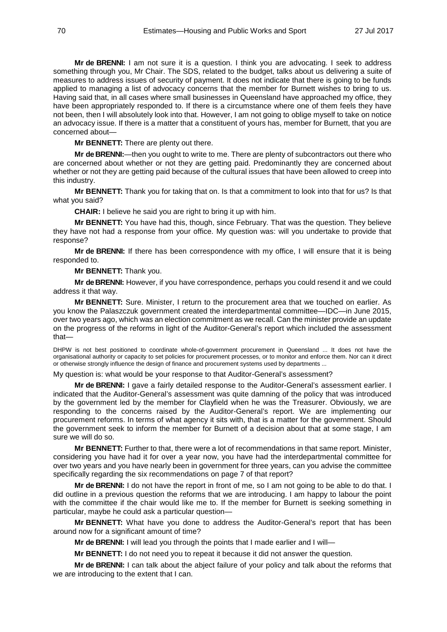**Mr de BRENNI:** I am not sure it is a question. I think you are advocating. I seek to address something through you, Mr Chair. The SDS, related to the budget, talks about us delivering a suite of measures to address issues of security of payment. It does not indicate that there is going to be funds applied to managing a list of advocacy concerns that the member for Burnett wishes to bring to us. Having said that, in all cases where small businesses in Queensland have approached my office, they have been appropriately responded to. If there is a circumstance where one of them feels they have not been, then I will absolutely look into that. However, I am not going to oblige myself to take on notice an advocacy issue. If there is a matter that a constituent of yours has, member for Burnett, that you are concerned about—

**Mr BENNETT:** There are plenty out there.

**Mr de BRENNI:**—then you ought to write to me. There are plenty of subcontractors out there who are concerned about whether or not they are getting paid. Predominantly they are concerned about whether or not they are getting paid because of the cultural issues that have been allowed to creep into this industry.

**Mr BENNETT:** Thank you for taking that on. Is that a commitment to look into that for us? Is that what you said?

**CHAIR:** I believe he said you are right to bring it up with him.

**Mr BENNETT:** You have had this, though, since February. That was the question. They believe they have not had a response from your office. My question was: will you undertake to provide that response?

**Mr de BRENNI:** If there has been correspondence with my office, I will ensure that it is being responded to.

**Mr BENNETT:** Thank you.

**Mr de BRENNI:** However, if you have correspondence, perhaps you could resend it and we could address it that way.

**Mr BENNETT:** Sure. Minister, I return to the procurement area that we touched on earlier. As you know the Palaszczuk government created the interdepartmental committee—IDC—in June 2015, over two years ago, which was an election commitment as we recall. Can the minister provide an update on the progress of the reforms in light of the Auditor-General's report which included the assessment that—

DHPW is not best positioned to coordinate whole-of-government procurement in Queensland ... It does not have the organisational authority or capacity to set policies for procurement processes, or to monitor and enforce them. Nor can it direct or otherwise strongly influence the design of finance and procurement systems used by departments ...

My question is: what would be your response to that Auditor-General's assessment?

**Mr de BRENNI:** I gave a fairly detailed response to the Auditor-General's assessment earlier. I indicated that the Auditor-General's assessment was quite damning of the policy that was introduced by the government led by the member for Clayfield when he was the Treasurer. Obviously, we are responding to the concerns raised by the Auditor-General's report. We are implementing our procurement reforms. In terms of what agency it sits with, that is a matter for the government. Should the government seek to inform the member for Burnett of a decision about that at some stage, I am sure we will do so.

**Mr BENNETT:** Further to that, there were a lot of recommendations in that same report. Minister, considering you have had it for over a year now, you have had the interdepartmental committee for over two years and you have nearly been in government for three years, can you advise the committee specifically regarding the six recommendations on page 7 of that report?

**Mr de BRENNI:** I do not have the report in front of me, so I am not going to be able to do that. I did outline in a previous question the reforms that we are introducing. I am happy to labour the point with the committee if the chair would like me to. If the member for Burnett is seeking something in particular, maybe he could ask a particular question—

**Mr BENNETT:** What have you done to address the Auditor-General's report that has been around now for a significant amount of time?

**Mr de BRENNI:** I will lead you through the points that I made earlier and I will—

**Mr BENNETT:** I do not need you to repeat it because it did not answer the question.

**Mr de BRENNI:** I can talk about the abject failure of your policy and talk about the reforms that we are introducing to the extent that I can.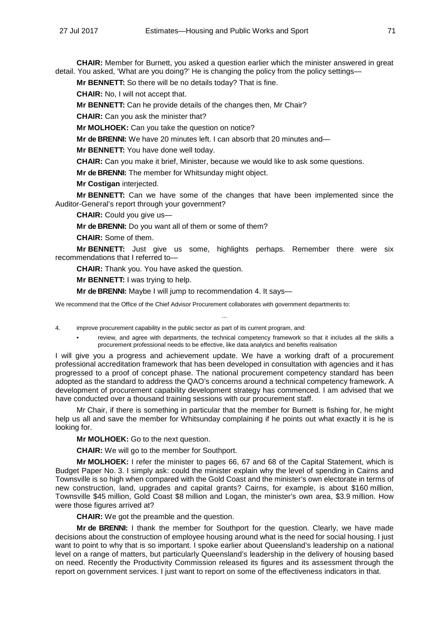**CHAIR:** Member for Burnett, you asked a question earlier which the minister answered in great detail. You asked, 'What are you doing?' He is changing the policy from the policy settings—

**Mr BENNETT:** So there will be no details today? That is fine.

**CHAIR:** No, I will not accept that.

**Mr BENNETT:** Can he provide details of the changes then, Mr Chair?

**CHAIR:** Can you ask the minister that?

**Mr MOLHOEK:** Can you take the question on notice?

**Mr de BRENNI:** We have 20 minutes left. I can absorb that 20 minutes and—

**Mr BENNETT:** You have done well today.

**CHAIR:** Can you make it brief, Minister, because we would like to ask some questions.

**Mr de BRENNI:** The member for Whitsunday might object.

**Mr Costigan** interjected.

**Mr BENNETT:** Can we have some of the changes that have been implemented since the Auditor-General's report through your government?

**CHAIR:** Could you give us—

**Mr de BRENNI:** Do you want all of them or some of them?

**CHAIR:** Some of them.

**Mr BENNETT:** Just give us some, highlights perhaps. Remember there were six recommendations that I referred to—

...

**CHAIR:** Thank you. You have asked the question.

**Mr BENNETT:** I was trying to help.

**Mr de BRENNI:** Maybe I will jump to recommendation 4. It says—

We recommend that the Office of the Chief Advisor Procurement collaborates with government departments to:

4. improve procurement capability in the public sector as part of its current program, and:

• review, and agree with departments, the technical competency framework so that it includes all the skills a procurement professional needs to be effective, like data analytics and benefits realisation

I will give you a progress and achievement update. We have a working draft of a procurement professional accreditation framework that has been developed in consultation with agencies and it has progressed to a proof of concept phase. The national procurement competency standard has been adopted as the standard to address the QAO's concerns around a technical competency framework. A development of procurement capability development strategy has commenced. I am advised that we have conducted over a thousand training sessions with our procurement staff.

Mr Chair, if there is something in particular that the member for Burnett is fishing for, he might help us all and save the member for Whitsunday complaining if he points out what exactly it is he is looking for.

**Mr MOLHOEK:** Go to the next question.

**CHAIR:** We will go to the member for Southport.

**Mr MOLHOEK:** I refer the minister to pages 66, 67 and 68 of the Capital Statement, which is Budget Paper No. 3. I simply ask: could the minister explain why the level of spending in Cairns and Townsville is so high when compared with the Gold Coast and the minister's own electorate in terms of new construction, land, upgrades and capital grants? Cairns, for example, is about \$160 million, Townsville \$45 million, Gold Coast \$8 million and Logan, the minister's own area, \$3.9 million. How were those figures arrived at?

**CHAIR:** We got the preamble and the question.

**Mr de BRENNI:** I thank the member for Southport for the question. Clearly, we have made decisions about the construction of employee housing around what is the need for social housing. I just want to point to why that is so important. I spoke earlier about Queensland's leadership on a national level on a range of matters, but particularly Queensland's leadership in the delivery of housing based on need. Recently the Productivity Commission released its figures and its assessment through the report on government services. I just want to report on some of the effectiveness indicators in that.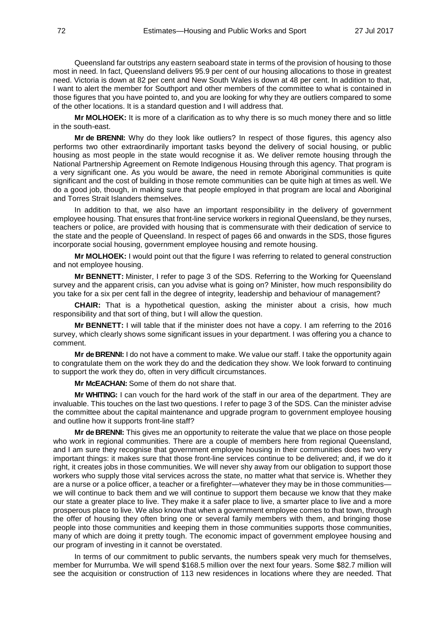Queensland far outstrips any eastern seaboard state in terms of the provision of housing to those most in need. In fact, Queensland delivers 95.9 per cent of our housing allocations to those in greatest need. Victoria is down at 82 per cent and New South Wales is down at 48 per cent. In addition to that, I want to alert the member for Southport and other members of the committee to what is contained in those figures that you have pointed to, and you are looking for why they are outliers compared to some of the other locations. It is a standard question and I will address that.

**Mr MOLHOEK:** It is more of a clarification as to why there is so much money there and so little in the south-east.

**Mr de BRENNI:** Why do they look like outliers? In respect of those figures, this agency also performs two other extraordinarily important tasks beyond the delivery of social housing, or public housing as most people in the state would recognise it as. We deliver remote housing through the National Partnership Agreement on Remote Indigenous Housing through this agency. That program is a very significant one. As you would be aware, the need in remote Aboriginal communities is quite significant and the cost of building in those remote communities can be quite high at times as well. We do a good job, though, in making sure that people employed in that program are local and Aboriginal and Torres Strait Islanders themselves.

In addition to that, we also have an important responsibility in the delivery of government employee housing. That ensures that front-line service workers in regional Queensland, be they nurses, teachers or police, are provided with housing that is commensurate with their dedication of service to the state and the people of Queensland. In respect of pages 66 and onwards in the SDS, those figures incorporate social housing, government employee housing and remote housing.

**Mr MOLHOEK:** I would point out that the figure I was referring to related to general construction and not employee housing.

**Mr BENNETT:** Minister, I refer to page 3 of the SDS. Referring to the Working for Queensland survey and the apparent crisis, can you advise what is going on? Minister, how much responsibility do you take for a six per cent fall in the degree of integrity, leadership and behaviour of management?

**CHAIR:** That is a hypothetical question, asking the minister about a crisis, how much responsibility and that sort of thing, but I will allow the question.

**Mr BENNETT:** I will table that if the minister does not have a copy. I am referring to the 2016 survey, which clearly shows some significant issues in your department. I was offering you a chance to comment.

**Mr de BRENNI:** I do not have a comment to make. We value our staff. I take the opportunity again to congratulate them on the work they do and the dedication they show. We look forward to continuing to support the work they do, often in very difficult circumstances.

**Mr McEACHAN:** Some of them do not share that.

**Mr WHITING:** I can vouch for the hard work of the staff in our area of the department. They are invaluable. This touches on the last two questions. I refer to page 3 of the SDS. Can the minister advise the committee about the capital maintenance and upgrade program to government employee housing and outline how it supports front-line staff?

**Mr de BRENNI:** This gives me an opportunity to reiterate the value that we place on those people who work in regional communities. There are a couple of members here from regional Queensland, and I am sure they recognise that government employee housing in their communities does two very important things: it makes sure that those front-line services continue to be delivered; and, if we do it right, it creates jobs in those communities. We will never shy away from our obligation to support those workers who supply those vital services across the state, no matter what that service is. Whether they are a nurse or a police officer, a teacher or a firefighter—whatever they may be in those communities we will continue to back them and we will continue to support them because we know that they make our state a greater place to live. They make it a safer place to live, a smarter place to live and a more prosperous place to live. We also know that when a government employee comes to that town, through the offer of housing they often bring one or several family members with them, and bringing those people into those communities and keeping them in those communities supports those communities, many of which are doing it pretty tough. The economic impact of government employee housing and our program of investing in it cannot be overstated.

In terms of our commitment to public servants, the numbers speak very much for themselves, member for Murrumba. We will spend \$168.5 million over the next four years. Some \$82.7 million will see the acquisition or construction of 113 new residences in locations where they are needed. That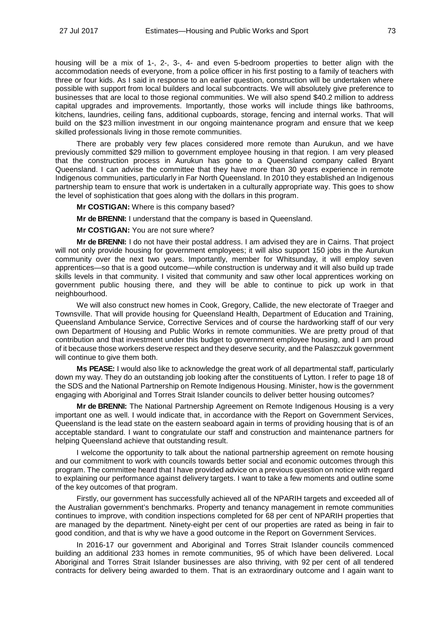housing will be a mix of 1-, 2-, 3-, 4- and even 5-bedroom properties to better align with the accommodation needs of everyone, from a police officer in his first posting to a family of teachers with three or four kids. As I said in response to an earlier question, construction will be undertaken where possible with support from local builders and local subcontracts. We will absolutely give preference to businesses that are local to those regional communities. We will also spend \$40.2 million to address capital upgrades and improvements. Importantly, those works will include things like bathrooms, kitchens, laundries, ceiling fans, additional cupboards, storage, fencing and internal works. That will build on the \$23 million investment in our ongoing maintenance program and ensure that we keep skilled professionals living in those remote communities.

There are probably very few places considered more remote than Aurukun, and we have previously committed \$29 million to government employee housing in that region. I am very pleased that the construction process in Aurukun has gone to a Queensland company called Bryant Queensland. I can advise the committee that they have more than 30 years experience in remote Indigenous communities, particularly in Far North Queensland. In 2010 they established an Indigenous partnership team to ensure that work is undertaken in a culturally appropriate way. This goes to show the level of sophistication that goes along with the dollars in this program.

**Mr COSTIGAN:** Where is this company based?

**Mr de BRENNI:** I understand that the company is based in Queensland.

**Mr COSTIGAN:** You are not sure where?

**Mr de BRENNI:** I do not have their postal address. I am advised they are in Cairns. That project will not only provide housing for government employees; it will also support 150 jobs in the Aurukun community over the next two years. Importantly, member for Whitsunday, it will employ seven apprentices—so that is a good outcome—while construction is underway and it will also build up trade skills levels in that community. I visited that community and saw other local apprentices working on government public housing there, and they will be able to continue to pick up work in that neighbourhood.

We will also construct new homes in Cook, Gregory, Callide, the new electorate of Traeger and Townsville. That will provide housing for Queensland Health, Department of Education and Training, Queensland Ambulance Service, Corrective Services and of course the hardworking staff of our very own Department of Housing and Public Works in remote communities. We are pretty proud of that contribution and that investment under this budget to government employee housing, and I am proud of it because those workers deserve respect and they deserve security, and the Palaszczuk government will continue to give them both.

**Ms PEASE:** I would also like to acknowledge the great work of all departmental staff, particularly down my way. They do an outstanding job looking after the constituents of Lytton. I refer to page 18 of the SDS and the National Partnership on Remote Indigenous Housing. Minister, how is the government engaging with Aboriginal and Torres Strait Islander councils to deliver better housing outcomes?

**Mr de BRENNI:** The National Partnership Agreement on Remote Indigenous Housing is a very important one as well. I would indicate that, in accordance with the Report on Government Services, Queensland is the lead state on the eastern seaboard again in terms of providing housing that is of an acceptable standard. I want to congratulate our staff and construction and maintenance partners for helping Queensland achieve that outstanding result.

I welcome the opportunity to talk about the national partnership agreement on remote housing and our commitment to work with councils towards better social and economic outcomes through this program. The committee heard that I have provided advice on a previous question on notice with regard to explaining our performance against delivery targets. I want to take a few moments and outline some of the key outcomes of that program.

Firstly, our government has successfully achieved all of the NPARIH targets and exceeded all of the Australian government's benchmarks. Property and tenancy management in remote communities continues to improve, with condition inspections completed for 68 per cent of NPARIH properties that are managed by the department. Ninety-eight per cent of our properties are rated as being in fair to good condition, and that is why we have a good outcome in the Report on Government Services.

In 2016-17 our government and Aboriginal and Torres Strait Islander councils commenced building an additional 233 homes in remote communities, 95 of which have been delivered. Local Aboriginal and Torres Strait Islander businesses are also thriving, with 92 per cent of all tendered contracts for delivery being awarded to them. That is an extraordinary outcome and I again want to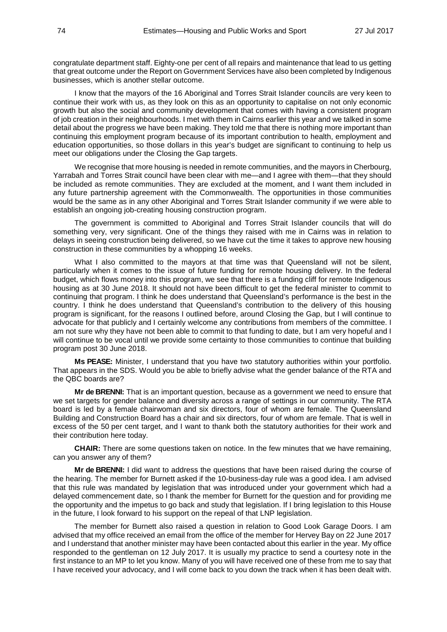congratulate department staff. Eighty-one per cent of all repairs and maintenance that lead to us getting that great outcome under the Report on Government Services have also been completed by Indigenous businesses, which is another stellar outcome.

I know that the mayors of the 16 Aboriginal and Torres Strait Islander councils are very keen to continue their work with us, as they look on this as an opportunity to capitalise on not only economic growth but also the social and community development that comes with having a consistent program of job creation in their neighbourhoods. I met with them in Cairns earlier this year and we talked in some detail about the progress we have been making. They told me that there is nothing more important than continuing this employment program because of its important contribution to health, employment and education opportunities, so those dollars in this year's budget are significant to continuing to help us meet our obligations under the Closing the Gap targets.

We recognise that more housing is needed in remote communities, and the mayors in Cherbourg, Yarrabah and Torres Strait council have been clear with me—and I agree with them—that they should be included as remote communities. They are excluded at the moment, and I want them included in any future partnership agreement with the Commonwealth. The opportunities in those communities would be the same as in any other Aboriginal and Torres Strait Islander community if we were able to establish an ongoing job-creating housing construction program.

The government is committed to Aboriginal and Torres Strait Islander councils that will do something very, very significant. One of the things they raised with me in Cairns was in relation to delays in seeing construction being delivered, so we have cut the time it takes to approve new housing construction in these communities by a whopping 16 weeks.

What I also committed to the mayors at that time was that Queensland will not be silent, particularly when it comes to the issue of future funding for remote housing delivery. In the federal budget, which flows money into this program, we see that there is a funding cliff for remote Indigenous housing as at 30 June 2018. It should not have been difficult to get the federal minister to commit to continuing that program. I think he does understand that Queensland's performance is the best in the country. I think he does understand that Queensland's contribution to the delivery of this housing program is significant, for the reasons I outlined before, around Closing the Gap, but I will continue to advocate for that publicly and I certainly welcome any contributions from members of the committee. I am not sure why they have not been able to commit to that funding to date, but I am very hopeful and I will continue to be vocal until we provide some certainty to those communities to continue that building program post 30 June 2018.

**Ms PEASE:** Minister, I understand that you have two statutory authorities within your portfolio. That appears in the SDS. Would you be able to briefly advise what the gender balance of the RTA and the QBC boards are?

**Mr de BRENNI:** That is an important question, because as a government we need to ensure that we set targets for gender balance and diversity across a range of settings in our community. The RTA board is led by a female chairwoman and six directors, four of whom are female. The Queensland Building and Construction Board has a chair and six directors, four of whom are female. That is well in excess of the 50 per cent target, and I want to thank both the statutory authorities for their work and their contribution here today.

**CHAIR:** There are some questions taken on notice. In the few minutes that we have remaining, can you answer any of them?

**Mr de BRENNI:** I did want to address the questions that have been raised during the course of the hearing. The member for Burnett asked if the 10-business-day rule was a good idea. I am advised that this rule was mandated by legislation that was introduced under your government which had a delayed commencement date, so I thank the member for Burnett for the question and for providing me the opportunity and the impetus to go back and study that legislation. If I bring legislation to this House in the future, I look forward to his support on the repeal of that LNP legislation.

The member for Burnett also raised a question in relation to Good Look Garage Doors. I am advised that my office received an email from the office of the member for Hervey Bay on 22 June 2017 and I understand that another minister may have been contacted about this earlier in the year. My office responded to the gentleman on 12 July 2017. It is usually my practice to send a courtesy note in the first instance to an MP to let you know. Many of you will have received one of these from me to say that I have received your advocacy, and I will come back to you down the track when it has been dealt with.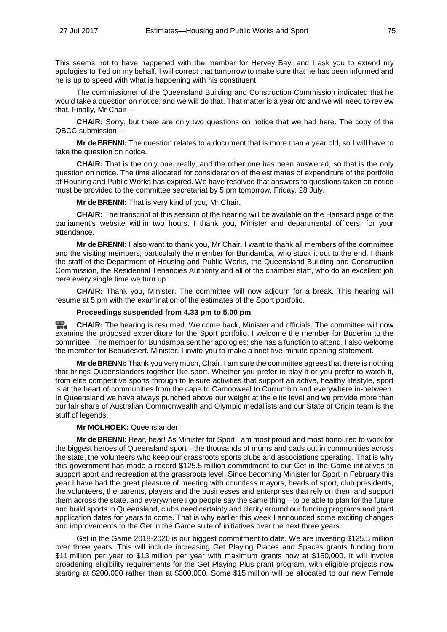This seems not to have happened with the member for Hervey Bay, and I ask you to extend my apologies to Ted on my behalf. I will correct that tomorrow to make sure that he has been informed and he is up to speed with what is happening with his constituent.

The commissioner of the Queensland Building and Construction Commission indicated that he would take a question on notice, and we will do that. That matter is a year old and we will need to review that. Finally, Mr Chair—

**CHAIR:** Sorry, but there are only two questions on notice that we had here. The copy of the QBCC submission—

**Mr de BRENNI:** The question relates to a document that is more than a year old, so I will have to take the question on notice.

**CHAIR:** That is the only one, really, and the other one has been answered, so that is the only question on notice. The time allocated for consideration of the estimates of expenditure of the portfolio of Housing and Public Works has expired. We have resolved that answers to questions taken on notice must be provided to the committee secretariat by 5 pm tomorrow, Friday, 28 July.

**Mr de BRENNI:** That is very kind of you, Mr Chair.

**CHAIR:** The transcript of this session of the hearing will be available on the Hansard page of the parliament's website within two hours. I thank you, Minister and departmental officers, for your attendance.

**Mr de BRENNI:** I also want to thank you, Mr Chair. I want to thank all members of the committee and the visiting members, particularly the member for Bundamba, who stuck it out to the end. I thank the staff of the Department of Housing and Public Works, the Queensland Building and Construction Commission, the Residential Tenancies Authority and all of the chamber staff, who do an excellent job here every single time we turn up.

**CHAIR:** Thank you, Minister. The committee will now adjourn for a break. This hearing will resume at 5 pm with the examination of the estimates of the Sport portfolio.

# **Proceedings suspended from 4.33 pm to 5.00 pm**

≌. **[CHAIR:](http://www.parliament.qld.gov.au/docs/find.aspx?id=0Mba20170727_170050)** The hearing is resumed. Welcome back, Minister and officials. The committee will now examine the proposed expenditure for the Sport portfolio. I welcome the member for Buderim to the committee. The member for Bundamba sent her apologies; she has a function to attend. I also welcome the member for Beaudesert. Minister, I invite you to make a brief five-minute opening statement.

**Mr de BRENNI:** Thank you very much, Chair. I am sure the committee agrees that there is nothing that brings Queenslanders together like sport. Whether you prefer to play it or you prefer to watch it, from elite competitive sports through to leisure activities that support an active, healthy lifestyle, sport is at the heart of communities from the cape to Camooweal to Currumbin and everywhere in-between. In Queensland we have always punched above our weight at the elite level and we provide more than our fair share of Australian Commonwealth and Olympic medallists and our State of Origin team is the stuff of legends.

# **Mr MOLHOEK:** Queenslander!

**Mr de BRENNI:** Hear, hear! As Minister for Sport I am most proud and most honoured to work for the biggest heroes of Queensland sport—the thousands of mums and dads out in communities across the state, the volunteers who keep our grassroots sports clubs and associations operating. That is why this government has made a record \$125.5 million commitment to our Get in the Game initiatives to support sport and recreation at the grassroots level. Since becoming Minister for Sport in February this year I have had the great pleasure of meeting with countless mayors, heads of sport, club presidents, the volunteers, the parents, players and the businesses and enterprises that rely on them and support them across the state, and everywhere I go people say the same thing—to be able to plan for the future and build sports in Queensland, clubs need certainty and clarity around our funding programs and grant application dates for years to come. That is why earlier this week I announced some exciting changes and improvements to the Get in the Game suite of initiatives over the next three years.

Get in the Game 2018-2020 is our biggest commitment to date. We are investing \$125.5 million over three years. This will include increasing Get Playing Places and Spaces grants funding from \$11 million per year to \$13 million per year with maximum grants now at \$150,000. It will involve broadening eligibility requirements for the Get Playing Plus grant program, with eligible projects now starting at \$200,000 rather than at \$300,000. Some \$15 million will be allocated to our new Female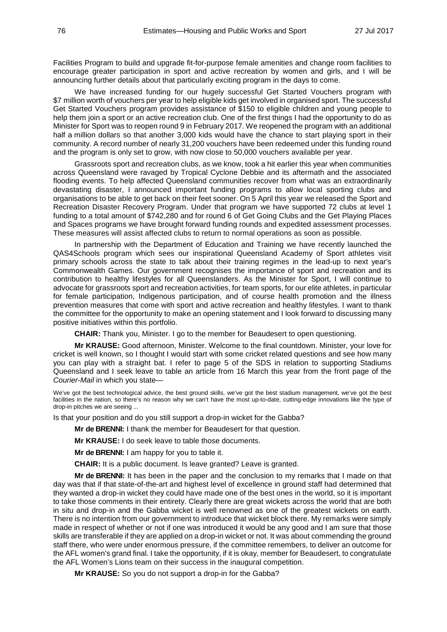Facilities Program to build and upgrade fit-for-purpose female amenities and change room facilities to encourage greater participation in sport and active recreation by women and girls, and I will be announcing further details about that particularly exciting program in the days to come.

We have increased funding for our hugely successful Get Started Vouchers program with \$7 million worth of vouchers per year to help eligible kids get involved in organised sport. The successful Get Started Vouchers program provides assistance of \$150 to eligible children and young people to help them join a sport or an active recreation club. One of the first things I had the opportunity to do as Minister for Sport was to reopen round 9 in February 2017. We reopened the program with an additional half a million dollars so that another 3,000 kids would have the chance to start playing sport in their community. A record number of nearly 31,200 vouchers have been redeemed under this funding round and the program is only set to grow, with now close to 50,000 vouchers available per year.

Grassroots sport and recreation clubs, as we know, took a hit earlier this year when communities across Queensland were ravaged by Tropical Cyclone Debbie and its aftermath and the associated flooding events. To help affected Queensland communities recover from what was an extraordinarily devastating disaster, I announced important funding programs to allow local sporting clubs and organisations to be able to get back on their feet sooner. On 5 April this year we released the Sport and Recreation Disaster Recovery Program. Under that program we have supported 72 clubs at level 1 funding to a total amount of \$742,280 and for round 6 of Get Going Clubs and the Get Playing Places and Spaces programs we have brought forward funding rounds and expedited assessment processes. These measures will assist affected clubs to return to normal operations as soon as possible.

In partnership with the Department of Education and Training we have recently launched the QAS4Schools program which sees our inspirational Queensland Academy of Sport athletes visit primary schools across the state to talk about their training regimes in the lead-up to next year's Commonwealth Games. Our government recognises the importance of sport and recreation and its contribution to healthy lifestyles for all Queenslanders. As the Minister for Sport, I will continue to advocate for grassroots sport and recreation activities, for team sports, for our elite athletes, in particular for female participation, Indigenous participation, and of course health promotion and the illness prevention measures that come with sport and active recreation and healthy lifestyles. I want to thank the committee for the opportunity to make an opening statement and I look forward to discussing many positive initiatives within this portfolio.

**CHAIR:** Thank you, Minister. I go to the member for Beaudesert to open questioning.

**Mr KRAUSE:** Good afternoon, Minister. Welcome to the final countdown. Minister, your love for cricket is well known, so I thought I would start with some cricket related questions and see how many you can play with a straight bat. I refer to page 5 of the SDS in relation to supporting Stadiums Queensland and I seek leave to table an article from 16 March this year from the front page of the *Courier-Mail* in which you state—

We've got the best technological advice, the best ground skills, we've got the best stadium management, we've got the best facilities in the nation, so there's no reason why we can't have the most up-to-date, cutting-edge innovations like the type of drop-in pitches we are seeing ...

Is that your position and do you still support a drop-in wicket for the Gabba?

**Mr de BRENNI:** I thank the member for Beaudesert for that question.

**Mr KRAUSE:** I do seek leave to table those documents.

**Mr de BRENNI:** I am happy for you to table it.

**CHAIR:** It is a public document. Is leave granted? Leave is granted.

**Mr de BRENNI:** It has been in the paper and the conclusion to my remarks that I made on that day was that if that state-of-the-art and highest level of excellence in ground staff had determined that they wanted a drop-in wicket they could have made one of the best ones in the world, so it is important to take those comments in their entirety. Clearly there are great wickets across the world that are both in situ and drop-in and the Gabba wicket is well renowned as one of the greatest wickets on earth. There is no intention from our government to introduce that wicket block there. My remarks were simply made in respect of whether or not if one was introduced it would be any good and I am sure that those skills are transferable if they are applied on a drop-in wicket or not. It was about commending the ground staff there, who were under enormous pressure, if the committee remembers, to deliver an outcome for the AFL women's grand final. I take the opportunity, if it is okay, member for Beaudesert, to congratulate the AFL Women's Lions team on their success in the inaugural competition.

**Mr KRAUSE:** So you do not support a drop-in for the Gabba?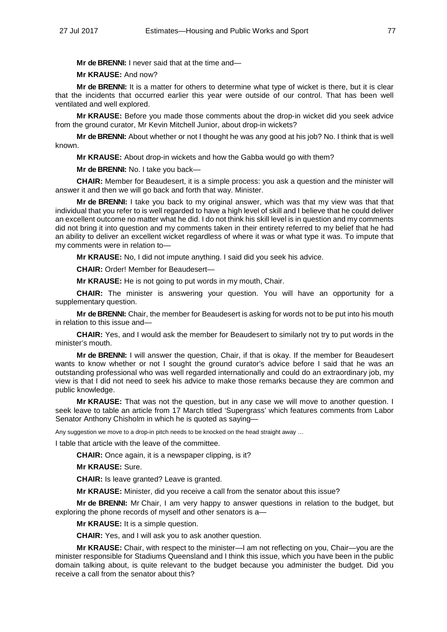**Mr de BRENNI:** I never said that at the time and—

**Mr KRAUSE:** And now?

**Mr de BRENNI:** It is a matter for others to determine what type of wicket is there, but it is clear that the incidents that occurred earlier this year were outside of our control. That has been well ventilated and well explored.

**Mr KRAUSE:** Before you made those comments about the drop-in wicket did you seek advice from the ground curator, Mr Kevin Mitchell Junior, about drop-in wickets?

**Mr de BRENNI:** About whether or not I thought he was any good at his job? No. I think that is well known.

**Mr KRAUSE:** About drop-in wickets and how the Gabba would go with them?

**Mr de BRENNI:** No. I take you back—

**CHAIR:** Member for Beaudesert, it is a simple process: you ask a question and the minister will answer it and then we will go back and forth that way. Minister.

**Mr de BRENNI:** I take you back to my original answer, which was that my view was that that individual that you refer to is well regarded to have a high level of skill and I believe that he could deliver an excellent outcome no matter what he did. I do not think his skill level is in question and my comments did not bring it into question and my comments taken in their entirety referred to my belief that he had an ability to deliver an excellent wicket regardless of where it was or what type it was. To impute that my comments were in relation to—

**Mr KRAUSE:** No, I did not impute anything. I said did you seek his advice.

**CHAIR:** Order! Member for Beaudesert—

**Mr KRAUSE:** He is not going to put words in my mouth, Chair.

**CHAIR:** The minister is answering your question. You will have an opportunity for a supplementary question.

**Mr de BRENNI:** Chair, the member for Beaudesert is asking for words not to be put into his mouth in relation to this issue and—

**CHAIR:** Yes, and I would ask the member for Beaudesert to similarly not try to put words in the minister's mouth.

**Mr de BRENNI:** I will answer the question, Chair, if that is okay. If the member for Beaudesert wants to know whether or not I sought the ground curator's advice before I said that he was an outstanding professional who was well regarded internationally and could do an extraordinary job, my view is that I did not need to seek his advice to make those remarks because they are common and public knowledge.

**Mr KRAUSE:** That was not the question, but in any case we will move to another question. I seek leave to table an article from 17 March titled 'Supergrass' which features comments from Labor Senator Anthony Chisholm in which he is quoted as saying-

Any suggestion we move to a drop-in pitch needs to be knocked on the head straight away ...

I table that article with the leave of the committee.

**CHAIR:** Once again, it is a newspaper clipping, is it?

**Mr KRAUSE:** Sure.

**CHAIR:** Is leave granted? Leave is granted.

**Mr KRAUSE:** Minister, did you receive a call from the senator about this issue?

**Mr de BRENNI:** Mr Chair, I am very happy to answer questions in relation to the budget, but exploring the phone records of myself and other senators is a—

**Mr KRAUSE:** It is a simple question.

**CHAIR:** Yes, and I will ask you to ask another question.

**Mr KRAUSE:** Chair, with respect to the minister—I am not reflecting on you, Chair—you are the minister responsible for Stadiums Queensland and I think this issue, which you have been in the public domain talking about, is quite relevant to the budget because you administer the budget. Did you receive a call from the senator about this?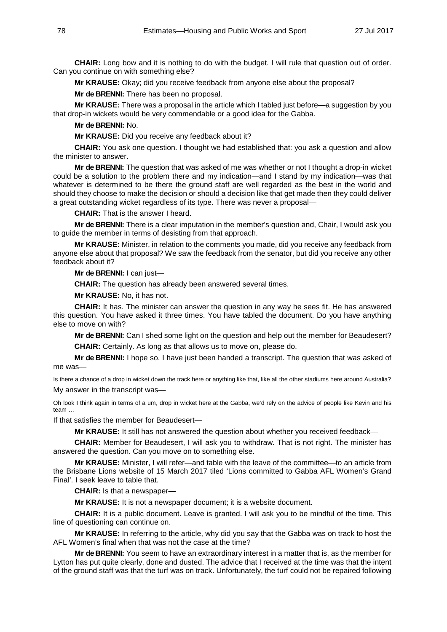**CHAIR:** Long bow and it is nothing to do with the budget. I will rule that question out of order. Can you continue on with something else?

**Mr KRAUSE:** Okay; did you receive feedback from anyone else about the proposal?

**Mr de BRENNI:** There has been no proposal.

**Mr KRAUSE:** There was a proposal in the article which I tabled just before—a suggestion by you that drop-in wickets would be very commendable or a good idea for the Gabba.

**Mr de BRENNI:** No.

**Mr KRAUSE:** Did you receive any feedback about it?

**CHAIR:** You ask one question. I thought we had established that: you ask a question and allow the minister to answer.

**Mr de BRENNI:** The question that was asked of me was whether or not I thought a drop-in wicket could be a solution to the problem there and my indication—and I stand by my indication—was that whatever is determined to be there the ground staff are well regarded as the best in the world and should they choose to make the decision or should a decision like that get made then they could deliver a great outstanding wicket regardless of its type. There was never a proposal—

**CHAIR:** That is the answer I heard.

**Mr de BRENNI:** There is a clear imputation in the member's question and, Chair, I would ask you to guide the member in terms of desisting from that approach.

**Mr KRAUSE:** Minister, in relation to the comments you made, did you receive any feedback from anyone else about that proposal? We saw the feedback from the senator, but did you receive any other feedback about it?

**Mr de BRENNI:** I can just—

**CHAIR:** The question has already been answered several times.

**Mr KRAUSE:** No, it has not.

**CHAIR:** It has. The minister can answer the question in any way he sees fit. He has answered this question. You have asked it three times. You have tabled the document. Do you have anything else to move on with?

**Mr de BRENNI:** Can I shed some light on the question and help out the member for Beaudesert? **CHAIR:** Certainly. As long as that allows us to move on, please do.

**Mr de BRENNI:** I hope so. I have just been handed a transcript. The question that was asked of me was—

Is there a chance of a drop in wicket down the track here or anything like that, like all the other stadiums here around Australia? My answer in the transcript was—

Oh look I think again in terms of a um, drop in wicket here at the Gabba, we'd rely on the advice of people like Kevin and his team …

If that satisfies the member for Beaudesert—

**Mr KRAUSE:** It still has not answered the question about whether you received feedback—

**CHAIR:** Member for Beaudesert, I will ask you to withdraw. That is not right. The minister has answered the question. Can you move on to something else.

**Mr KRAUSE:** Minister, I will refer—and table with the leave of the committee—to an article from the Brisbane Lions website of 15 March 2017 tiled 'Lions committed to Gabba AFL Women's Grand Final'. I seek leave to table that.

**CHAIR:** Is that a newspaper—

**Mr KRAUSE:** It is not a newspaper document; it is a website document.

**CHAIR:** It is a public document. Leave is granted. I will ask you to be mindful of the time. This line of questioning can continue on.

**Mr KRAUSE:** In referring to the article, why did you say that the Gabba was on track to host the AFL Women's final when that was not the case at the time?

**Mr de BRENNI:** You seem to have an extraordinary interest in a matter that is, as the member for Lytton has put quite clearly, done and dusted. The advice that I received at the time was that the intent of the ground staff was that the turf was on track. Unfortunately, the turf could not be repaired following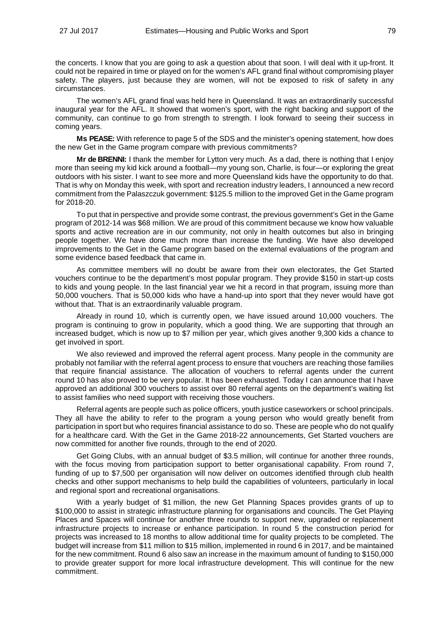the concerts. I know that you are going to ask a question about that soon. I will deal with it up-front. It could not be repaired in time or played on for the women's AFL grand final without compromising player safety. The players, just because they are women, will not be exposed to risk of safety in any circumstances.

The women's AFL grand final was held here in Queensland. It was an extraordinarily successful inaugural year for the AFL. It showed that women's sport, with the right backing and support of the community, can continue to go from strength to strength. I look forward to seeing their success in coming years.

**Ms PEASE:** With reference to page 5 of the SDS and the minister's opening statement, how does the new Get in the Game program compare with previous commitments?

**Mr de BRENNI:** I thank the member for Lytton very much. As a dad, there is nothing that I enjoy more than seeing my kid kick around a football—my young son, Charlie, is four—or exploring the great outdoors with his sister. I want to see more and more Queensland kids have the opportunity to do that. That is why on Monday this week, with sport and recreation industry leaders, I announced a new record commitment from the Palaszczuk government: \$125.5 million to the improved Get in the Game program for 2018-20.

To put that in perspective and provide some contrast, the previous government's Get in the Game program of 2012-14 was \$68 million. We are proud of this commitment because we know how valuable sports and active recreation are in our community, not only in health outcomes but also in bringing people together. We have done much more than increase the funding. We have also developed improvements to the Get in the Game program based on the external evaluations of the program and some evidence based feedback that came in.

As committee members will no doubt be aware from their own electorates, the Get Started vouchers continue to be the department's most popular program. They provide \$150 in start-up costs to kids and young people. In the last financial year we hit a record in that program, issuing more than 50,000 vouchers. That is 50,000 kids who have a hand-up into sport that they never would have got without that. That is an extraordinarily valuable program.

Already in round 10, which is currently open, we have issued around 10,000 vouchers. The program is continuing to grow in popularity, which a good thing. We are supporting that through an increased budget, which is now up to \$7 million per year, which gives another 9,300 kids a chance to get involved in sport.

We also reviewed and improved the referral agent process. Many people in the community are probably not familiar with the referral agent process to ensure that vouchers are reaching those families that require financial assistance. The allocation of vouchers to referral agents under the current round 10 has also proved to be very popular. It has been exhausted. Today I can announce that I have approved an additional 300 vouchers to assist over 80 referral agents on the department's waiting list to assist families who need support with receiving those vouchers.

Referral agents are people such as police officers, youth justice caseworkers or school principals. They all have the ability to refer to the program a young person who would greatly benefit from participation in sport but who requires financial assistance to do so. These are people who do not qualify for a healthcare card. With the Get in the Game 2018-22 announcements, Get Started vouchers are now committed for another five rounds, through to the end of 2020.

Get Going Clubs, with an annual budget of \$3.5 million, will continue for another three rounds, with the focus moving from participation support to better organisational capability. From round 7, funding of up to \$7,500 per organisation will now deliver on outcomes identified through club health checks and other support mechanisms to help build the capabilities of volunteers, particularly in local and regional sport and recreational organisations.

With a yearly budget of \$1 million, the new Get Planning Spaces provides grants of up to \$100,000 to assist in strategic infrastructure planning for organisations and councils. The Get Playing Places and Spaces will continue for another three rounds to support new, upgraded or replacement infrastructure projects to increase or enhance participation. In round 5 the construction period for projects was increased to 18 months to allow additional time for quality projects to be completed. The budget will increase from \$11 million to \$15 million, implemented in round 6 in 2017, and be maintained for the new commitment. Round 6 also saw an increase in the maximum amount of funding to \$150,000 to provide greater support for more local infrastructure development. This will continue for the new commitment.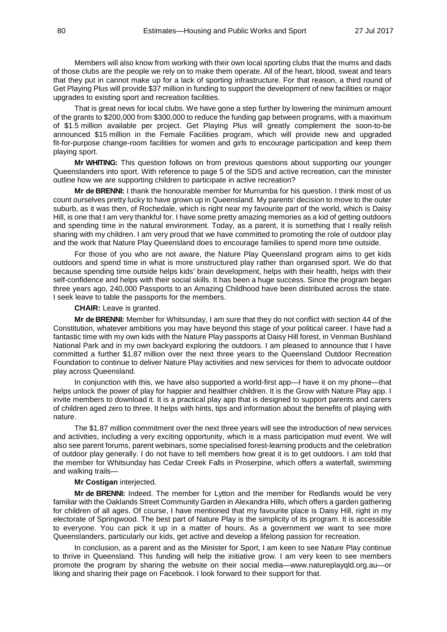Members will also know from working with their own local sporting clubs that the mums and dads of those clubs are the people we rely on to make them operate. All of the heart, blood, sweat and tears that they put in cannot make up for a lack of sporting infrastructure. For that reason, a third round of Get Playing Plus will provide \$37 million in funding to support the development of new facilities or major upgrades to existing sport and recreation facilities.

That is great news for local clubs. We have gone a step further by lowering the minimum amount of the grants to \$200,000 from \$300,000 to reduce the funding gap between programs, with a maximum of \$1.5 million available per project. Get Playing Plus will greatly complement the soon-to-be announced \$15 million in the Female Facilities program, which will provide new and upgraded fit-for-purpose change-room facilities for women and girls to encourage participation and keep them playing sport.

**Mr WHITING:** This question follows on from previous questions about supporting our younger Queenslanders into sport. With reference to page 5 of the SDS and active recreation, can the minister outline how we are supporting children to participate in active recreation?

**Mr de BRENNI:** I thank the honourable member for Murrumba for his question. I think most of us count ourselves pretty lucky to have grown up in Queensland. My parents' decision to move to the outer suburb, as it was then, of Rochedale, which is right near my favourite part of the world, which is Daisy Hill, is one that I am very thankful for. I have some pretty amazing memories as a kid of getting outdoors and spending time in the natural environment. Today, as a parent, it is something that I really relish sharing with my children. I am very proud that we have committed to promoting the role of outdoor play and the work that Nature Play Queensland does to encourage families to spend more time outside.

For those of you who are not aware, the Nature Play Queensland program aims to get kids outdoors and spend time in what is more unstructured play rather than organised sport. We do that because spending time outside helps kids' brain development, helps with their health, helps with their self-confidence and helps with their social skills. It has been a huge success. Since the program began three years ago, 240,000 Passports to an Amazing Childhood have been distributed across the state. I seek leave to table the passports for the members.

**CHAIR:** Leave is granted.

**Mr de BRENNI:** Member for Whitsunday, I am sure that they do not conflict with section 44 of the Constitution, whatever ambitions you may have beyond this stage of your political career. I have had a fantastic time with my own kids with the Nature Play passports at Daisy Hill forest, in Venman Bushland National Park and in my own backyard exploring the outdoors. I am pleased to announce that I have committed a further \$1.87 million over the next three years to the Queensland Outdoor Recreation Foundation to continue to deliver Nature Play activities and new services for them to advocate outdoor play across Queensland.

In conjunction with this, we have also supported a world-first app—I have it on my phone—that helps unlock the power of play for happier and healthier children. It is the Grow with Nature Play app. I invite members to download it. It is a practical play app that is designed to support parents and carers of children aged zero to three. It helps with hints, tips and information about the benefits of playing with nature.

The \$1.87 million commitment over the next three years will see the introduction of new services and activities, including a very exciting opportunity, which is a mass participation mud event. We will also see parent forums, parent webinars, some specialised forest-learning products and the celebration of outdoor play generally. I do not have to tell members how great it is to get outdoors. I am told that the member for Whitsunday has Cedar Creek Falls in Proserpine, which offers a waterfall, swimming and walking trails—

### **Mr Costigan** interjected.

**Mr de BRENNI:** Indeed. The member for Lytton and the member for Redlands would be very familiar with the Oaklands Street Community Garden in Alexandra Hills, which offers a garden gathering for children of all ages. Of course, I have mentioned that my favourite place is Daisy Hill, right in my electorate of Springwood. The best part of Nature Play is the simplicity of its program. It is accessible to everyone. You can pick it up in a matter of hours. As a government we want to see more Queenslanders, particularly our kids, get active and develop a lifelong passion for recreation.

In conclusion, as a parent and as the Minister for Sport, I am keen to see Nature Play continue to thrive in Queensland. This funding will help the initiative grow. I am very keen to see members promote the program by sharing the website on their social media—www.natureplayqld.org.au—or liking and sharing their page on Facebook. I look forward to their support for that.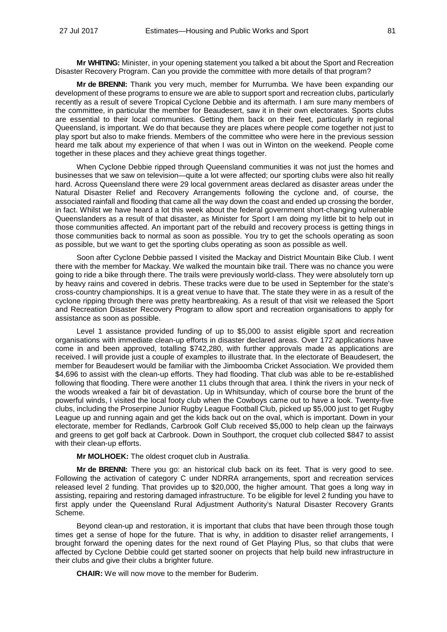**Mr WHITING:** Minister, in your opening statement you talked a bit about the Sport and Recreation Disaster Recovery Program. Can you provide the committee with more details of that program?

**Mr de BRENNI:** Thank you very much, member for Murrumba. We have been expanding our development of these programs to ensure we are able to support sport and recreation clubs, particularly recently as a result of severe Tropical Cyclone Debbie and its aftermath. I am sure many members of the committee, in particular the member for Beaudesert, saw it in their own electorates. Sports clubs are essential to their local communities. Getting them back on their feet, particularly in regional Queensland, is important. We do that because they are places where people come together not just to play sport but also to make friends. Members of the committee who were here in the previous session heard me talk about my experience of that when I was out in Winton on the weekend. People come together in these places and they achieve great things together.

When Cyclone Debbie ripped through Queensland communities it was not just the homes and businesses that we saw on television—quite a lot were affected; our sporting clubs were also hit really hard. Across Queensland there were 29 local government areas declared as disaster areas under the Natural Disaster Relief and Recovery Arrangements following the cyclone and, of course, the associated rainfall and flooding that came all the way down the coast and ended up crossing the border, in fact. Whilst we have heard a lot this week about the federal government short-changing vulnerable Queenslanders as a result of that disaster, as Minister for Sport I am doing my little bit to help out in those communities affected. An important part of the rebuild and recovery process is getting things in those communities back to normal as soon as possible. You try to get the schools operating as soon as possible, but we want to get the sporting clubs operating as soon as possible as well.

Soon after Cyclone Debbie passed I visited the Mackay and District Mountain Bike Club. I went there with the member for Mackay. We walked the mountain bike trail. There was no chance you were going to ride a bike through there. The trails were previously world-class. They were absolutely torn up by heavy rains and covered in debris. These tracks were due to be used in September for the state's cross-country championships. It is a great venue to have that. The state they were in as a result of the cyclone ripping through there was pretty heartbreaking. As a result of that visit we released the Sport and Recreation Disaster Recovery Program to allow sport and recreation organisations to apply for assistance as soon as possible.

Level 1 assistance provided funding of up to \$5,000 to assist eligible sport and recreation organisations with immediate clean-up efforts in disaster declared areas. Over 172 applications have come in and been approved, totalling \$742,280, with further approvals made as applications are received. I will provide just a couple of examples to illustrate that. In the electorate of Beaudesert, the member for Beaudesert would be familiar with the Jimboomba Cricket Association. We provided them \$4,696 to assist with the clean-up efforts. They had flooding. That club was able to be re-established following that flooding. There were another 11 clubs through that area. I think the rivers in your neck of the woods wreaked a fair bit of devastation. Up in Whitsunday, which of course bore the brunt of the powerful winds, I visited the local footy club when the Cowboys came out to have a look. Twenty-five clubs, including the Proserpine Junior Rugby League Football Club, picked up \$5,000 just to get Rugby League up and running again and get the kids back out on the oval, which is important. Down in your electorate, member for Redlands, Carbrook Golf Club received \$5,000 to help clean up the fairways and greens to get golf back at Carbrook. Down in Southport, the croquet club collected \$847 to assist with their clean-up efforts.

**Mr MOLHOEK:** The oldest croquet club in Australia.

**Mr de BRENNI:** There you go: an historical club back on its feet. That is very good to see. Following the activation of category C under NDRRA arrangements, sport and recreation services released level 2 funding. That provides up to \$20,000, the higher amount. That goes a long way in assisting, repairing and restoring damaged infrastructure. To be eligible for level 2 funding you have to first apply under the Queensland Rural Adjustment Authority's Natural Disaster Recovery Grants Scheme.

Beyond clean-up and restoration, it is important that clubs that have been through those tough times get a sense of hope for the future. That is why, in addition to disaster relief arrangements, I brought forward the opening dates for the next round of Get Playing Plus, so that clubs that were affected by Cyclone Debbie could get started sooner on projects that help build new infrastructure in their clubs and give their clubs a brighter future.

**CHAIR:** We will now move to the member for Buderim.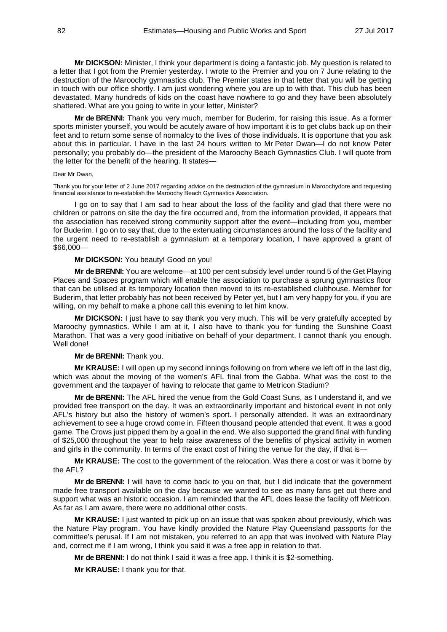**Mr DICKSON:** Minister, I think your department is doing a fantastic job. My question is related to a letter that I got from the Premier yesterday. I wrote to the Premier and you on 7 June relating to the destruction of the Maroochy gymnastics club. The Premier states in that letter that you will be getting in touch with our office shortly. I am just wondering where you are up to with that. This club has been devastated. Many hundreds of kids on the coast have nowhere to go and they have been absolutely shattered. What are you going to write in your letter, Minister?

**Mr de BRENNI:** Thank you very much, member for Buderim, for raising this issue. As a former sports minister yourself, you would be acutely aware of how important it is to get clubs back up on their feet and to return some sense of normalcy to the lives of those individuals. It is opportune that you ask about this in particular. I have in the last 24 hours written to Mr Peter Dwan—I do not know Peter personally; you probably do—the president of the Maroochy Beach Gymnastics Club. I will quote from the letter for the benefit of the hearing. It states—

#### Dear Mr Dwan,

Thank you for your letter of 2 June 2017 regarding advice on the destruction of the gymnasium in Maroochydore and requesting financial assistance to re-establish the Maroochy Beach Gymnastics Association.

I go on to say that I am sad to hear about the loss of the facility and glad that there were no children or patrons on site the day the fire occurred and, from the information provided, it appears that the association has received strong community support after the event—including from you, member for Buderim. I go on to say that, due to the extenuating circumstances around the loss of the facility and the urgent need to re-establish a gymnasium at a temporary location, I have approved a grant of \$66,000—

## **Mr DICKSON:** You beauty! Good on you!

**Mr de BRENNI:** You are welcome—at 100 per cent subsidy level under round 5 of the Get Playing Places and Spaces program which will enable the association to purchase a sprung gymnastics floor that can be utilised at its temporary location then moved to its re-established clubhouse. Member for Buderim, that letter probably has not been received by Peter yet, but I am very happy for you, if you are willing, on my behalf to make a phone call this evening to let him know.

**Mr DICKSON:** I just have to say thank you very much. This will be very gratefully accepted by Maroochy gymnastics. While I am at it, I also have to thank you for funding the Sunshine Coast Marathon. That was a very good initiative on behalf of your department. I cannot thank you enough. Well done!

### **Mr de BRENNI:** Thank you.

**Mr KRAUSE:** I will open up my second innings following on from where we left off in the last dig, which was about the moving of the women's AFL final from the Gabba. What was the cost to the government and the taxpayer of having to relocate that game to Metricon Stadium?

**Mr de BRENNI:** The AFL hired the venue from the Gold Coast Suns, as I understand it, and we provided free transport on the day. It was an extraordinarily important and historical event in not only AFL's history but also the history of women's sport. I personally attended. It was an extraordinary achievement to see a huge crowd come in. Fifteen thousand people attended that event. It was a good game. The Crows just pipped them by a goal in the end. We also supported the grand final with funding of \$25,000 throughout the year to help raise awareness of the benefits of physical activity in women and girls in the community. In terms of the exact cost of hiring the venue for the day, if that is—

**Mr KRAUSE:** The cost to the government of the relocation. Was there a cost or was it borne by the AFL?

**Mr de BRENNI:** I will have to come back to you on that, but I did indicate that the government made free transport available on the day because we wanted to see as many fans get out there and support what was an historic occasion. I am reminded that the AFL does lease the facility off Metricon. As far as I am aware, there were no additional other costs.

**Mr KRAUSE:** I just wanted to pick up on an issue that was spoken about previously, which was the Nature Play program. You have kindly provided the Nature Play Queensland passports for the committee's perusal. If I am not mistaken, you referred to an app that was involved with Nature Play and, correct me if I am wrong, I think you said it was a free app in relation to that.

**Mr de BRENNI:** I do not think I said it was a free app. I think it is \$2-something.

**Mr KRAUSE:** I thank you for that.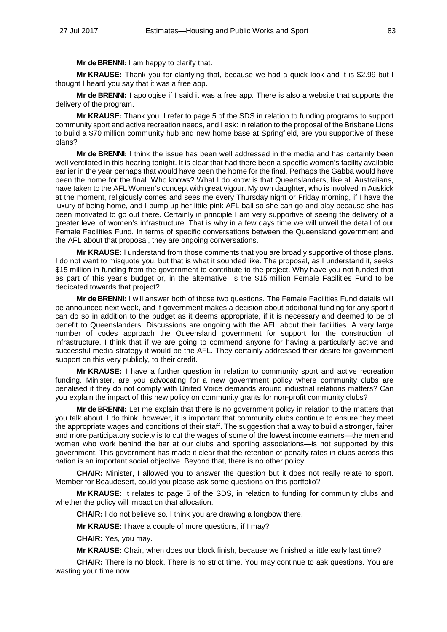**Mr de BRENNI:** I am happy to clarify that.

**Mr KRAUSE:** Thank you for clarifying that, because we had a quick look and it is \$2.99 but I thought I heard you say that it was a free app.

**Mr de BRENNI:** I apologise if I said it was a free app. There is also a website that supports the delivery of the program.

**Mr KRAUSE:** Thank you. I refer to page 5 of the SDS in relation to funding programs to support community sport and active recreation needs, and I ask: in relation to the proposal of the Brisbane Lions to build a \$70 million community hub and new home base at Springfield, are you supportive of these plans?

**Mr de BRENNI:** I think the issue has been well addressed in the media and has certainly been well ventilated in this hearing tonight. It is clear that had there been a specific women's facility available earlier in the year perhaps that would have been the home for the final. Perhaps the Gabba would have been the home for the final. Who knows? What I do know is that Queenslanders, like all Australians, have taken to the AFL Women's concept with great vigour. My own daughter, who is involved in Auskick at the moment, religiously comes and sees me every Thursday night or Friday morning, if I have the luxury of being home, and I pump up her little pink AFL ball so she can go and play because she has been motivated to go out there. Certainly in principle I am very supportive of seeing the delivery of a greater level of women's infrastructure. That is why in a few days time we will unveil the detail of our Female Facilities Fund. In terms of specific conversations between the Queensland government and the AFL about that proposal, they are ongoing conversations.

**Mr KRAUSE:** I understand from those comments that you are broadly supportive of those plans. I do not want to misquote you, but that is what it sounded like. The proposal, as I understand it, seeks \$15 million in funding from the government to contribute to the project. Why have you not funded that as part of this year's budget or, in the alternative, is the \$15 million Female Facilities Fund to be dedicated towards that project?

**Mr de BRENNI:** I will answer both of those two questions. The Female Facilities Fund details will be announced next week, and if government makes a decision about additional funding for any sport it can do so in addition to the budget as it deems appropriate, if it is necessary and deemed to be of benefit to Queenslanders. Discussions are ongoing with the AFL about their facilities. A very large number of codes approach the Queensland government for support for the construction of infrastructure. I think that if we are going to commend anyone for having a particularly active and successful media strategy it would be the AFL. They certainly addressed their desire for government support on this very publicly, to their credit.

**Mr KRAUSE:** I have a further question in relation to community sport and active recreation funding. Minister, are you advocating for a new government policy where community clubs are penalised if they do not comply with United Voice demands around industrial relations matters? Can you explain the impact of this new policy on community grants for non-profit community clubs?

**Mr de BRENNI:** Let me explain that there is no government policy in relation to the matters that you talk about. I do think, however, it is important that community clubs continue to ensure they meet the appropriate wages and conditions of their staff. The suggestion that a way to build a stronger, fairer and more participatory society is to cut the wages of some of the lowest income earners—the men and women who work behind the bar at our clubs and sporting associations—is not supported by this government. This government has made it clear that the retention of penalty rates in clubs across this nation is an important social objective. Beyond that, there is no other policy.

**CHAIR:** Minister, I allowed you to answer the question but it does not really relate to sport. Member for Beaudesert, could you please ask some questions on this portfolio?

**Mr KRAUSE:** It relates to page 5 of the SDS, in relation to funding for community clubs and whether the policy will impact on that allocation.

**CHAIR:** I do not believe so. I think you are drawing a longbow there.

**Mr KRAUSE:** I have a couple of more questions, if I may?

**CHAIR:** Yes, you may.

**Mr KRAUSE:** Chair, when does our block finish, because we finished a little early last time?

**CHAIR:** There is no block. There is no strict time. You may continue to ask questions. You are wasting your time now.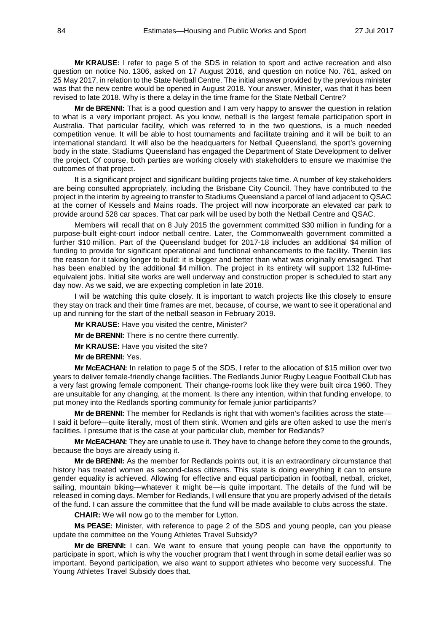**Mr KRAUSE:** I refer to page 5 of the SDS in relation to sport and active recreation and also question on notice No. 1306, asked on 17 August 2016, and question on notice No. 761, asked on 25 May 2017, in relation to the State Netball Centre. The initial answer provided by the previous minister was that the new centre would be opened in August 2018. Your answer, Minister, was that it has been revised to late 2018. Why is there a delay in the time frame for the State Netball Centre?

**Mr de BRENNI:** That is a good question and I am very happy to answer the question in relation to what is a very important project. As you know, netball is the largest female participation sport in Australia. That particular facility, which was referred to in the two questions, is a much needed competition venue. It will be able to host tournaments and facilitate training and it will be built to an international standard. It will also be the headquarters for Netball Queensland, the sport's governing body in the state. Stadiums Queensland has engaged the Department of State Development to deliver the project. Of course, both parties are working closely with stakeholders to ensure we maximise the outcomes of that project.

It is a significant project and significant building projects take time. A number of key stakeholders are being consulted appropriately, including the Brisbane City Council. They have contributed to the project in the interim by agreeing to transfer to Stadiums Queensland a parcel of land adjacent to QSAC at the corner of Kessels and Mains roads. The project will now incorporate an elevated car park to provide around 528 car spaces. That car park will be used by both the Netball Centre and QSAC.

Members will recall that on 8 July 2015 the government committed \$30 million in funding for a purpose-built eight-court indoor netball centre. Later, the Commonwealth government committed a further \$10 million. Part of the Queensland budget for 2017-18 includes an additional \$4 million of funding to provide for significant operational and functional enhancements to the facility. Therein lies the reason for it taking longer to build: it is bigger and better than what was originally envisaged. That has been enabled by the additional \$4 million. The project in its entirety will support 132 full-timeequivalent jobs. Initial site works are well underway and construction proper is scheduled to start any day now. As we said, we are expecting completion in late 2018.

I will be watching this quite closely. It is important to watch projects like this closely to ensure they stay on track and their time frames are met, because, of course, we want to see it operational and up and running for the start of the netball season in February 2019.

**Mr KRAUSE:** Have you visited the centre, Minister?

**Mr de BRENNI:** There is no centre there currently.

**Mr KRAUSE:** Have you visited the site?

**Mr de BRENNI:** Yes.

**Mr McEACHAN:** In relation to page 5 of the SDS, I refer to the allocation of \$15 million over two years to deliver female-friendly change facilities. The Redlands Junior Rugby League Football Club has a very fast growing female component. Their change-rooms look like they were built circa 1960. They are unsuitable for any changing, at the moment. Is there any intention, within that funding envelope, to put money into the Redlands sporting community for female junior participants?

**Mr de BRENNI:** The member for Redlands is right that with women's facilities across the state— I said it before—quite literally, most of them stink. Women and girls are often asked to use the men's facilities. I presume that is the case at your particular club, member for Redlands?

**Mr McEACHAN:** They are unable to use it. They have to change before they come to the grounds, because the boys are already using it.

**Mr de BRENNI:** As the member for Redlands points out, it is an extraordinary circumstance that history has treated women as second-class citizens. This state is doing everything it can to ensure gender equality is achieved. Allowing for effective and equal participation in football, netball, cricket, sailing, mountain biking—whatever it might be—is quite important. The details of the fund will be released in coming days. Member for Redlands, I will ensure that you are properly advised of the details of the fund. I can assure the committee that the fund will be made available to clubs across the state.

**CHAIR:** We will now go to the member for Lytton.

**Ms PEASE:** Minister, with reference to page 2 of the SDS and young people, can you please update the committee on the Young Athletes Travel Subsidy?

**Mr de BRENNI:** I can. We want to ensure that young people can have the opportunity to participate in sport, which is why the voucher program that I went through in some detail earlier was so important. Beyond participation, we also want to support athletes who become very successful. The Young Athletes Travel Subsidy does that.